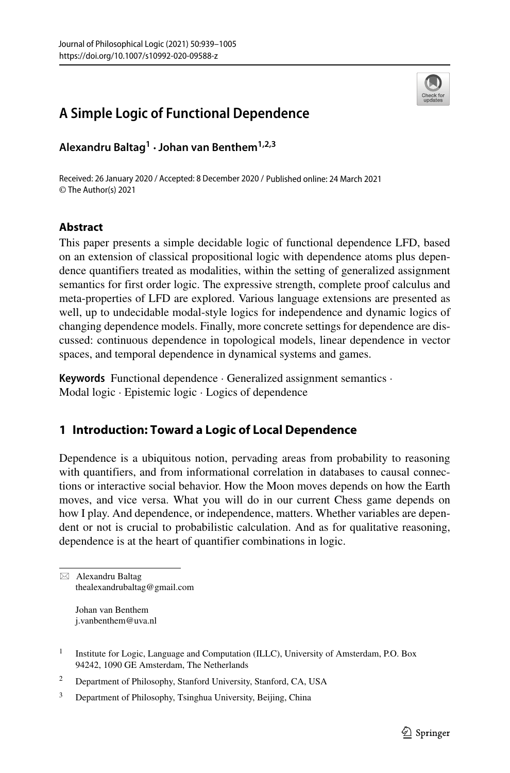

# **A Simple Logic of Functional Dependence**

**Alexandru Baltag1 ·Johan van Benthem1,2,3**

Received: 26 January 2020 / Accepted: 8 December 2020 / Published online: 24 March 2021 © The Author(s) 2021

# **Abstract**

This paper presents a simple decidable logic of functional dependence LFD, based on an extension of classical propositional logic with dependence atoms plus dependence quantifiers treated as modalities, within the setting of generalized assignment semantics for first order logic. The expressive strength, complete proof calculus and meta-properties of LFD are explored. Various language extensions are presented as well, up to undecidable modal-style logics for independence and dynamic logics of changing dependence models. Finally, more concrete settings for dependence are discussed: continuous dependence in topological models, linear dependence in vector spaces, and temporal dependence in dynamical systems and games.

**Keywords** Functional dependence · Generalized assignment semantics · Modal logic · Epistemic logic · Logics of dependence

# **1 Introduction: Toward a Logic of Local Dependence**

Dependence is a ubiquitous notion, pervading areas from probability to reasoning with quantifiers, and from informational correlation in databases to causal connections or interactive social behavior. How the Moon moves depends on how the Earth moves, and vice versa. What you will do in our current Chess game depends on how I play. And dependence, or independence, matters. Whether variables are dependent or not is crucial to probabilistic calculation. And as for qualitative reasoning, dependence is at the heart of quantifier combinations in logic.

 $\boxtimes$  Alexandru Baltag [thealexandrubaltag@gmail.com](mailto: thealexandrubaltag@gmail.com)

> Johan van Benthem [j.vanbenthem@uva.nl](mailto: j.vanbenthem@uva.nl)

<sup>&</sup>lt;sup>1</sup> Institute for Logic, Language and Computation (ILLC), University of Amsterdam, P.O. Box 94242, 1090 GE Amsterdam, The Netherlands

<sup>2</sup> Department of Philosophy, Stanford University, Stanford, CA, USA

<sup>&</sup>lt;sup>3</sup> Department of Philosophy, Tsinghua University, Beijing, China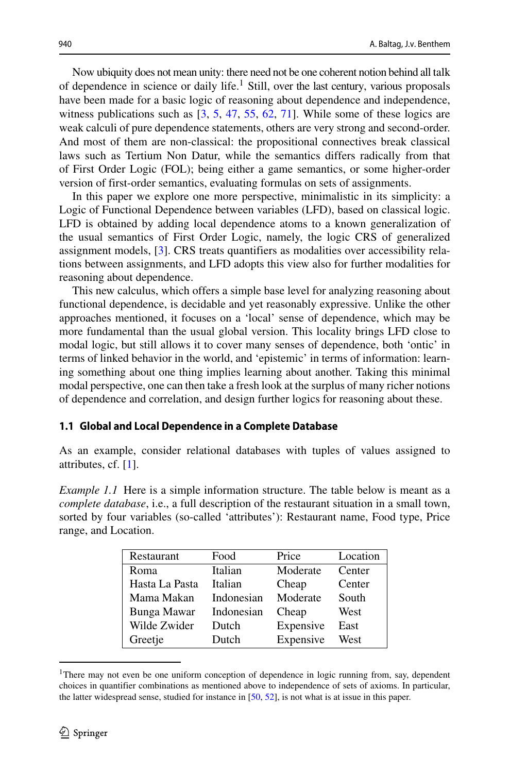Now ubiquity does not mean unity: there need not be one coherent notion behind all talk of dependence in science or daily life.<sup>1</sup> Still, over the last century, various proposals have been made for a basic logic of reasoning about dependence and independence, witness publications such as  $[3, 5, 47, 55, 62, 71]$  $[3, 5, 47, 55, 62, 71]$  $[3, 5, 47, 55, 62, 71]$  $[3, 5, 47, 55, 62, 71]$  $[3, 5, 47, 55, 62, 71]$  $[3, 5, 47, 55, 62, 71]$  $[3, 5, 47, 55, 62, 71]$  $[3, 5, 47, 55, 62, 71]$  $[3, 5, 47, 55, 62, 71]$  $[3, 5, 47, 55, 62, 71]$  $[3, 5, 47, 55, 62, 71]$ . While some of these logics are weak calculi of pure dependence statements, others are very strong and second-order. And most of them are non-classical: the propositional connectives break classical laws such as Tertium Non Datur, while the semantics differs radically from that of First Order Logic (FOL); being either a game semantics, or some higher-order version of first-order semantics, evaluating formulas on sets of assignments.

In this paper we explore one more perspective, minimalistic in its simplicity: a Logic of Functional Dependence between variables (LFD), based on classical logic. LFD is obtained by adding local dependence atoms to a known generalization of the usual semantics of First Order Logic, namely, the logic CRS of generalized assignment models, [\[3\]](#page-63-0). CRS treats quantifiers as modalities over accessibility relations between assignments, and LFD adopts this view also for further modalities for reasoning about dependence.

This new calculus, which offers a simple base level for analyzing reasoning about functional dependence, is decidable and yet reasonably expressive. Unlike the other approaches mentioned, it focuses on a 'local' sense of dependence, which may be more fundamental than the usual global version. This locality brings LFD close to modal logic, but still allows it to cover many senses of dependence, both 'ontic' in terms of linked behavior in the world, and 'epistemic' in terms of information: learning something about one thing implies learning about another. Taking this minimal modal perspective, one can then take a fresh look at the surplus of many richer notions of dependence and correlation, and design further logics for reasoning about these.

## **1.1 Global and Local Dependence in a Complete Database**

As an example, consider relational databases with tuples of values assigned to attributes, cf. [\[1\]](#page-63-1).

*Example 1.1* Here is a simple information structure. The table below is meant as a *complete database*, i.e., a full description of the restaurant situation in a small town, sorted by four variables (so-called 'attributes'): Restaurant name, Food type, Price range, and Location.

| Restaurant     | Food       | Price     | Location |
|----------------|------------|-----------|----------|
| Roma           | Italian    | Moderate  | Center   |
| Hasta La Pasta | Italian    | Cheap     | Center   |
| Mama Makan     | Indonesian | Moderate  | South    |
| Bunga Mawar    | Indonesian | Cheap     | West     |
| Wilde Zwider   | Dutch      | Expensive | East     |
| Greetje        | Dutch      | Expensive | West     |

<span id="page-1-0"></span><sup>&</sup>lt;sup>1</sup>There may not even be one uniform conception of dependence in logic running from, say, dependent choices in quantifier combinations as mentioned above to independence of sets of axioms. In particular, the latter widespread sense, studied for instance in [\[50,](#page-65-3) [52\]](#page-65-4), is not what is at issue in this paper.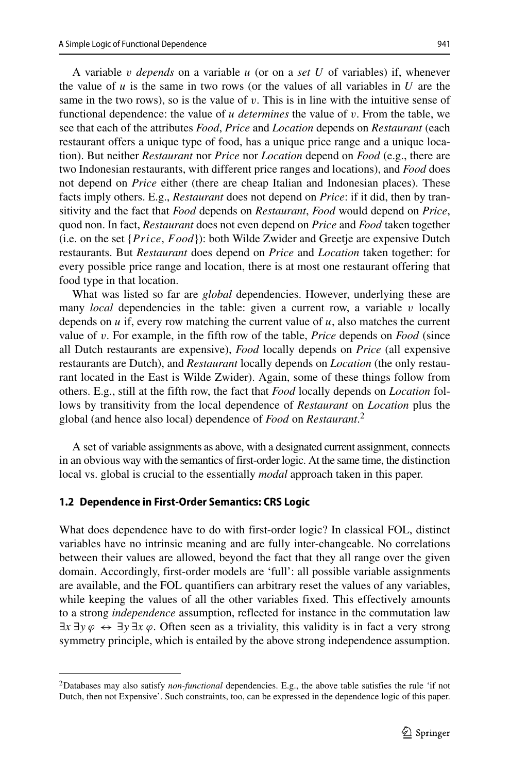A variable *v depends* on a variable *u* (or on a *set U* of variables) if, whenever the value of  $u$  is the same in two rows (or the values of all variables in  $U$  are the same in the two rows), so is the value of  $v$ . This is in line with the intuitive sense of functional dependence: the value of *u determines* the value of *v*. From the table, we see that each of the attributes *Food*, *Price* and *Location* depends on *Restaurant* (each restaurant offers a unique type of food, has a unique price range and a unique location). But neither *Restaurant* nor *Price* nor *Location* depend on *Food* (e.g., there are two Indonesian restaurants, with different price ranges and locations), and *Food* does not depend on *Price* either (there are cheap Italian and Indonesian places). These facts imply others. E.g., *Restaurant* does not depend on *Price*: if it did, then by transitivity and the fact that *Food* depends on *Restaurant*, *Food* would depend on *Price*, quod non. In fact, *Restaurant* does not even depend on *Price* and *Food* taken together (i.e. on the set {*P rice, F ood*}): both Wilde Zwider and Greetje are expensive Dutch restaurants. But *Restaurant* does depend on *Price* and *Location* taken together: for every possible price range and location, there is at most one restaurant offering that food type in that location.

What was listed so far are *global* dependencies. However, underlying these are many *local* dependencies in the table: given a current row, a variable *v* locally depends on  $u$  if, every row matching the current value of  $u$ , also matches the current value of *v*. For example, in the fifth row of the table, *Price* depends on *Food* (since all Dutch restaurants are expensive), *Food* locally depends on *Price* (all expensive restaurants are Dutch), and *Restaurant* locally depends on *Location* (the only restaurant located in the East is Wilde Zwider). Again, some of these things follow from others. E.g., still at the fifth row, the fact that *Food* locally depends on *Location* follows by transitivity from the local dependence of *Restaurant* on *Location* plus the global (and hence also local) dependence of *Food* on *Restaurant*. [2](#page-2-0)

A set of variable assignments as above, with a designated current assignment, connects in an obvious way with the semantics of first-order logic. At the same time, the distinction local vs. global is crucial to the essentially *modal* approach taken in this paper.

#### **1.2 Dependence in First-Order Semantics: CRS Logic**

What does dependence have to do with first-order logic? In classical FOL, distinct variables have no intrinsic meaning and are fully inter-changeable. No correlations between their values are allowed, beyond the fact that they all range over the given domain. Accordingly, first-order models are 'full': all possible variable assignments are available, and the FOL quantifiers can arbitrary reset the values of any variables, while keeping the values of all the other variables fixed. This effectively amounts to a strong *independence* assumption, reflected for instance in the commutation law  $\exists x \exists y \varphi \leftrightarrow \exists y \exists x \varphi$ . Often seen as a triviality, this validity is in fact a very strong symmetry principle, which is entailed by the above strong independence assumption.

<span id="page-2-0"></span><sup>2</sup>Databases may also satisfy *non-functional* dependencies. E.g., the above table satisfies the rule 'if not Dutch, then not Expensive'. Such constraints, too, can be expressed in the dependence logic of this paper.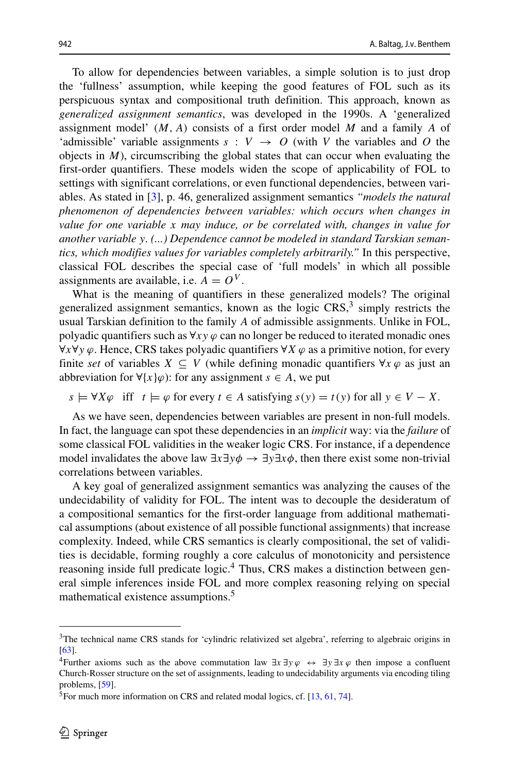To allow for dependencies between variables, a simple solution is to just drop the 'fullness' assumption, while keeping the good features of FOL such as its perspicuous syntax and compositional truth definition. This approach, known as *generalized assignment semantics*, was developed in the 1990s. A 'generalized assignment model' *(M, A)* consists of a first order model *M* and a family *A* of 'admissible' variable assignments  $s : V \rightarrow O$  (with *V* the variables and *O* the objects in  $M$ ), circumscribing the global states that can occur when evaluating the first-order quantifiers. These models widen the scope of applicability of FOL to settings with significant correlations, or even functional dependencies, between variables. As stated in [\[3\]](#page-63-0), p. 46, generalized assignment semantics *"models the natural phenomenon of dependencies between variables: which occurs when changes in value for one variable x may induce, or be correlated with, changes in value for another variable y. (...) Dependence cannot be modeled in standard Tarskian semantics, which modifies values for variables completely arbitrarily."* In this perspective, classical FOL describes the special case of 'full models' in which all possible assignments are available, i.e.  $A = O<sup>V</sup>$ .

What is the meaning of quantifiers in these generalized models? The original generalized assignment semantics, known as the logic  $CRS<sub>1</sub><sup>3</sup>$  $CRS<sub>1</sub><sup>3</sup>$  $CRS<sub>1</sub><sup>3</sup>$  simply restricts the usual Tarskian definition to the family *A* of admissible assignments. Unlike in FOL, polyadic quantifiers such as  $\forall xy \varphi$  can no longer be reduced to iterated monadic ones ∀*x*∀*y ϕ*. Hence, CRS takes polyadic quantifiers ∀*X ϕ* as a primitive notion, for every finite *set* of variables  $X \subseteq V$  (while defining monadic quantifiers  $\forall x \varphi$  as just an abbreviation for  $\forall \{x\}\varphi$ : for any assignment  $s \in A$ , we put

 $s \models \forall X \varphi$  iff  $t \models \varphi$  for every  $t \in A$  satisfying  $s(y) = t(y)$  for all  $y \in V - X$ .

As we have seen, dependencies between variables are present in non-full models. In fact, the language can spot these dependencies in an *implicit* way: via the *failure* of some classical FOL validities in the weaker logic CRS. For instance, if a dependence model invalidates the above law  $\exists x \exists y \phi \rightarrow \exists y \exists x \phi$ , then there exist some non-trivial correlations between variables.

A key goal of generalized assignment semantics was analyzing the causes of the undecidability of validity for FOL. The intent was to decouple the desideratum of a compositional semantics for the first-order language from additional mathematical assumptions (about existence of all possible functional assignments) that increase complexity. Indeed, while CRS semantics is clearly compositional, the set of validities is decidable, forming roughly a core calculus of monotonicity and persistence reasoning inside full predicate logic.<sup>[4](#page-3-1)</sup> Thus, CRS makes a distinction between general simple inferences inside FOL and more complex reasoning relying on special mathematical existence assumptions.<sup>5</sup>

<span id="page-3-0"></span><sup>&</sup>lt;sup>3</sup>The technical name CRS stands for 'cylindric relativized set algebra', referring to algebraic origins in [\[63\]](#page-65-5).

<span id="page-3-1"></span><sup>&</sup>lt;sup>4</sup>Further axioms such as the above commutation law  $\exists x \exists y \varphi \leftrightarrow \exists y \exists x \varphi$  then impose a confluent Church-Rosser structure on the set of assignments, leading to undecidability arguments via encoding tiling problems, [\[59\]](#page-65-6).

<span id="page-3-2"></span> ${}^{5}$ For much more information on CRS and related modal logics, cf. [\[13,](#page-64-1) [61,](#page-65-7) [74\]](#page-66-1).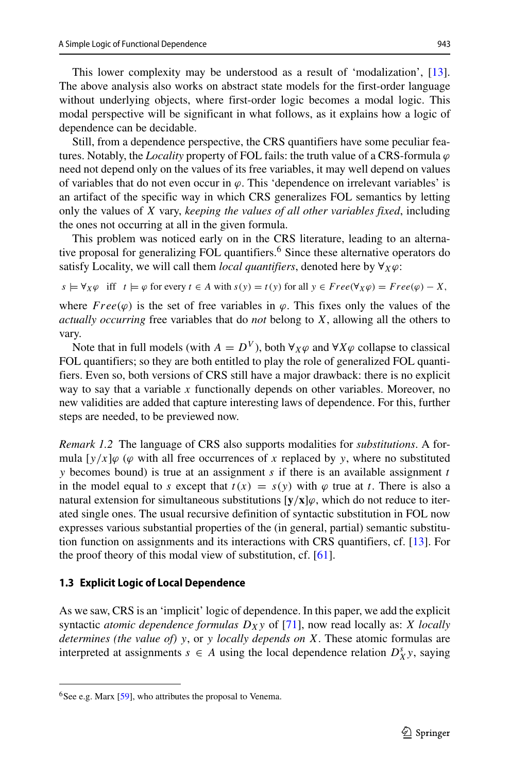This lower complexity may be understood as a result of 'modalization', [\[13\]](#page-64-1). The above analysis also works on abstract state models for the first-order language without underlying objects, where first-order logic becomes a modal logic. This modal perspective will be significant in what follows, as it explains how a logic of dependence can be decidable.

Still, from a dependence perspective, the CRS quantifiers have some peculiar features. Notably, the *Locality* property of FOL fails: the truth value of a CRS-formula *ϕ* need not depend only on the values of its free variables, it may well depend on values of variables that do not even occur in *ϕ*. This 'dependence on irrelevant variables' is an artifact of the specific way in which CRS generalizes FOL semantics by letting only the values of *X* vary, *keeping the values of all other variables fixed*, including the ones not occurring at all in the given formula.

This problem was noticed early on in the CRS literature, leading to an alterna-tive proposal for generalizing FOL quantifiers.<sup>[6](#page-4-0)</sup> Since these alternative operators do satisfy Locality, we will call them *local quantifiers*, denoted here by ∀*Xϕ*:

$$
s \models \forall_X \varphi \text{ iff } t \models \varphi \text{ for every } t \in A \text{ with } s(y) = t(y) \text{ for all } y \in Free(\forall_X \varphi) = Free(\varphi) - X,
$$

where  $Free(\varphi)$  is the set of free variables in  $\varphi$ . This fixes only the values of the *actually occurring* free variables that do *not* belong to *X*, allowing all the others to vary.

Note that in full models (with  $A = D^V$ ), both  $\forall_X \varphi$  and  $\forall X \varphi$  collapse to classical FOL quantifiers; so they are both entitled to play the role of generalized FOL quantifiers. Even so, both versions of CRS still have a major drawback: there is no explicit way to say that a variable *x* functionally depends on other variables. Moreover, no new validities are added that capture interesting laws of dependence. For this, further steps are needed, to be previewed now.

*Remark 1.2* The language of CRS also supports modalities for *substitutions*. A formula  $[y/x]\varphi$  ( $\varphi$  with all free occurrences of x replaced by y, where no substituted *y* becomes bound) is true at an assignment *s* if there is an available assignment *t* in the model equal to *s* except that  $t(x) = s(y)$  with  $\varphi$  true at *t*. There is also a natural extension for simultaneous substitutions  $[y/x]\varphi$ , which do not reduce to iterated single ones. The usual recursive definition of syntactic substitution in FOL now expresses various substantial properties of the (in general, partial) semantic substitution function on assignments and its interactions with CRS quantifiers, cf. [\[13\]](#page-64-1). For the proof theory of this modal view of substitution, cf. [\[61\]](#page-65-7).

#### **1.3 Explicit Logic of Local Dependence**

As we saw, CRS is an 'implicit' logic of dependence. In this paper, we add the explicit syntactic *atomic dependence formulas*  $D_X$ *y* of [\[71\]](#page-66-0), now read locally as: *X locally determines (the value of) y*, or *y locally depends on X*. These atomic formulas are interpreted at assignments  $s \in A$  using the local dependence relation  $D_X^s y$ , saying

<span id="page-4-0"></span> $6$ See e.g. Marx [\[59\]](#page-65-6), who attributes the proposal to Venema.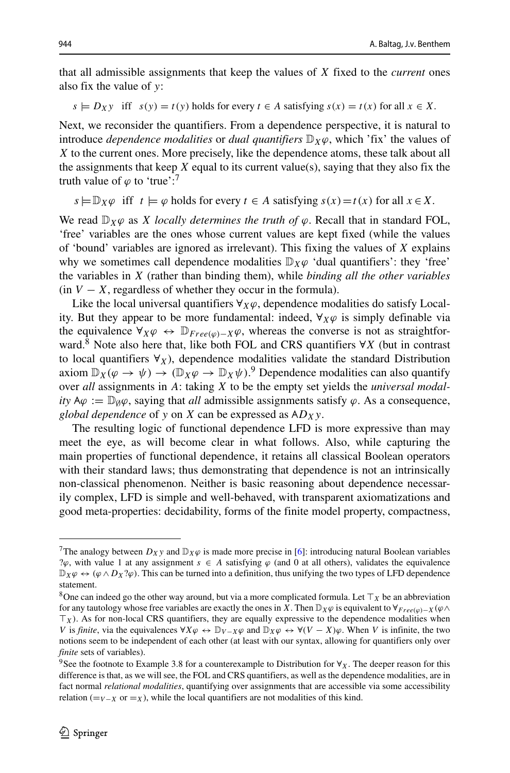that all admissible assignments that keep the values of *X* fixed to the *current* ones also fix the value of *y*:

 $s \models D_X y$  iff  $s(y) = t(y)$  holds for every  $t \in A$  satisfying  $s(x) = t(x)$  for all  $x \in X$ .

Next, we reconsider the quantifiers. From a dependence perspective, it is natural to introduce *dependence modalities* or *dual quantifiers* D*Xϕ*, which 'fix' the values of *X* to the current ones. More precisely, like the dependence atoms, these talk about all the assignments that keep  $X$  equal to its current value(s), saying that they also fix the truth value of  $\varphi$  to 'true':<sup>7</sup>

 $s \models \mathbb{D}_X \varphi$  iff  $t \models \varphi$  holds for every  $t \in A$  satisfying  $s(x) = t(x)$  for all  $x \in X$ .

We read  $\mathbb{D}_X\varphi$  as *X locally determines the truth of*  $\varphi$ . Recall that in standard FOL, 'free' variables are the ones whose current values are kept fixed (while the values of 'bound' variables are ignored as irrelevant). This fixing the values of *X* explains why we sometimes call dependence modalities  $\mathbb{D}_X\varphi$  'dual quantifiers': they 'free' the variables in *X* (rather than binding them), while *binding all the other variables*  $(in V - X, regardless of whether they occur in the formula).$ 

Like the local universal quantifiers  $\forall x \varphi$ , dependence modalities do satisfy Locality. But they appear to be more fundamental: indeed,  $\forall x \varphi$  is simply definable via the equivalence  $\forall_X \varphi \leftrightarrow \mathbb{D}_{Free(\varphi)-X}\varphi$ , whereas the converse is not as straightforward.[8](#page-5-1) Note also here that, like both FOL and CRS quantifiers <sup>∀</sup>*<sup>X</sup>* (but in contrast to local quantifiers  $\forall$ *X*), dependence modalities validate the standard Distribution axiom  $\mathbb{D}_X(\varphi \to \psi) \to (\mathbb{D}_X \varphi \to \mathbb{D}_X \psi)$ .<sup>[9](#page-5-2)</sup> Dependence modalities can also quantify over *all* assignments in *A*: taking *X* to be the empty set yields the *universal modality*  $A\varphi := D\varphi\varphi$ , saying that *all* admissible assignments satisfy  $\varphi$ . As a consequence, *global dependence* of *y* on *X* can be expressed as  $AD_Xy$ .

The resulting logic of functional dependence LFD is more expressive than may meet the eye, as will become clear in what follows. Also, while capturing the main properties of functional dependence, it retains all classical Boolean operators with their standard laws; thus demonstrating that dependence is not an intrinsically non-classical phenomenon. Neither is basic reasoning about dependence necessarily complex, LFD is simple and well-behaved, with transparent axiomatizations and good meta-properties: decidability, forms of the finite model property, compactness,

<span id="page-5-0"></span><sup>&</sup>lt;sup>7</sup>The analogy between  $D_Xy$  and  $D_X\varphi$  is made more precise in [\[6\]](#page-64-2): introducing natural Boolean variables ? $\varphi$ , with value 1 at any assignment  $s \in A$  satisfying  $\varphi$  (and 0 at all others), validates the equivalence  $\mathbb{D}_X\varphi \leftrightarrow (\varphi \wedge D_X\varphi)$ . This can be turned into a definition, thus unifying the two types of LFD dependence statement.

<span id="page-5-1"></span><sup>&</sup>lt;sup>8</sup>One can indeed go the other way around, but via a more complicated formula. Let  $\top_X$  be an abbreviation for any tautology whose free variables are exactly the ones in *X*. Then  $\mathbb{D}_X\varphi$  is equivalent to  $\forall_{Free(\omega)-X}(\varphi\wedge \varphi)$  $T_X$ ). As for non-local CRS quantifiers, they are equally expressive to the dependence modalities when *V* is *finite*, via the equivalences  $\forall X \varphi \leftrightarrow \mathbb{D}_{V-X} \varphi$  and  $\mathbb{D}_X \varphi \leftrightarrow \forall (V-X) \varphi$ . When *V* is infinite, the two notions seem to be independent of each other (at least with our syntax, allowing for quantifiers only over *finite* sets of variables).

<span id="page-5-2"></span><sup>&</sup>lt;sup>9</sup>See the footnote to Example 3.8 for a counterexample to Distribution for  $\forall$ *X*. The deeper reason for this difference is that, as we will see, the FOL and CRS quantifiers, as well as the dependence modalities, are in fact normal *relational modalities*, quantifying over assignments that are accessible via some accessibility relation ( $=V-X$  or  $=X$ ), while the local quantifiers are not modalities of this kind.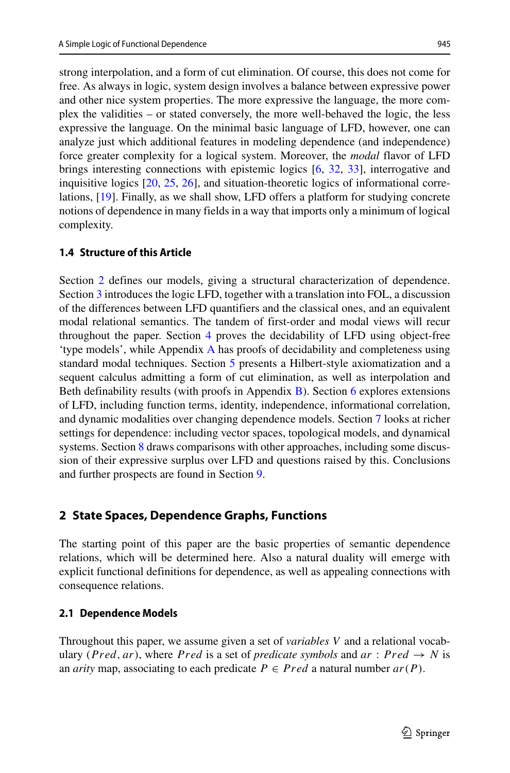strong interpolation, and a form of cut elimination. Of course, this does not come for free. As always in logic, system design involves a balance between expressive power and other nice system properties. The more expressive the language, the more complex the validities – or stated conversely, the more well-behaved the logic, the less expressive the language. On the minimal basic language of LFD, however, one can analyze just which additional features in modeling dependence (and independence) force greater complexity for a logical system. Moreover, the *modal* flavor of LFD brings interesting connections with epistemic logics [\[6,](#page-64-2) [32,](#page-64-3) [33\]](#page-64-4), interrogative and inquisitive logics [\[20,](#page-64-5) [25,](#page-64-6) [26\]](#page-64-7), and situation-theoretic logics of informational correlations, [\[19\]](#page-64-8). Finally, as we shall show, LFD offers a platform for studying concrete notions of dependence in many fields in a way that imports only a minimum of logical complexity.

## **1.4 Structure of this Article**

Section [2](#page-6-0) defines our models, giving a structural characterization of dependence. Section [3](#page-13-0) introduces the logic LFD, together with a translation into FOL, a discussion of the differences between LFD quantifiers and the classical ones, and an equivalent modal relational semantics. The tandem of first-order and modal views will recur throughout the paper. Section [4](#page-24-0) proves the decidability of LFD using object-free 'type models', while Appendix [A](#page-58-0) has proofs of decidability and completeness using standard modal techniques. Section [5](#page-30-0) presents a Hilbert-style axiomatization and a sequent calculus admitting a form of cut elimination, as well as interpolation and Beth definability results (with proofs in Appendix [B\)](#page-62-0). Section [6](#page-37-0) explores extensions of LFD, including function terms, identity, independence, informational correlation, and dynamic modalities over changing dependence models. Section [7](#page-47-0) looks at richer settings for dependence: including vector spaces, topological models, and dynamical systems. Section [8](#page-53-0) draws comparisons with other approaches, including some discussion of their expressive surplus over LFD and questions raised by this. Conclusions and further prospects are found in Section [9.](#page-58-1)

# <span id="page-6-0"></span>**2 State Spaces, Dependence Graphs, Functions**

The starting point of this paper are the basic properties of semantic dependence relations, which will be determined here. Also a natural duality will emerge with explicit functional definitions for dependence, as well as appealing connections with consequence relations.

#### **2.1 Dependence Models**

Throughout this paper, we assume given a set of *variables V* and a relational vocabulary *(Pred, ar)*, where *Pred* is a set of *predicate symbols* and  $ar : Pred \rightarrow N$  is an *arity* map, associating to each predicate  $P \in Pred$  a natural number  $ar(P)$ .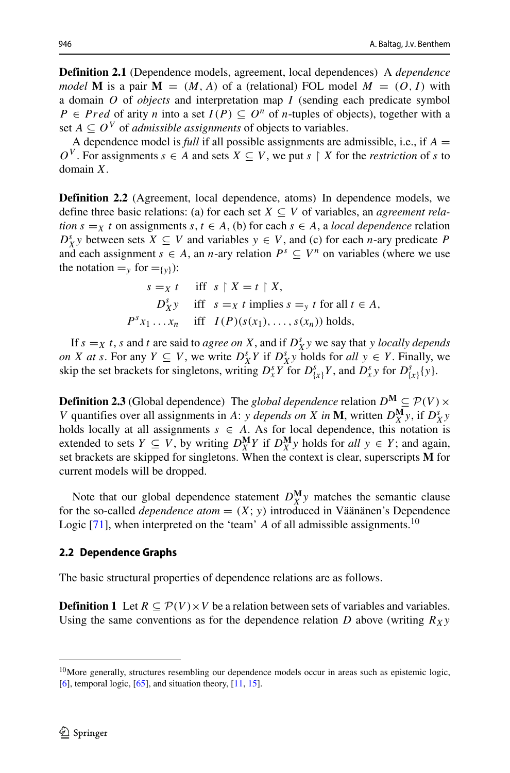**Definition 2.1** (Dependence models, agreement, local dependences) A *dependence model* **M** is a pair  $M = (M, A)$  of a (relational) FOL model  $M = (O, I)$  with a domain *O* of *objects* and interpretation map *I* (sending each predicate symbol *P* ∈ *Pred* of arity *n* into a set *I*(*P*) ⊆ *O*<sup>*n*</sup> of *n*-tuples of objects), together with a set  $A \subseteq O^V$  of *admissible assignments* of objects to variables.

A dependence model is *full* if all possible assignments are admissible, i.e., if *A* =  $O^V$ . For assignments  $s \in A$  and sets  $X \subseteq V$ , we put  $s \restriction X$  for the *restriction* of *s* to domain *X*.

**Definition 2.2** (Agreement, local dependence, atoms) In dependence models, we define three basic relations: (a) for each set  $X \subseteq V$  of variables, an *agreement relation*  $s = X$  *t* on assignments  $s, t \in A$ , (b) for each  $s \in A$ , a *local dependence* relation  $D_X^s$  *y* between sets  $X \subseteq V$  and variables  $y \in V$ , and (c) for each *n*-ary predicate *P* and each assignment  $s \in A$ , an *n*-ary relation  $P^s \subseteq V^n$  on variables (where we use the notation  $=_{v}$  for  $=_{v}$ ):

$$
s = x \ t \quad \text{iff} \ s \upharpoonright X = t \upharpoonright X,
$$
  
\n
$$
D_X^s y \quad \text{iff} \ s = x \ t \text{ implies } s = y \ t \text{ for all } t \in A,
$$
  
\n
$$
P^s x_1 \ldots x_n \quad \text{iff} \ I(P)(s(x_1), \ldots, s(x_n)) \text{ holds},
$$

If  $s =_X t$ , *s* and *t* are said to *agree on X*, and if  $D_X^s y$  we say that *y locally depends on X at s*. For any *Y* ⊆ *V*, we write  $D_X^s Y$  if  $D_X^s Y$  holds for *all*  $y \text{ ∈ } Y$ . Finally, we skip the set brackets for singletons, writing  $D_x^s Y$  for  $D_{\{x\}}^s Y$ , and  $D_x^s y$  for  $D_{\{x\}}^s \{y\}$ .

**Definition 2.3** (Global dependence) The *global dependence* relation  $D^M \subseteq \mathcal{P}(V) \times$ *V* quantifies over all assignments in *A*: *y depends on X in* **M**, written  $D_X^{\mathbf{M}}y$ , if  $D_X^s y$ holds locally at all assignments  $s \in A$ . As for local dependence, this notation is extended to sets  $Y \subseteq V$ , by writing  $D_X^{\mathbf{M}} Y$  if  $D_X^{\mathbf{M}} y$  holds for *all*  $y \in Y$ ; and again, set brackets are skipped for singletons. When the context is clear, superscripts **M** for current models will be dropped.

Note that our global dependence statement  $D_X^{\mathbf{M}}$  *y* matches the semantic clause for the so-called *dependence atom* =  $(X; y)$  introduced in Väänänen's Dependence Logic  $[71]$ , when interpreted on the 'team' *A* of all admissible assignments.<sup>[10](#page-7-0)</sup>

#### **2.2 Dependence Graphs**

The basic structural properties of dependence relations are as follows.

**Definition 1** Let  $R \subseteq \mathcal{P}(V) \times V$  be a relation between sets of variables and variables. Using the same conventions as for the dependence relation *D* above (writing  $R_Xy$ 

<span id="page-7-0"></span><sup>&</sup>lt;sup>10</sup>More generally, structures resembling our dependence models occur in areas such as epistemic logic,  $[6]$ , temporal logic,  $[65]$ , and situation theory,  $[11, 15]$  $[11, 15]$  $[11, 15]$ .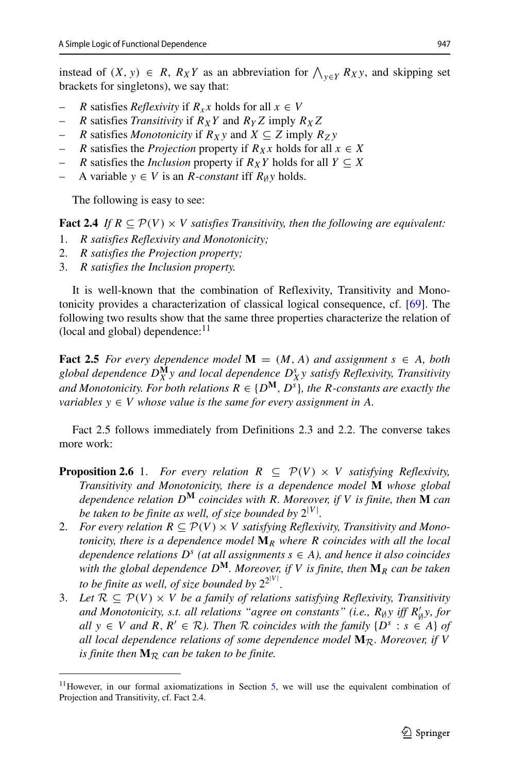instead of  $(X, y) \in R$ ,  $R_X Y$  as an abbreviation for  $\bigwedge_{y \in Y} R_X y$ , and skipping set brackets for singletons), we say that:

- *R* satisfies *Reflexivity* if  $R_{x}x$  holds for all  $x \in V$
- *R* satisfies *Transitivity* if  $R_XY$  and  $R_YZ$  imply  $R_XZ$
- *R* satisfies *Monotonicity* if  $R_X y$  and  $X \subseteq Z$  imply  $R_Z y$
- *R* satisfies the *Projection* property if  $R_Xx$  holds for all  $x \in X$
- *R* satisfies the *Inclusion* property if  $R_XY$  holds for all  $Y \subseteq X$
- A variable  $y \in V$  is an *R*-constant iff  $R_{\emptyset}y$  holds.

The following is easy to see:

**Fact 2.4** *If*  $R \subseteq \mathcal{P}(V) \times V$  *satisfies Transitivity, then the following are equivalent:* 

- 1. *R satisfies Reflexivity and Monotonicity;*
- 2. *R satisfies the Projection property;*
- 3. *R satisfies the Inclusion property.*

It is well-known that the combination of Reflexivity, Transitivity and Monotonicity provides a characterization of classical logical consequence, cf. [\[69\]](#page-65-9). The following two results show that the same three properties characterize the relation of (local and global) dependence: $^{11}$  $^{11}$  $^{11}$ 

**Fact 2.5** *For every dependence model*  $M = (M, A)$  *and assignment*  $s \in A$ *, both global dependence D***<sup>M</sup>** *<sup>X</sup> <sup>y</sup> and local dependence <sup>D</sup><sup>s</sup> <sup>X</sup>y satisfy Reflexivity, Transitivity and Monotonicity. For both relations*  $R \in \{D^M, D^s\}$ , the *R-constants are exactly the variables*  $y \in V$  *whose value is the same for every assignment in A.* 

Fact 2.5 follows immediately from Definitions 2.3 and 2.2. The converse takes more work:

- **Proposition 2.6** 1. *For every relation*  $R \subseteq \mathcal{P}(V) \times V$  *satisfying Reflexivity, Transitivity and Monotonicity, there is a dependence model* **M** *whose global dependence relation D***<sup>M</sup>** *coincides with R. Moreover, if V is finite, then* **M** *can be taken to be finite as well, of size bounded by* 2|*<sup>V</sup>* <sup>|</sup> *.*
- 2. *For every relation*  $R \subseteq \mathcal{P}(V) \times V$  *satisfying Reflexivity, Transitivity and Monotonicity, there is a dependence model* **M***<sup>R</sup> where R coincides with all the local dependence relations*  $D^s$  *(at all assignments*  $s \in A$ *), and hence it also coincides with the global dependence D***M***. Moreover, if V is finite, then* **M***<sup>R</sup> can be taken to be finite as well, of size bounded by* 22|*<sup>V</sup>* <sup>|</sup> *.*
- 3. Let  $\mathcal{R} \subseteq \mathcal{P}(V) \times V$  *be a family of relations satisfying Reflexivity, Transitivity and Monotonicity, s.t. all relations "agree on constants" (i.e.,*  $R_{\beta}y$  *iff*  $R'_{\beta}y$ *, for*  $\eta'$ *,*  $\eta'$ *,*  $\eta'$ *,*  $\eta'$ *,*  $\eta'$ *,*  $\eta'$ *,*  $\eta'$ *,*  $\eta'$ *,*  $\eta'$ *,*  $\eta'$ *,*  $\eta'$ *,*  $\eta'$ *,*  $\eta'$ *,*  $\eta'$ *,*  $\eta'$ *,*  $\eta'$ *,*  $\eta'$ *,*  $\eta'$ *, all*  $y \in V$  *and*  $R, R' \in \mathcal{R}$ *). Then*  $\mathcal{R}$  *coincides with the family*  $\{D^s : s \in A\}$  *of all local dependence relations of some dependence model*  $M_{\mathcal{R}}$ *. Moreover, if V is finite then*  $M_R$  *can be taken to be finite.*

<span id="page-8-0"></span> $11$ However, in our formal axiomatizations in Section [5,](#page-30-0) we will use the equivalent combination of Projection and Transitivity, cf. Fact 2.4.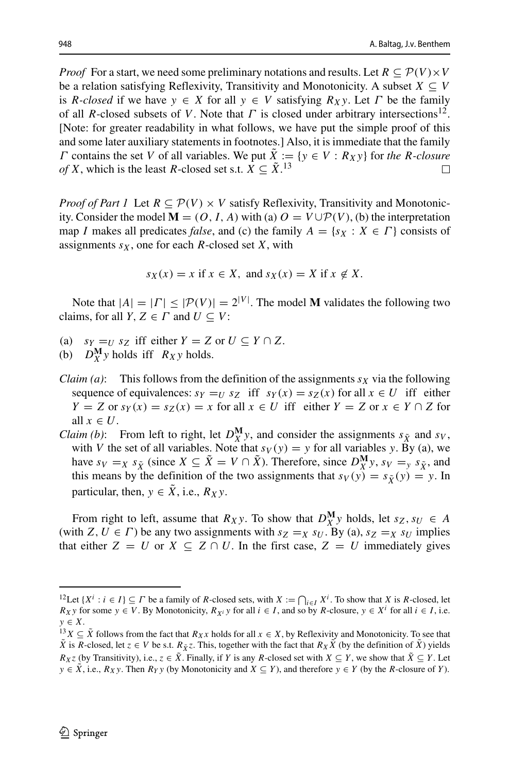*Proof* For a start, we need some preliminary notations and results. Let  $R \subseteq \mathcal{P}(V) \times V$ be a relation satisfying Reflexivity, Transitivity and Monotonicity. A subset  $X \subseteq V$ is *R*-closed if we have  $y \in X$  for all  $y \in V$  satisfying  $R_X y$ . Let  $\Gamma$  be the family of all *R*-closed subsets of *V*. Note that *Γ* is closed under arbitrary intersections<sup>12</sup>. [Note: for greater readability in what follows, we have put the simple proof of this and some later auxiliary statements in footnotes.] Also, it is immediate that the family *Γ* contains the set *V* of all variables. We put  $\hat{X} := \{y \in V : R_Xy\}$  for *the R-closure of X*, which is the least *R*-closed set s.t.  $X \subseteq \tilde{X}$ .<sup>13</sup> *of X*, which is the least *R*-closed set s.t.  $X \subseteq \tilde{X}$ .<sup>[13](#page-9-1)</sup>

*Proof of Part 1* Let  $R \subseteq \mathcal{P}(V) \times V$  satisfy Reflexivity, Transitivity and Monotonicity. Consider the model  $M = (O, I, A)$  with (a)  $O = V \cup \mathcal{P}(V)$ , (b) the interpretation map *I* makes all predicates *false*, and (c) the family  $A = \{s_X : X \in \Gamma\}$  consists of assignments  $s_X$ , one for each *R*-closed set *X*, with

$$
s_X(x) = x \text{ if } x \in X, \text{ and } s_X(x) = X \text{ if } x \notin X.
$$

Note that  $|A| = |\Gamma| \leq |\mathcal{P}(V)| = 2^{|V|}$ . The model **M** validates the following two claims, for all *Y*,  $Z \in \Gamma$  and  $U \subseteq V$ :

- (a)  $s_Y = U$   $s_Z$  iff either  $Y = Z$  or  $U \subseteq Y \cap Z$ .
- (b)  $D_X^{\mathbf{M}}$ *y* holds iff  $R_X$ *y* holds.
- *Claim (a)*: This follows from the definition of the assignments  $s<sub>X</sub>$  via the following sequence of equivalences:  $s_Y = U$   $s_Z$  iff  $s_Y(x) = s_Z(x)$  for all  $x \in U$  iff either *Y* = *Z* or *sy*(*x*) = *sz*(*x*) = *x* for all *x* ∈ *U* iff either *Y* = *Z* or *x* ∈ *Y* ∩ *Z* for all  $x \in U$ .
- *Claim (b)*: From left to right, let  $D_X^{\mathbf{M}}$ *y*, and consider the assignments  $s_{\tilde{X}}$  and  $s_V$ , with *V* the set of all variables. Note that  $s_V(y) = y$  for all variables *y*. By (a), we have  $s_V =_X s_{\tilde{X}}$  (since  $X \subseteq \tilde{X} = V \cap \tilde{X}$ ). Therefore, since  $D_X^{\mathbf{M}} y$ ,  $s_V =_y s_{\tilde{X}}$ , and this means by the definition of the two assignments that  $s_V(y) = s_{\tilde{X}}(y) = y$ . In particular, then,  $y \in \overline{X}$ , i.e.,  $R_X y$ .

From right to left, assume that *R<sub>X</sub>y*. To show that  $D_X^M y$  holds, let  $s_Z, s_U \in A$ (with *Z*,  $U \in \Gamma$ ) be any two assignments with  $s_Z = x s_U$ . By (a),  $s_Z = x s_U$  implies that either  $Z = U$  or  $X \subseteq Z \cap U$ . In the first case,  $Z = U$  immediately gives

<span id="page-9-0"></span><sup>&</sup>lt;sup>12</sup>Let  $\{X^i : i \in I\} \subseteq \Gamma$  be a family of *R*-closed sets, with  $X := \bigcap_{i \in I} X^i$ . To show that *X* is *R*-closed, let *Rxy* for some *y* ∈ *V*. By Monotonicity, *R<sub>X</sub>i</sub> y* for all *i* ∈ *I*, and so by *R*-closure, *y* ∈ *X<sup>i</sup>* for all *i* ∈ *I*, i.e. *y* ∈ *X*.

<span id="page-9-1"></span> $y^{13}$ *X* ⊆  $\tilde{X}$  follows from the fact that *R<sub>X</sub>x* holds for all *x* ∈ *X*, by Reflexivity and Monotonicity. To see that *X* is *R*-closed, let  $z \in V$  be s.t.  $R_{\tilde{X}}z$ . This, together with the fact that  $R_X\tilde{X}$  (by the definition of  $\tilde{X}$ ) yields *Rxz* (by Transitivity), i.e.,  $z \in \tilde{X}$ . Finally, if *Y* is any *R*-closed set with  $X \subseteq Y$ , we show that  $\tilde{X} \subseteq Y$ . Let *y* ∈ *X*, i.e., *R<sub>X</sub>y*. Then *R<sub>Y</sub> y* (by Monotonicity and *X* ⊆ *Y*), and therefore *y* ∈ *Y* (by the *R*-closure of *Y*).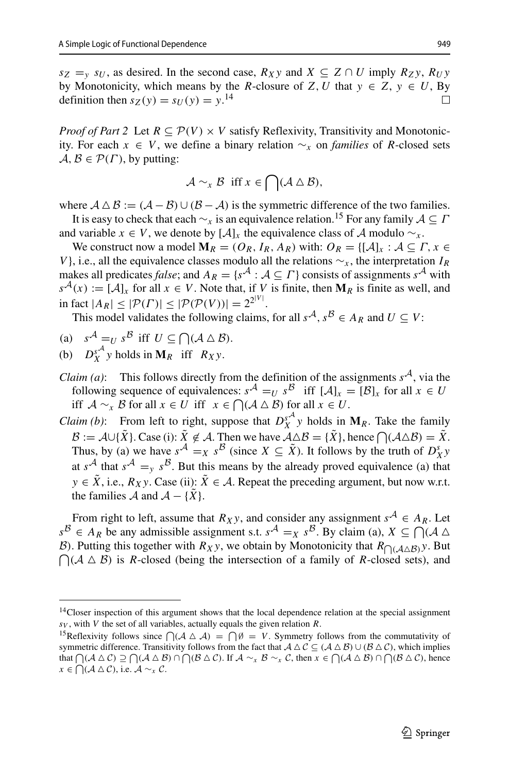$s_Z = v \ s_U$ , as desired. In the second case,  $R_X y$  and  $X \subseteq Z \cap U$  imply  $R_Z y$ ,  $R_U y$ by Monotonicity, which means by the *R*-closure of *Z*, *U* that *y* ∈ *Z*, *y* ∈ *U*, By definition then  $sz(v) = sU(v) = v^{14}$ definition then  $s_Z(y) = s_U(y) = y$ .<sup>[14](#page-10-0)</sup>

*Proof of Part 2* Let  $R \subseteq \mathcal{P}(V) \times V$  satisfy Reflexivity, Transitivity and Monotonicity. For each  $x \in V$ , we define a binary relation  $\sim_x$  on *families* of *R*-closed sets  $A, B \in \mathcal{P}(\Gamma)$ , by putting:

$$
\mathcal{A} \sim_{\mathfrak{X}} \mathcal{B} \text{ iff } x \in \bigcap (\mathcal{A} \triangle \mathcal{B}),
$$

where  $A \Delta B := (A - B) \cup (B - A)$  is the symmetric difference of the two families.

It is easy to check that each  $\sim$ <sub>x</sub> is an equivalence relation.<sup>15</sup> For any family  $A \subseteq \Gamma$ and variable  $x \in V$ , we denote by  $[\mathcal{A}]_x$  the equivalence class of A modulo  $\sim_x$ .

We construct now a model  $M_R = (O_R, I_R, A_R)$  with:  $O_R = \{ [A]_x : A \subseteq \Gamma, x \in$ *V* }, i.e., all the equivalence classes modulo all the relations  $\sim$ <sub>*x*</sub>, the interpretation *IR* makes all predicates *false*; and  $A_R = \{s^A : A \subseteq \Gamma\}$  consists of assignments  $s^A$  with  $s^{\mathcal{A}}(x) := [\mathcal{A}]_x$  for all  $x \in V$ . Note that, if *V* is finite, then  $M_R$  is finite as well, and  $\inf_{\mathbb{R}^n} |A_R| \leq |\mathcal{P}(F)| \leq |\mathcal{P}(\mathcal{P}(V))| = 2^{2^{|V|}}.$ 

This model validates the following claims, for all  $s^A$ ,  $s^B \in A_R$  and  $U \subset V$ :

- (a)  $s^{\mathcal{A}} = U s^{\mathcal{B}}$  iff  $U \subseteq \bigcap (\mathcal{A} \triangle \mathcal{B})$ .
- (b)  $D_X^{sA}$  *y* holds in **M***R* iff *R<sub>X</sub>y*.
- *Claim (a)*: This follows directly from the definition of the assignments  $s^A$ , via the following sequence of equivalences:  $s^A = U s^B$  iff  $[A]_x = [B]_x$  for all  $x \in U$ iff  $\mathcal{A} \sim_{\mathcal{X}} \mathcal{B}$  for all  $x \in U$  iff  $x \in \bigcap (\mathcal{A} \triangle \mathcal{B})$  for all  $x \in U$ .
- *Claim (b)*: From left to right, suppose that  $D_X^{sA}$  *y* holds in  $M_R$ . Take the family  $\mathcal{B} := \mathcal{A} \cup \{\tilde{X}\}\.$  Case (i):  $\tilde{X} \notin \mathcal{A}$ . Then we have  $\mathcal{A} \triangle \mathcal{B} = \{\tilde{X}\}\.$  hence  $\bigcap (\mathcal{A} \triangle \mathcal{B}) = \tilde{X}$ . Thus, by (a) we have  $s^A = x s^B$  (since  $X \subseteq \tilde{X}$ ). It follows by the truth of  $D_X^s y$ at  $s^A$  that  $s^A = y s^B$ . But this means by the already proved equivalence (a) that *y* ∈  $\tilde{X}$ , i.e.,  $R_X$ *y*. Case (ii):  $\tilde{X}$  ∈ A. Repeat the preceding argument, but now w.r.t. the families  $\mathcal{A}$  and  $\mathcal{A} - {\tilde{X}}$ .

From right to left, assume that  $R_X$ y, and consider any assignment  $s^A \in A_R$ . Let  $s^B \in A_R$  be any admissible assignment s.t.  $s^A = x s^B$ . By claim (a),  $X \subseteq \bigcap_{i=1}^{\infty} (A \triangle_i)$ B). Putting this together with  $R_X$ y, we obtain by Monotonicity that  $R_{\bigcap (\mathcal{A} \triangle \mathcal{B})}$ y. But  $\bigcap (A \triangle B)$  is *R*-closed (being the intersection of a family of *R*-closed sets), and

<span id="page-10-0"></span><sup>&</sup>lt;sup>14</sup>Closer inspection of this argument shows that the local dependence relation at the special assignment *sV* , with *V* the set of all variables, actually equals the given relation *R*.

<span id="page-10-1"></span><sup>&</sup>lt;sup>15</sup>Reflexivity follows since  $\bigcap (A \triangle A) = \bigcap \emptyset = V$ . Symmetry follows from the commutativity of symmetric difference. Transitivity follows from the fact that  $A \Delta C \subseteq (A \Delta B) \cup (B \Delta C)$ , which implies that  $\bigcap (A \triangle C) \supseteq \bigcap (A \triangle B) \cap \bigcap (B \triangle C)$ . If  $A \sim_x B \sim_x C$ , then  $x \in \bigcap (A \triangle B) \cap \bigcap (B \triangle C)$ , hence *x* ∈  $\bigcap (A \triangle C)$ , i.e.  $A \sim_{\mathfrak{X}} C$ .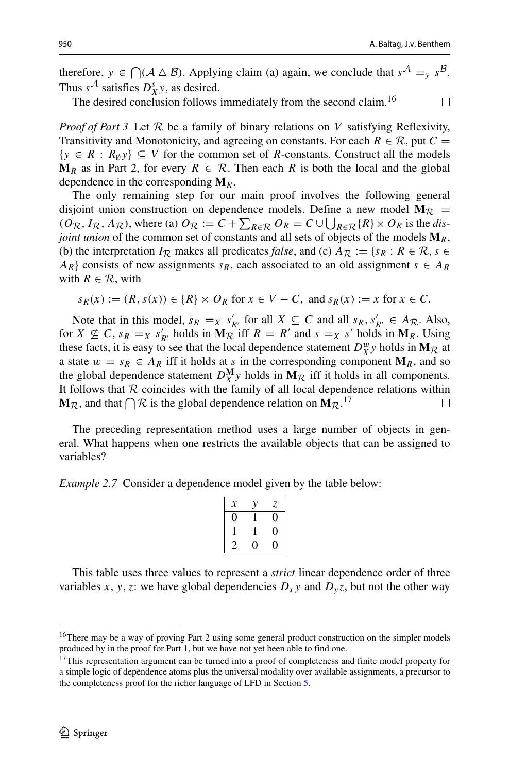$\Box$ 

therefore,  $y \in \bigcap (A \triangle B)$ . Applying claim (a) again, we conclude that  $s^A = y s^B$ . Thus  $s^{\mathcal{A}}$  satisfies  $D_X^s y$ , as desired.

The desired conclusion follows immediately from the second claim.<sup>[16](#page-11-0)</sup>

*Proof of Part 3* Let R be a family of binary relations on *V* satisfying Reflexivity, Transitivity and Monotonicity, and agreeing on constants. For each  $R \in \mathcal{R}$ , put  $C =$  $\{y \in R : R_{\emptyset}y\} \subseteq V$  for the common set of *R*-constants. Construct all the models  $M_R$  as in Part 2, for every  $R \in \mathcal{R}$ . Then each R is both the local and the global dependence in the corresponding **M***R*.

The only remaining step for our main proof involves the following general disjoint union construction on dependence models. Define a new model  $M_{\mathcal{R}}$  =  $(O_R, I_R, A_R)$ , where (a)  $O_R := C + \sum_{R \in \mathcal{R}} O_R = C \cup \bigcup_{R \in \mathcal{R}} \{R\} \times O_R$  is the *disjoint union* of the common set of constants and all sets of objects of the models **M***R*, (b) the interpretation  $I_{\mathcal{R}}$  makes all predicates *false*, and (c)  $A_{\mathcal{R}} := \{s_R : R \in \mathcal{R}, s \in \mathcal{R}\}$ *AR*} consists of new assignments  $s_R$ , each associated to an old assignment  $s \in A_R$ with  $R \in \mathcal{R}$ , with

$$
s_R(x) := (R, s(x)) \in \{R\} \times O_R \text{ for } x \in V - C, \text{ and } s_R(x) := x \text{ for } x \in C.
$$

Note that in this model,  $s_R = X s'_{R'}$  for all  $X \subseteq C$  and all  $s_R, s'_{R'} \in A_{\mathcal{R}}$ . Also, for  $X \nsubseteq C$ ,  $s_R =_X s'_{R'}$  holds in  $\mathbf{M}_{\mathcal{R}}$  iff  $R = R'$  and  $s =_X s'$  holds in  $\mathbf{M}_R$ . Using these facts, it is easy to see that the local dependence statement  $D_X^w y$  holds in  $M_R$  at a state  $w = s_R \in A_R$  iff it holds at *s* in the corresponding component  $M_R$ , and so the global dependence statement  $D_X^{\mathbf{M}}y$  holds in  $\mathbf{M}_{\mathcal{R}}$  iff it holds in all components. It follows that R coincides with the family of all local dependence relations within  $M_{\text{D}}$  and that  $\bigcap R$  is the global dependence relation on  $M_{\text{D}}$   $^{17}$ **M**R, and that  $\bigcap \mathcal{R}$  is the global dependence relation on  $M_{\mathcal{R}}$ .<sup>[17](#page-11-1)</sup>

The preceding representation method uses a large number of objects in general. What happens when one restricts the available objects that can be assigned to variables?

*Example 2.7* Consider a dependence model given by the table below:

| х |    | 7 |
|---|----|---|
| 0 |    | 0 |
|   |    | 0 |
| 2 | I) | 0 |

This table uses three values to represent a *strict* linear dependence order of three variables *x*, *y*, *z*: we have global dependencies  $D_x y$  and  $D_y z$ , but not the other way

<span id="page-11-0"></span><sup>&</sup>lt;sup>16</sup>There may be a way of proving Part 2 using some general product construction on the simpler models produced by in the proof for Part 1, but we have not yet been able to find one.

<span id="page-11-1"></span><sup>&</sup>lt;sup>17</sup>This representation argument can be turned into a proof of completeness and finite model property for a simple logic of dependence atoms plus the universal modality over available assignments, a precursor to the completeness proof for the richer language of LFD in Section [5.](#page-30-0)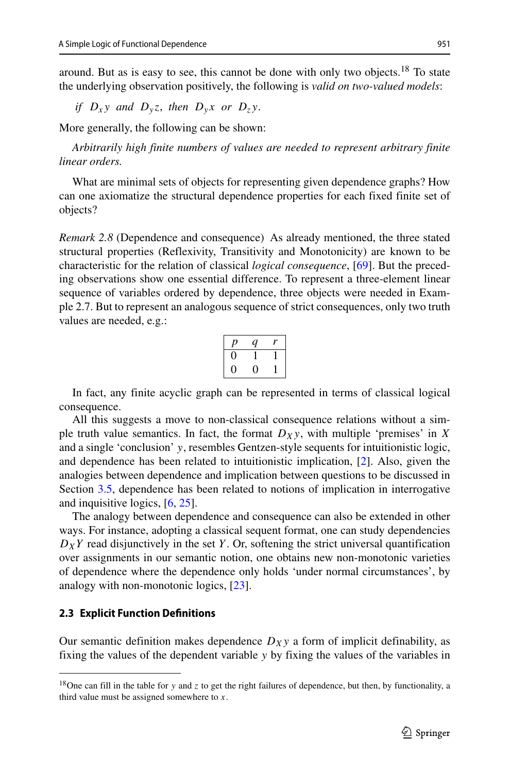around. But as is easy to see, this cannot be done with only two objects.<sup>18</sup> To state the underlying observation positively, the following is *valid on two-valued models*:

*if*  $D_x y$  *and*  $D_y z$ , *then*  $D_y x$  *or*  $D_z y$ .

More generally, the following can be shown:

*Arbitrarily high finite numbers of values are needed to represent arbitrary finite linear orders.*

What are minimal sets of objects for representing given dependence graphs? How can one axiomatize the structural dependence properties for each fixed finite set of objects?

*Remark 2.8* (Dependence and consequence) As already mentioned, the three stated structural properties (Reflexivity, Transitivity and Monotonicity) are known to be characteristic for the relation of classical *logical consequence*, [\[69\]](#page-65-9). But the preceding observations show one essential difference. To represent a three-element linear sequence of variables ordered by dependence, three objects were needed in Example 2.7. But to represent an analogous sequence of strict consequences, only two truth values are needed, e.g.:

| D | q |  |
|---|---|--|
|   |   |  |
| ш |   |  |

In fact, any finite acyclic graph can be represented in terms of classical logical consequence.

All this suggests a move to non-classical consequence relations without a simple truth value semantics. In fact, the format  $D_Xy$ , with multiple 'premises' in *X* and a single 'conclusion' *y*, resembles Gentzen-style sequents for intuitionistic logic, and dependence has been related to intuitionistic implication, [\[2\]](#page-63-2). Also, given the analogies between dependence and implication between questions to be discussed in Section [3.5,](#page-23-0) dependence has been related to notions of implication in interrogative and inquisitive logics, [\[6,](#page-64-2) [25\]](#page-64-6).

The analogy between dependence and consequence can also be extended in other ways. For instance, adopting a classical sequent format, one can study dependencies  $D_XY$  read disjunctively in the set *Y*. Or, softening the strict universal quantification over assignments in our semantic notion, one obtains new non-monotonic varieties of dependence where the dependence only holds 'under normal circumstances', by analogy with non-monotonic logics, [\[23\]](#page-64-11).

# <span id="page-12-1"></span>**2.3 Explicit Function Definitions**

Our semantic definition makes dependence  $D_Xy$  a form of implicit definability, as fixing the values of the dependent variable *y* by fixing the values of the variables in

<span id="page-12-0"></span><sup>&</sup>lt;sup>18</sup>One can fill in the table for *y* and *z* to get the right failures of dependence, but then, by functionality, a third value must be assigned somewhere to *x*.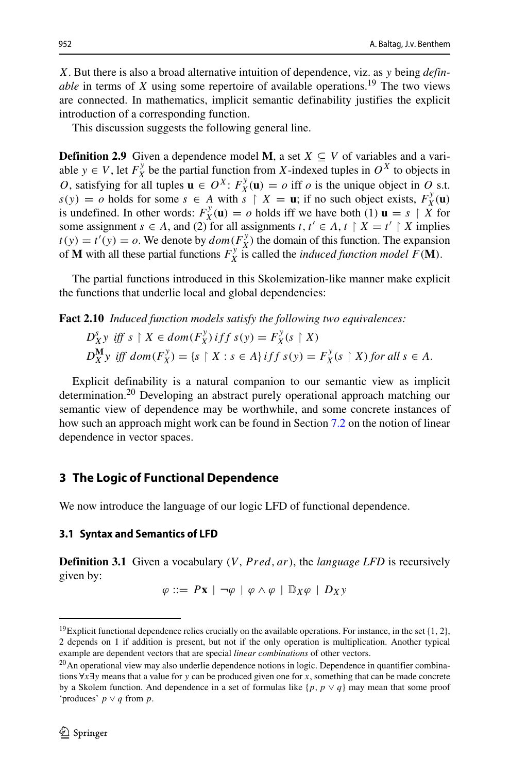*X*. But there is also a broad alternative intuition of dependence, viz. as *y* being *definable* in terms of *X* using some repertoire of available operations.<sup>19</sup> The two views are connected. In mathematics, implicit semantic definability justifies the explicit introduction of a corresponding function.

This discussion suggests the following general line.

**Definition 2.9** Given a dependence model **M**, a set  $X \subseteq V$  of variables and a variable *y*  $\in$  *V*, let  $F_X^y$  be the partial function from *X*-indexed tuples in  $O^X$  to objects in *O*, satisfying for all tuples  $\mathbf{u} \in O^X$ :  $F_X^y(\mathbf{u}) = o$  iff *o* is the unique object in *O* s.t.  $s(y) = o$  holds for some  $s \in A$  with  $s \restriction X = \mathbf{u}$ ; if no such object exists,  $F_X^y(\mathbf{u})$ is undefined. In other words:  $F_X^y(\mathbf{u}) = o$  holds iff we have both (1)  $\mathbf{u} = s \restriction \hat{X}$  for some assignment *s*  $\in$  *A*, and (2) for all assignments *t*, *t'*  $\in$  *A*, *t* | *X* = *t'* | *X* implies  $t(y) = t'(y) = o$ . We denote by  $dom(F_X^y)$  the domain of this function. The expansion of **M** with all these partial functions  $F_X^{\mathcal{Y}}$  is called the *induced function model*  $F(\mathbf{M})$ .

The partial functions introduced in this Skolemization-like manner make explicit the functions that underlie local and global dependencies:

**Fact 2.10** *Induced function models satisfy the following two equivalences:*

$$
D_X^s y \text{ iff } s \upharpoonright X \in dom(F_X^y) \text{ iff } s(y) = F_X^y(s \upharpoonright X)
$$
  

$$
D_X^{\mathbf{M}} y \text{ iff } dom(F_X^y) = \{s \upharpoonright X : s \in A\} \text{ iff } s(y) = F_X^y(s \upharpoonright X) \text{ for all } s \in A.
$$

Explicit definability is a natural companion to our semantic view as implicit determination.<sup>20</sup> Developing an abstract purely operational approach matching our semantic view of dependence may be worthwhile, and some concrete instances of how such an approach might work can be found in Section [7.2](#page-48-0) on the notion of linear dependence in vector spaces.

# <span id="page-13-0"></span>**3 The Logic of Functional Dependence**

We now introduce the language of our logic LFD of functional dependence.

#### <span id="page-13-3"></span>**3.1 Syntax and Semantics of LFD**

**Definition 3.1** Given a vocabulary *(V, Pred, ar)*, the *language LFD* is recursively given by:

$$
\varphi ::= P\mathbf{x} \mid \neg \varphi \mid \varphi \land \varphi \mid \mathbb{D}_X \varphi \mid D_X y
$$

<span id="page-13-1"></span><sup>19</sup>Explicit functional dependence relies crucially on the available operations. For instance, in the set {1*,* <sup>2</sup>}, 2 depends on 1 if addition is present, but not if the only operation is multiplication. Another typical example are dependent vectors that are special *linear combinations* of other vectors.

<span id="page-13-2"></span><sup>&</sup>lt;sup>20</sup>An operational view may also underlie dependence notions in logic. Dependence in quantifier combinations ∀*x*∃*y* means that a value for *y* can be produced given one for *x*, something that can be made concrete by a Skolem function. And dependence in a set of formulas like  $\{p, p \vee q\}$  may mean that some proof 'produces' *p* ∨ *q* from *p*.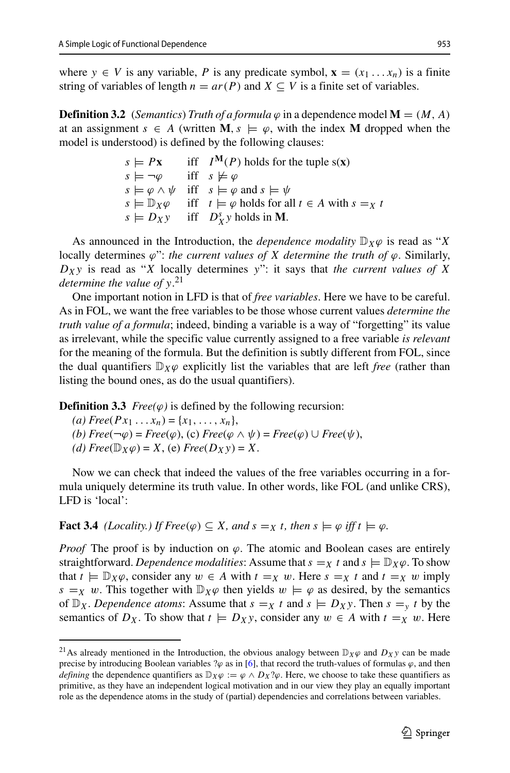where  $y \in V$  is any variable, P is any predicate symbol,  $\mathbf{x} = (x_1 \dots x_n)$  is a finite string of variables of length  $n = ar(P)$  and  $X \subseteq V$  is a finite set of variables.

**Definition 3.2** *(Semantics) Truth of a formula*  $\varphi$  in a dependence model **M** =  $(M, A)$ at an assignment  $s \in A$  (written **M**,  $s \models \varphi$ , with the index **M** dropped when the model is understood) is defined by the following clauses:

> $s \models Px$  iff  $I^M(P)$  holds for the tuple s(**x**)<br>  $s \models \neg \varphi$  iff  $s \not\models \varphi$  $\text{iff} \quad s \not\models \varphi$  $s \models \varphi \land \psi$  iff  $s \models \varphi$  and  $s \models \psi$  $s \models \mathbb{D}_X \varphi$  iff  $t \models \varphi$  holds for all  $t \in A$  with  $s = x$  *t*  $s \models D_X y$  iff  $D_X^s y$  holds in **M**.

As announced in the Introduction, the *dependence modality*  $\mathbb{D}_X\varphi$  is read as "*X* locally determines *ϕ*": *the current values of X determine the truth of ϕ*. Similarly, *DXy* is read as "*X* locally determines *y*": it says that *the current values of X determine the value of y*. [21](#page-14-0)

One important notion in LFD is that of *free variables*. Here we have to be careful. As in FOL, we want the free variables to be those whose current values *determine the truth value of a formula*; indeed, binding a variable is a way of "forgetting" its value as irrelevant, while the specific value currently assigned to a free variable *is relevant* for the meaning of the formula. But the definition is subtly different from FOL, since the dual quantifiers  $\mathbb{D}_X\varphi$  explicitly list the variables that are left *free* (rather than listing the bound ones, as do the usual quantifiers).

**Definition 3.3** *Free(* $\varphi$ *)* is defined by the following recursion:

 $(a) \, Free(Px_1 \ldots x_n) = \{x_1, \ldots, x_n\},\,$ 

 $(b) \text{Free}(\neg \varphi) = \text{Free}(\varphi)$ , (c)  $\text{Free}(\varphi \land \psi) = \text{Free}(\varphi) \cup \text{Free}(\psi)$ ,

 $(d)$  *Free*( $\mathbb{D}_X \varphi$ ) = *X*, (e) *Free*( $D_X y$ ) = *X*.

Now we can check that indeed the values of the free variables occurring in a formula uniquely determine its truth value. In other words, like FOL (and unlike CRS), LFD is 'local':

**Fact 3.4** *(Locality.) If Free* $(\varphi) \subseteq X$ *, and*  $s =_X t$ *, then*  $s \models \varphi$  *iff*  $t \models \varphi$ *.* 

*Proof* The proof is by induction on  $\varphi$ . The atomic and Boolean cases are entirely straightforward. *Dependence modalities*: Assume that  $s = x$  *t* and  $s \models \mathbb{D}_X \varphi$ . To show that  $t \models \mathbb{D}_X \varphi$ , consider any  $w \in A$  with  $t =_X w$ . Here  $s =_X t$  and  $t =_X w$  imply *s* = *x w*. This together with  $\mathbb{D}_X \varphi$  then yields  $w \models \varphi$  as desired, by the semantics of  $\mathbb{D}_X$ . *Dependence atoms*: Assume that  $s = X$  *t* and  $s \models D_X y$ . Then  $s = y$  *t* by the semantics of  $D_X$ . To show that  $t \models D_X y$ , consider any  $w \in A$  with  $t =_X w$ . Here

<span id="page-14-0"></span><sup>&</sup>lt;sup>21</sup>As already mentioned in the Introduction, the obvious analogy between  $\mathbb{D}_X\varphi$  and  $D_Xy$  can be made precise by introducing Boolean variables  $\alpha$  as in [\[6\]](#page-64-2), that record the truth-values of formulas  $\varphi$ , and then *defining* the dependence quantifiers as  $D_X\varphi := \varphi \wedge D_X\varphi$ . Here, we choose to take these quantifiers as primitive, as they have an independent logical motivation and in our view they play an equally important role as the dependence atoms in the study of (partial) dependencies and correlations between variables.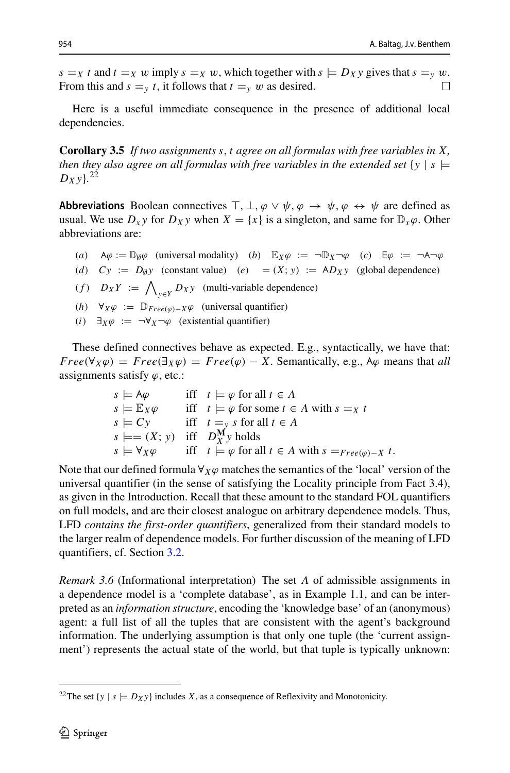$s = x$  *t* and  $t = x$  *w* imply  $s = x$  *w*, which together with  $s \models Dxy$  gives that  $s = y$  *w*.<br>From this and  $s = x$  *t* it follows that  $t = y$  *w* as desired From this and  $s = v t$ , it follows that  $t = v w$  as desired.

Here is a useful immediate consequence in the presence of additional local dependencies.

**Corollary 3.5** *If two assignments s,t agree on all formulas with free variables in X, then they also agree on all formulas with free variables in the extended set*  $\{y \mid s \models$ *DXy*}*.* [22](#page-15-0)

**Abbreviations** Boolean connectives  $\top$ ,  $\bot$ ,  $\varphi \lor \psi$ ,  $\varphi \rightarrow \psi$ ,  $\varphi \leftrightarrow \psi$  are defined as usual. We use  $D_x y$  for  $D_x y$  when  $X = \{x\}$  is a singleton, and same for  $D_x \varphi$ . Other abbreviations are:

- *(a)*  $A\varphi := \mathbb{D}_{\emptyset}\varphi$  (universal modality) *(b)*  $\mathbb{E}_X\varphi := \neg \mathbb{D}_X \neg \varphi$  *(c)*  $\mathbb{E}\varphi := \neg A \neg \varphi$
- *(d)*  $Cy := D_{\emptyset}y$  (constant value) *(e)* =  $(X; y) := AD_Xy$  (global dependence)
- $(f)$   $D_X Y := \bigwedge_{y \in Y} D_X y$  (multi-variable dependence)
- *(h)* <sup>∀</sup>*Xϕ* := <sup>D</sup>*F ree(ϕ)*−*Xϕ* (universal quantifier)
- *(i)*  $\exists x \varphi := \neg \forall x \neg \varphi$  (existential quantifier)

These defined connectives behave as expected. E.g., syntactically, we have that:  $Free(\forall_X \varphi) = Free(\exists_X \varphi) = Free(\varphi) - X$ . Semantically, e.g., A $\varphi$  means that *all* assignments satisfy *ϕ*, etc.:

| $s \models A\varphi$                     | iff $t \models \varphi$ for all $t \in A$                                  |
|------------------------------------------|----------------------------------------------------------------------------|
| $s \models \mathbb{E}_X \varphi$         | iff $t \models \varphi$ for some $t \in A$ with $s = x$ t                  |
| $s \models Cv$                           | iff $t =_\text{y} s$ for all $t \in A$                                     |
| $s \models = (X; y)$ iff $D_Y^M y$ holds |                                                                            |
| $s \models \forall x \varphi$            | iff $t \models \varphi$ for all $t \in A$ with $s =_{Free(\varphi)-X} t$ . |
|                                          |                                                                            |

Note that our defined formula ∀*Xϕ* matches the semantics of the 'local' version of the universal quantifier (in the sense of satisfying the Locality principle from Fact 3.4), as given in the Introduction. Recall that these amount to the standard FOL quantifiers on full models, and are their closest analogue on arbitrary dependence models. Thus, LFD *contains the first-order quantifiers*, generalized from their standard models to the larger realm of dependence models. For further discussion of the meaning of LFD quantifiers, cf. Section [3.2.](#page-17-0)

*Remark 3.6* (Informational interpretation) The set *A* of admissible assignments in a dependence model is a 'complete database', as in Example 1.1, and can be interpreted as an *information structure*, encoding the 'knowledge base' of an (anonymous) agent: a full list of all the tuples that are consistent with the agent's background information. The underlying assumption is that only one tuple (the 'current assignment') represents the actual state of the world, but that tuple is typically unknown:

<span id="page-15-0"></span><sup>&</sup>lt;sup>22</sup>The set  $\{y \mid s \models D_X y\}$  includes *X*, as a consequence of Reflexivity and Monotonicity.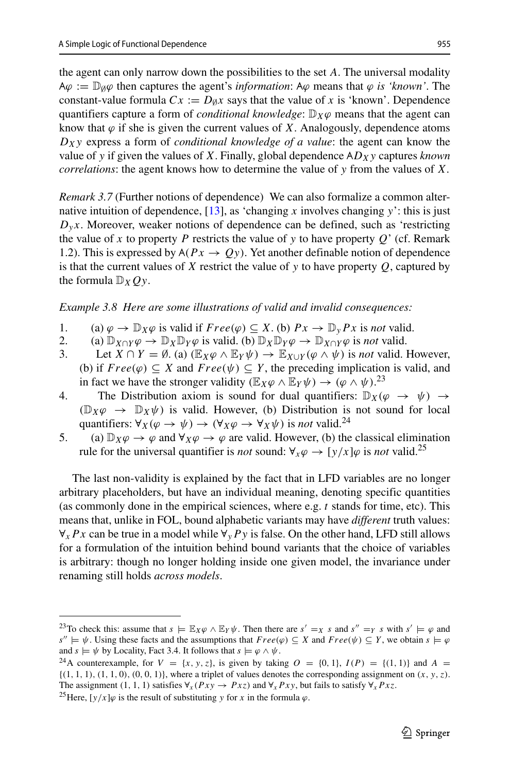the agent can only narrow down the possibilities to the set *A*. The universal modality  $A\varphi := \mathbb{D}_{\emptyset}\varphi$  then captures the agent's *information*:  $A\varphi$  means that  $\varphi$  *is 'known'*. The constant-value formula  $Cx := D_{\emptyset}x$  says that the value of x is 'known'. Dependence quantifiers capture a form of *conditional knowledge*:  $\mathbb{D}_X\varphi$  means that the agent can know that  $\varphi$  if she is given the current values of *X*. Analogously, dependence atoms *DXy* express a form of *conditional knowledge of a value*: the agent can know the value of *y* if given the values of *X*. Finally, global dependence AD<sub>X</sub>y captures *known correlations*: the agent knows how to determine the value of *y* from the values of *X*.

*Remark 3.7* (Further notions of dependence) We can also formalize a common alternative intuition of dependence,  $[13]$ , as 'changing *x* involves changing *y*': this is just  $D_y x$ . Moreover, weaker notions of dependence can be defined, such as 'restricting the value of *x* to property *P* restricts the value of *y* to have property  $Q'$  (cf. Remark 1.2). This is expressed by  $A(Px \to Qy)$ . Yet another definable notion of dependence is that the current values of *X* restrict the value of *y* to have property *Q*, captured by the formula  $\mathbb{D}_XQ_y$ .

*Example 3.8 Here are some illustrations of valid and invalid consequences:*

- 1. (a)  $\varphi \to \mathbb{D}_X \varphi$  is valid if  $Free(\varphi) \subseteq X$ . (b)  $Px \to \mathbb{D}_y Px$  is *not* valid.<br>2. (a)  $\mathbb{D}_{Y \cap Y} \varphi \to \mathbb{D}_Y \mathbb{D}_Y \varphi$  is valid. (b)  $\mathbb{D}_Y \mathbb{D}_Y \varphi \to \mathbb{D}_{Y \cap Y} \varphi$  is *not* valid.
- 2. (a)  $\mathbb{D}_{X \cap Y} \varphi \to \mathbb{D}_X \mathbb{D}_Y \varphi$  is valid. (b)  $\mathbb{D}_X \mathbb{D}_Y \varphi \to \mathbb{D}_{X \cap Y} \varphi$  is *not* valid.<br>3. Let  $X \cap Y = \emptyset$ . (a)  $(\mathbb{E}_X \varphi \wedge \mathbb{E}_Y \psi) \to \mathbb{E}_{X \cap Y} (\varphi \wedge \psi)$  is *not* valid.
- Let  $X \cap Y = \emptyset$ . (a)  $(\mathbb{E}_X \varphi \wedge \mathbb{E}_Y \psi) \rightarrow \mathbb{E}_{X \cup Y}(\varphi \wedge \psi)$  is *not* valid. However, (b) if  $Free(\varphi) \subseteq X$  and  $Free(\psi) \subseteq Y$ , the preceding implication is valid, and in fact we have the stronger validity  $(\mathbb{E}_X \varphi \wedge \mathbb{E}_Y \psi) \rightarrow (\varphi \wedge \psi)^{23}$  $(\mathbb{E}_X \varphi \wedge \mathbb{E}_Y \psi) \rightarrow (\varphi \wedge \psi)^{23}$  $(\mathbb{E}_X \varphi \wedge \mathbb{E}_Y \psi) \rightarrow (\varphi \wedge \psi)^{23}$
- 4. The Distribution axiom is sound for dual quantifiers:  $\mathbb{D}_X(\varphi \to \psi) \to$  $(\mathbb{D}_X \varphi \rightarrow \mathbb{D}_X \psi)$  is valid. However, (b) Distribution is not sound for local quantifiers:  $\forall_X(\varphi \to \psi) \to (\forall_X \varphi \to \forall_X \psi)$  is *not* valid.<sup>[24](#page-16-1)</sup>
- 5. (a)  $\mathbb{D}_X \varphi \to \varphi$  and  $\forall_X \varphi \to \varphi$  are valid. However, (b) the classical elimination rule for the universal quantifier is *not* sound:  $\forall_x \varphi \rightarrow [y/x] \varphi$  is *not* valid.<sup>[25](#page-16-2)</sup>

The last non-validity is explained by the fact that in LFD variables are no longer arbitrary placeholders, but have an individual meaning, denoting specific quantities (as commonly done in the empirical sciences, where e.g. *t* stands for time, etc). This means that, unlike in FOL, bound alphabetic variants may have *different* truth values: ∀*xP x* can be true in a model while ∀*yP y* is false. On the other hand, LFD still allows for a formulation of the intuition behind bound variants that the choice of variables is arbitrary: though no longer holding inside one given model, the invariance under renaming still holds *across models*.

<span id="page-16-0"></span><sup>&</sup>lt;sup>23</sup>To check this: assume that  $s \models \mathbb{E}_X \varphi \land \mathbb{E}_Y \psi$ . Then there are  $s' =_X s$  and  $s'' =_Y s$  with  $s' \models \varphi$  and *s*<sup>"</sup>  $\models \psi$ . Using these facts and the assumptions that *Free(* $\varphi$ *)* ⊆ *X* and *Free(* $\psi$ *)* ⊆ *Y*, we obtain *s*  $\models \varphi$  and *s*  $\models \psi$  by Locality, Fact 3.4. It follows that *s*  $\models \varphi \land \psi$ .

<span id="page-16-1"></span><sup>&</sup>lt;sup>24</sup>A counterexample, for  $V = \{x, y, z\}$ , is given by taking  $O = \{0, 1\}$ ,  $I(P) = \{(1, 1)\}$  and  $A =$  ${(1, 1, 1), (1, 1, 0), (0, 0, 1)}$ , where a triplet of values denotes the corresponding assignment on  $(x, y, z)$ . The assignment (1, 1, 1) satisfies  $\forall_x (Px \rightarrow Pxz)$  and  $\forall_x Px \rightarrow y$ , but fails to satisfy  $\forall_x Px \rightarrow 2^5$  Here,  $[y/x]\varphi$  is the result of substituting y for x in the formula  $\varphi$ .

<span id="page-16-2"></span>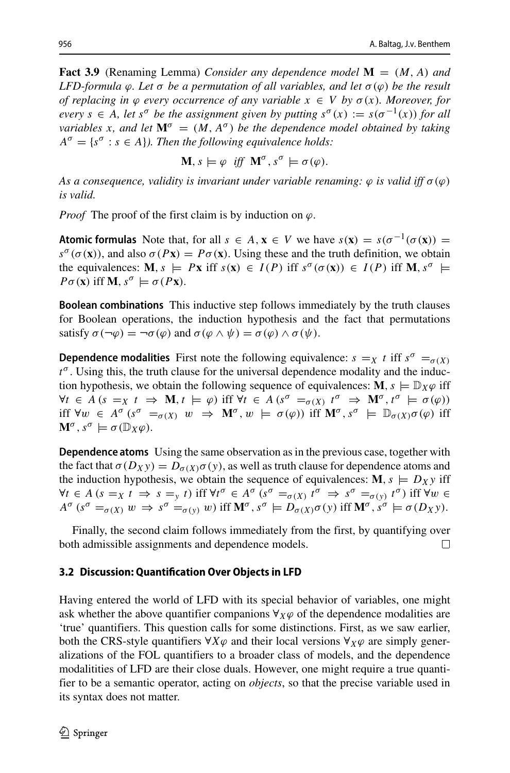**Fact 3.9** (Renaming Lemma) *Consider any dependence model* **M** = *(M, A) and LFD-formula*  $φ$ *. Let*  $σ$  *be a permutation of all variables, and let*  $σ(φ)$  *be the result of replacing in*  $\varphi$  *every occurrence of any variable*  $x \in V$  *by*  $\sigma(x)$ *. Moreover, for every*  $s \in A$ , let  $s^{\sigma}$  *be the assignment given by putting*  $s^{\sigma}(x) := s(\sigma^{-1}(x))$  *for all variables x*, and let  $M^{\sigma} = (M, A^{\sigma})$  *be the dependence model obtained by taking*  $A^{\sigma} = \{s^{\sigma} : s \in A\}$ *). Then the following equivalence holds:* 

$$
\mathbf{M}, s \models \varphi \text{ iff } \mathbf{M}^{\sigma}, s^{\sigma} \models \sigma(\varphi).
$$

*As a consequence, validity is invariant under variable renaming:*  $\varphi$  *is valid iff*  $\sigma(\varphi)$ *is valid.*

*Proof* The proof of the first claim is by induction on *ϕ*.

**Atomic formulas** Note that, for all  $s \in A$ ,  $\mathbf{x} \in V$  we have  $s(\mathbf{x}) = s(\sigma^{-1}(\sigma(\mathbf{x})) = \sigma^{-1}(\sigma(\mathbf{x})))$  $s^{\sigma}(\sigma(\mathbf{x}))$ , and also  $\sigma(P\mathbf{x}) = P\sigma(\mathbf{x})$ . Using these and the truth definition, we obtain the equivalences:  $M, s \models Px$  iff  $s(x) \in I(P)$  iff  $s^{\sigma}(\sigma(x)) \in I(P)$  iff  $M, s^{\sigma} \models$  $P\sigma(\mathbf{x})$  iff **M***,*  $s^{\sigma} \models \sigma(P\mathbf{x})$ .

**Boolean combinations** This inductive step follows immediately by the truth clauses for Boolean operations, the induction hypothesis and the fact that permutations satisfy  $\sigma(\neg \varphi) = \neg \sigma(\varphi)$  and  $\sigma(\varphi \land \psi) = \sigma(\varphi) \land \sigma(\psi)$ .

**Dependence modalities** First note the following equivalence:  $s = X$  *t* iff  $s^{\sigma} = \sigma(X)$ *t<sup>σ</sup>* . Using this, the truth clause for the universal dependence modality and the induction hypothesis, we obtain the following sequence of equivalences:  $\mathbf{M}, s \models \mathbb{D}_X \varphi$  iff  $\forall t \in A \ (s = X \ t \Rightarrow \mathbf{M}, t \models \varphi) \text{ iff } \forall t \in A \ (s^{\sigma} = \sigma(X) \ t^{\sigma} \Rightarrow \mathbf{M}^{\sigma}, t^{\sigma} \models \sigma(\varphi))$ iff  $\forall w \in A^{\sigma}$  (s<sup>*σ*</sup> =<sub>*σ*(X)</sub> *w*  $\Rightarrow$  **M**<sup>*σ*</sup>, *w*  $\models$  *σ*( $\varphi$ )) iff **M**<sup>*σ*</sup>, s<sup>*σ*</sup>  $\models$   $\mathbb{D}_{\sigma(X)}$ *σ*( $\varphi$ ) iff  $\mathbf{M}^{\sigma}$ ,  $s^{\sigma} \models \sigma(\mathbb{D}_X \varphi)$ .

**Dependence atoms** Using the same observation as in the previous case, together with the fact that  $\sigma(D_X y) = D_{\sigma(X)} \sigma(y)$ , as well as truth clause for dependence atoms and the induction hypothesis, we obtain the sequence of equivalences:  $M$ ,  $s \models D_X y$  iff  $\forall t \in A \ (s =_X t \Rightarrow s =_Y t) \text{ iff } \forall t^{\sigma} \in A^{\sigma} \ (s^{\sigma} =_{\sigma(X)} t^{\sigma} \Rightarrow s^{\sigma} =_{\sigma(Y)} t^{\sigma}) \text{ iff } \forall w \in A^{\sigma}(s) \Rightarrow s^{\sigma} =_{\sigma(Y)} t^{\sigma} \text{ iff } \forall w \in A^{\sigma}(s) \Rightarrow s^{\sigma} =_{\sigma(Y)} t^{\sigma} \text{ iff } \forall w \in A^{\sigma}(s) \Rightarrow s^{\sigma} =_{\sigma(Y)} t^{\sigma} \text{ iff } \forall w \in A^{\sigma}(s) \Rightarrow s^{\sigma} =_{\sigma(Y)} t^{\sigma} \text{ iff$  $A^{\sigma}$   $(s^{\sigma} = \sigma(X)$   $w \Rightarrow s^{\sigma} = \sigma(y)$  *w*) iff  $\mathbf{M}^{\sigma}$ ,  $s^{\sigma} \models D_{\sigma(X)}\sigma(y)$  iff  $\mathbf{M}^{\sigma}$ ,  $s^{\sigma} \models \sigma(D_X y)$ .

Finally, the second claim follows immediately from the first, by quantifying over both admissible assignments and dependence models.  $\perp$ 

## <span id="page-17-0"></span>**3.2 Discussion: Quantification Over Objects in LFD**

Having entered the world of LFD with its special behavior of variables, one might ask whether the above quantifier companions  $\forall x \varphi$  of the dependence modalities are 'true' quantifiers. This question calls for some distinctions. First, as we saw earlier, both the CRS-style quantifiers ∀*Xϕ* and their local versions ∀*Xϕ* are simply generalizations of the FOL quantifiers to a broader class of models, and the dependence modalitities of LFD are their close duals. However, one might require a true quantifier to be a semantic operator, acting on *objects*, so that the precise variable used in its syntax does not matter.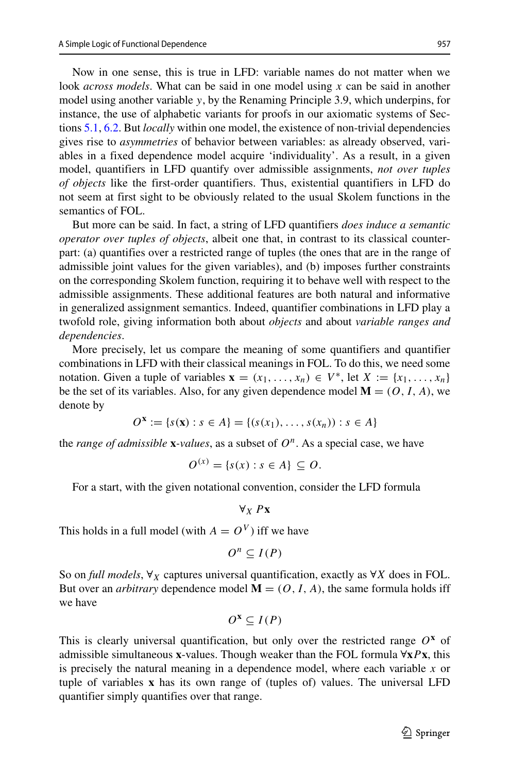Now in one sense, this is true in LFD: variable names do not matter when we look *across models*. What can be said in one model using *x* can be said in another model using another variable *y*, by the Renaming Principle 3.9, which underpins, for instance, the use of alphabetic variants for proofs in our axiomatic systems of Sections [5.1,](#page-30-1) [6.2.](#page-40-0) But *locally* within one model, the existence of non-trivial dependencies gives rise to *asymmetries* of behavior between variables: as already observed, variables in a fixed dependence model acquire 'individuality'. As a result, in a given model, quantifiers in LFD quantify over admissible assignments, *not over tuples of objects* like the first-order quantifiers. Thus, existential quantifiers in LFD do not seem at first sight to be obviously related to the usual Skolem functions in the semantics of FOL.

But more can be said. In fact, a string of LFD quantifiers *does induce a semantic operator over tuples of objects*, albeit one that, in contrast to its classical counterpart: (a) quantifies over a restricted range of tuples (the ones that are in the range of admissible joint values for the given variables), and (b) imposes further constraints on the corresponding Skolem function, requiring it to behave well with respect to the admissible assignments. These additional features are both natural and informative in generalized assignment semantics. Indeed, quantifier combinations in LFD play a twofold role, giving information both about *objects* and about *variable ranges and dependencies*.

More precisely, let us compare the meaning of some quantifiers and quantifier combinations in LFD with their classical meanings in FOL. To do this, we need some notation. Given a tuple of variables  $\mathbf{x} = (x_1, \ldots, x_n) \in V^*$ , let  $X := \{x_1, \ldots, x_n\}$ be the set of its variables. Also, for any given dependence model  $\mathbf{M} = (O, I, A)$ , we denote by

$$
O^{\mathbf{x}} := \{ s(\mathbf{x}) : s \in A \} = \{ (s(x_1), \dots, s(x_n)) : s \in A \}
$$

the *range of admissible*  $\bf{x}$ *-values*, as a subset of  $O^n$ . As a special case, we have

$$
O^{(x)} = \{s(x) : s \in A\} \subseteq O.
$$

For a start, with the given notational convention, consider the LFD formula

$$
\forall_X P \mathbf{X}
$$

This holds in a full model (with  $A = O<sup>V</sup>$ ) iff we have

$$
O^n \subseteq I(P)
$$

So on *full models*, ∀*<sup>X</sup>* captures universal quantification, exactly as ∀*X* does in FOL. But over an *arbitrary* dependence model  $M = (O, I, A)$ , the same formula holds iff we have

$$
O^{\mathbf{x}}\subseteq I(P)
$$

This is clearly universal quantification, but only over the restricted range  $O^x$  of admissible simultaneous **x**-values. Though weaker than the FOL formula ∀**x***P***x**, this is precisely the natural meaning in a dependence model, where each variable *x* or tuple of variables **x** has its own range of (tuples of) values. The universal LFD quantifier simply quantifies over that range.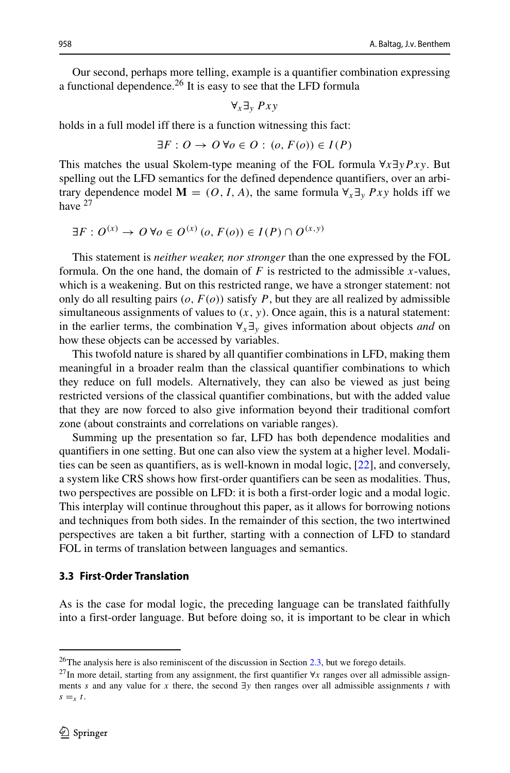Our second, perhaps more telling, example is a quantifier combination expressing a functional dependence.<sup>26</sup> It is easy to see that the LFD formula

$$
\forall_x \exists_y \; Pxy
$$

holds in a full model iff there is a function witnessing this fact:

$$
\exists F: O \to O \,\forall o \in O : (o, F(o)) \in I(P)
$$

This matches the usual Skolem-type meaning of the FOL formula ∀*x*∃*yP xy*. But spelling out the LFD semantics for the defined dependence quantifiers, over an arbitrary dependence model  $\mathbf{M} = (O, I, A)$ , the same formula  $\forall_x \exists_y Pxy$  holds iff we have <sup>[27](#page-19-1)</sup>

$$
\exists F: O^{(x)} \to O \,\forall o \in O^{(x)}\,(o, F(o)) \in I(P) \cap O^{(x,y)}
$$

This statement is *neither weaker, nor stronger* than the one expressed by the FOL formula. On the one hand, the domain of  $F$  is restricted to the admissible  $x$ -values, which is a weakening. But on this restricted range, we have a stronger statement: not only do all resulting pairs  $(o, F(o))$  satisfy P, but they are all realized by admissible simultaneous assignments of values to  $(x, y)$ . Once again, this is a natural statement: in the earlier terms, the combination ∀*x*∃*<sup>y</sup>* gives information about objects *and* on how these objects can be accessed by variables.

This twofold nature is shared by all quantifier combinations in LFD, making them meaningful in a broader realm than the classical quantifier combinations to which they reduce on full models. Alternatively, they can also be viewed as just being restricted versions of the classical quantifier combinations, but with the added value that they are now forced to also give information beyond their traditional comfort zone (about constraints and correlations on variable ranges).

Summing up the presentation so far, LFD has both dependence modalities and quantifiers in one setting. But one can also view the system at a higher level. Modalities can be seen as quantifiers, as is well-known in modal logic, [\[22\]](#page-64-12), and conversely, a system like CRS shows how first-order quantifiers can be seen as modalities. Thus, two perspectives are possible on LFD: it is both a first-order logic and a modal logic. This interplay will continue throughout this paper, as it allows for borrowing notions and techniques from both sides. In the remainder of this section, the two intertwined perspectives are taken a bit further, starting with a connection of LFD to standard FOL in terms of translation between languages and semantics.

#### <span id="page-19-2"></span>**3.3 First-Order Translation**

As is the case for modal logic, the preceding language can be translated faithfully into a first-order language. But before doing so, it is important to be clear in which

<sup>&</sup>lt;sup>26</sup>The analysis here is also reminiscent of the discussion in Section [2.3,](#page-12-1) but we forego details.

<span id="page-19-1"></span><span id="page-19-0"></span><sup>27</sup>In more detail, starting from any assignment, the first quantifier <sup>∀</sup>*<sup>x</sup>* ranges over all admissible assignments *s* and any value for *x* there, the second ∃*y* then ranges over all admissible assignments *t* with  $s = x$  *t*.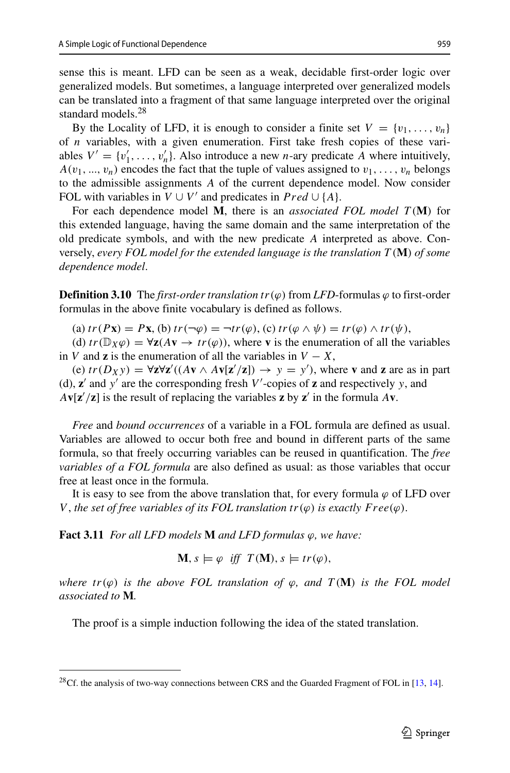sense this is meant. LFD can be seen as a weak, decidable first-order logic over generalized models. But sometimes, a language interpreted over generalized models can be translated into a fragment of that same language interpreted over the original standard models.<sup>[28](#page-20-0)</sup>

By the Locality of LFD, it is enough to consider a finite set  $V = \{v_1, \ldots, v_n\}$ of *n* variables, with a given enumeration. First take fresh copies of these variables  $V' = \{v'_1, \ldots, v'_n\}$ . Also introduce a new *n*-ary predicate *A* where intuitively,  $A(v_1, ..., v_n)$  encodes the fact that the tuple of values assigned to  $v_1, ..., v_n$  belongs to the admissible assignments *A* of the current dependence model. Now consider FOL with variables in  $V \cup V'$  and predicates in  $Pred \cup \{A\}$ .

For each dependence model **M**, there is an *associated FOL model T (***M***)* for this extended language, having the same domain and the same interpretation of the old predicate symbols, and with the new predicate *A* interpreted as above. Conversely, *every FOL model for the extended language is the translation T (***M***) of some dependence model*.

**Definition 3.10** The *first-order translation*  $tr(\varphi)$  from *LFD*-formulas  $\varphi$  to first-order formulas in the above finite vocabulary is defined as follows.

(a)  $tr(P\mathbf{x}) = P\mathbf{x}$ , (b)  $tr(\neg \varphi) = \neg tr(\varphi)$ , (c)  $tr(\varphi \wedge \psi) = tr(\varphi) \wedge tr(\psi)$ ,

(d)  $tr(\mathbb{D}_X\varphi) = \forall z(Av \rightarrow tr(\varphi))$ , where **v** is the enumeration of all the variables in *V* and **z** is the enumeration of all the variables in  $V - X$ ,

 $(\mathbf{e}) \text{ tr}(D_X y) = \forall \mathbf{z} \forall \mathbf{z}' \cdot ((A\mathbf{v} \wedge A\mathbf{v}[\mathbf{z}'/\mathbf{z}]) \rightarrow y = y')$ , where **v** and **z** are as in part (d),  $\mathbf{z}'$  and  $\mathbf{y}'$  are the corresponding fresh  $V'$ -copies of  $\mathbf{z}$  and respectively  $\mathbf{y}$ , and  $A$ **v**[**z** $'/$ **z**] is the result of replacing the variables **z** by **z** $'$  in the formula  $A$ **v**.

*Free* and *bound occurrences* of a variable in a FOL formula are defined as usual. Variables are allowed to occur both free and bound in different parts of the same formula, so that freely occurring variables can be reused in quantification. The *free variables of a FOL formula* are also defined as usual: as those variables that occur free at least once in the formula.

It is easy to see from the above translation that, for every formula  $\varphi$  of LFD over *V*, the set of free variables of its FOL translation  $tr(\varphi)$  is exactly  $Free(\varphi)$ .

**Fact 3.11** *For all LFD models* **M** *and LFD formulas ϕ, we have:*

$$
\mathbf{M}, s \models \varphi \text{ iff } T(\mathbf{M}), s \models tr(\varphi),
$$

*where*  $tr(\varphi)$  *is the above FOL translation of*  $\varphi$ *, and*  $T(M)$  *is the FOL model associated to* **M***.*

The proof is a simple induction following the idea of the stated translation.

<span id="page-20-0"></span> $^{28}$ Cf. the analysis of two-way connections between CRS and the Guarded Fragment of FOL in [\[13,](#page-64-1) [14\]](#page-64-13).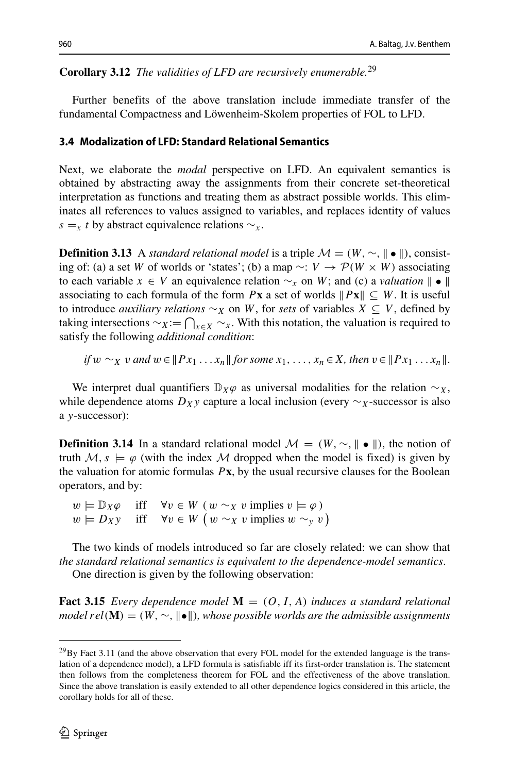# **Corollary 3.12** *The validities of LFD are recursively enumerable.*[29](#page-21-0)

Further benefits of the above translation include immediate transfer of the fundamental Compactness and Löwenheim-Skolem properties of FOL to LFD.

### <span id="page-21-1"></span>**3.4 Modalization of LFD: Standard Relational Semantics**

Next, we elaborate the *modal* perspective on LFD. An equivalent semantics is obtained by abstracting away the assignments from their concrete set-theoretical interpretation as functions and treating them as abstract possible worlds. This eliminates all references to values assigned to variables, and replaces identity of values *s* =*x t* by abstract equivalence relations  $∼<sub>x</sub>$ .

**Definition 3.13** A *standard relational model* is a triple  $\mathcal{M} = (W, \sim, ||\bullet||)$ , consisting of: (a) a set *W* of worlds or 'states'; (b) a map ∼: *V* → P*(W* × *W )* associating to each variable  $x \in V$  an equivalence relation  $\sim_x$  on W; and (c) a *valuation*  $\parallel$   $\bullet$   $\parallel$ associating to each formula of the form  $P$ **x** a set of worlds  $||Px|| \subseteq W$ . It is useful to introduce *auxiliary relations* ∼*<sup>X</sup>* on *W*, for *sets* of variables *X* ⊆ *V* , defined by taking intersections  $\sim$ *x*:  $\bigcap_{x \in X} \sim_x$ . With this notation, the valuation is required to satisfy the following *additional condition*:

if 
$$
w \sim_X v
$$
 and  $w \in ||Px_1 \dots x_n||$  for some  $x_1, \dots, x_n \in X$ , then  $v \in ||Px_1 \dots x_n||$ .

We interpret dual quantifiers  $\mathbb{D}_X \varphi$  as universal modalities for the relation  $\sim_X$ , while dependence atoms  $D_X y$  capture a local inclusion (every  $\sim_X$ -successor is also a *y*-successor):

**Definition 3.14** In a standard relational model  $\mathcal{M} = (W, \sim, || \bullet ||)$ , the notion of truth  $M, s \models \varphi$  (with the index M dropped when the model is fixed) is given by the valuation for atomic formulas  $P$ **x**, by the usual recursive clauses for the Boolean operators, and by:

*w*  $\models \mathbb{D}_X \varphi$  iff  $\forall v \in W$  *(*  $w \sim_X v$  implies  $v \models \varphi$ )  $w \models D_X v$  iff  $\forall v \in W$  *(*  $w \sim_X v$  implies  $w \sim_Y v$ )  $w \models D_X y$  iff  $\forall v \in W$  ( $w \sim_X v$  implies  $w \sim_y v$ )

The two kinds of models introduced so far are closely related: we can show that *the standard relational semantics is equivalent to the dependence-model semantics*. One direction is given by the following observation:

**Fact 3.15** *Every dependence model*  $M = (O, I, A)$  *induces a standard relational model*  $rel(\mathbf{M}) = (W, ∼, ∥bullet||)$ *, whose possible worlds are the admissible assignments* 

<span id="page-21-0"></span> $^{29}$ By Fact 3.11 (and the above observation that every FOL model for the extended language is the translation of a dependence model), a LFD formula is satisfiable iff its first-order translation is. The statement then follows from the completeness theorem for FOL and the effectiveness of the above translation. Since the above translation is easily extended to all other dependence logics considered in this article, the corollary holds for all of these.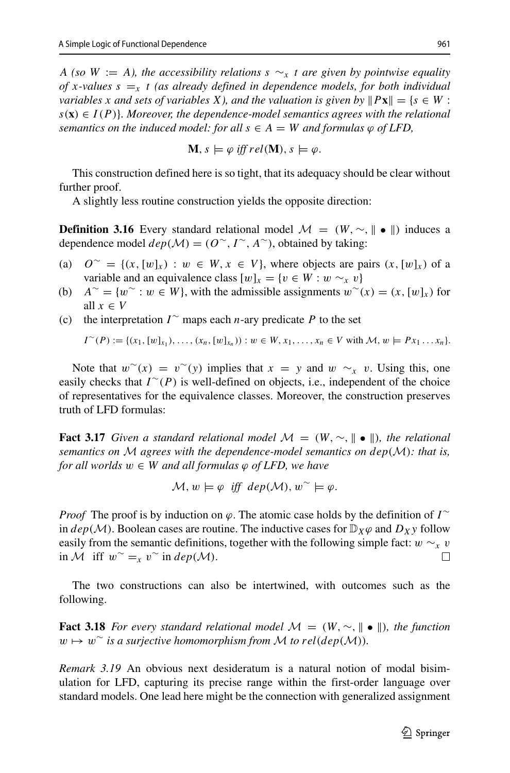*A* (so *W* := *A*), the accessibility relations  $s \sim x$  *t* are given by pointwise equality *of x*-values  $s = x$  *t* (as already defined in dependence models, for both individual *variables x and sets of variables X), and the valuation is given by*  $||Px|| = \{s \in W$ :  $s(\mathbf{x}) \in I(P)$ *}. Moreover, the dependence-model semantics agrees with the relational semantics on the induced model: for all*  $s \in A = W$  *and formulas*  $\varphi$  *of LFD*,

$$
\mathbf{M}, s \models \varphi \text{ iff } rel(\mathbf{M}), s \models \varphi.
$$

This construction defined here is so tight, that its adequacy should be clear without further proof.

A slightly less routine construction yields the opposite direction:

**Definition 3.16** Every standard relational model  $\mathcal{M} = (W, \sim, ||\bullet||)$  induces a dependence model  $dep(\mathcal{M}) = (O^{\sim}, I^{\sim}, A^{\sim})$ , obtained by taking:

- (a)  $O^{\sim}$  = { $(x,[w]_x)$  : *w* ∈ *W*, *x* ∈ *V*}, where objects are pairs  $(x,[w]_x)$  of a variable and an equivalence class  $[w]_x = \{v \in W : w \sim_x v\}$
- (b)  $A^∼ = \{w^∼ : w ∈ W\}$ , with the admissible assignments  $w^∼(x) = (x, [w]_x)$  for all  $x \in V$
- (c) the interpretation *I*  $\sim$  maps each *n*-ary predicate *P* to the set

$$
I^{\sim}(P) := \{(x_1, [w]_{x_1}), \ldots, (x_n, [w]_{x_n})\} : w \in W, x_1, \ldots, x_n \in V \text{ with } \mathcal{M}, w \models Px_1 \ldots x_n\}.
$$

Note that  $w^{\sim}(x) = v^{\sim}(y)$  implies that  $x = y$  and  $w \sim_x v$ . Using this, one easily checks that *I* ∼*(P )* is well-defined on objects, i.e., independent of the choice of representatives for the equivalence classes. Moreover, the construction preserves truth of LFD formulas:

**Fact 3.17** *Given a standard relational model*  $\mathcal{M} = (W, \sim, ||\bullet||)$ *, the relational semantics on* M *agrees with the dependence-model semantics on dep(*M*): that is, for all worlds*  $w \in W$  *and all formulas*  $\varphi$  *of LFD, we have* 

$$
\mathcal{M}, w \models \varphi \text{ iff } dep(\mathcal{M}), w^{\sim} \models \varphi.
$$

*Proof* The proof is by induction on  $\varphi$ . The atomic case holds by the definition of *I* ∼ in  $dep(\mathcal{M})$ . Boolean cases are routine. The inductive cases for  $\mathbb{D}_X\varphi$  and  $D_X\varphi$  follow easily from the semantic definitions, together with the following simple fact: *w* ∼*x v* in *M* iff *w* ⊂ = *v*  $\degree$  in *dep*(*M*). in *M* iff  $w^{\sim} = x v^{\sim}$  in *dep*(*M*).

The two constructions can also be intertwined, with outcomes such as the following.

**Fact 3.18** *For every standard relational model*  $\mathcal{M} = (W, \sim, \| \bullet \|)$ , the function  $w \mapsto w^{\sim}$  *is a surjective homomorphism from M to*  $rel(dep(M))$ *.* 

*Remark 3.19* An obvious next desideratum is a natural notion of modal bisimulation for LFD, capturing its precise range within the first-order language over standard models. One lead here might be the connection with generalized assignment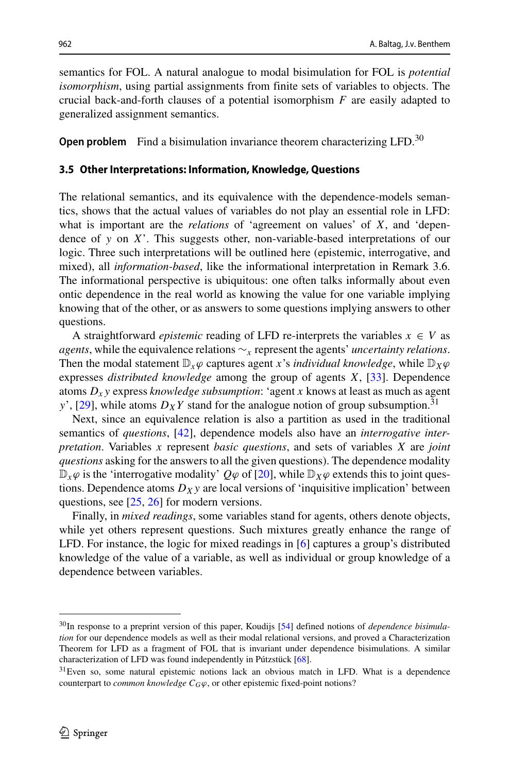semantics for FOL. A natural analogue to modal bisimulation for FOL is *potential isomorphism*, using partial assignments from finite sets of variables to objects. The crucial back-and-forth clauses of a potential isomorphism *F* are easily adapted to generalized assignment semantics.

**Open problem** Find a bisimulation invariance theorem characterizing LFD.<sup>[30](#page-23-1)</sup>

#### <span id="page-23-0"></span>**3.5 Other Interpretations: Information, Knowledge, Questions**

The relational semantics, and its equivalence with the dependence-models semantics, shows that the actual values of variables do not play an essential role in LFD: what is important are the *relations* of 'agreement on values' of *X*, and 'dependence of *y* on *X*'. This suggests other, non-variable-based interpretations of our logic. Three such interpretations will be outlined here (epistemic, interrogative, and mixed), all *information-based*, like the informational interpretation in Remark 3.6. The informational perspective is ubiquitous: one often talks informally about even ontic dependence in the real world as knowing the value for one variable implying knowing that of the other, or as answers to some questions implying answers to other questions.

A straightforward *epistemic* reading of LFD re-interprets the variables  $x \in V$  as *agents*, while the equivalence relations ∼*<sup>x</sup>* represent the agents' *uncertainty relations*. Then the modal statement  $\mathbb{D}_x \varphi$  captures agent *x*'s *individual knowledge*, while  $\mathbb{D}_x \varphi$ expresses *distributed knowledge* among the group of agents *X*, [\[33\]](#page-64-4). Dependence atoms *Dx y* express *knowledge subsumption*: 'agent *x* knows at least as much as agent *y*', [\[29\]](#page-64-14), while atoms  $D_XY$  stand for the analogue notion of group subsumption.<sup>[31](#page-23-2)</sup>

Next, since an equivalence relation is also a partition as used in the traditional semantics of *questions*, [\[42\]](#page-65-10), dependence models also have an *interrogative interpretation*. Variables *x* represent *basic questions*, and sets of variables *X* are *joint questions* asking for the answers to all the given questions). The dependence modality  $\mathbb{D}_x\varphi$  is the 'interrogative modality'  $Q\varphi$  of [\[20\]](#page-64-5), while  $\mathbb{D}_X\varphi$  extends this to joint questions. Dependence atoms  $D_X y$  are local versions of 'inquisitive implication' between questions, see [\[25,](#page-64-6) [26\]](#page-64-7) for modern versions.

Finally, in *mixed readings*, some variables stand for agents, others denote objects, while yet others represent questions. Such mixtures greatly enhance the range of LFD. For instance, the logic for mixed readings in [\[6\]](#page-64-2) captures a group's distributed knowledge of the value of a variable, as well as individual or group knowledge of a dependence between variables.

<span id="page-23-1"></span><sup>30</sup>In response to a preprint version of this paper, Koudijs [\[54\]](#page-65-11) defined notions of *dependence bisimulation* for our dependence models as well as their modal relational versions, and proved a Characterization Theorem for LFD as a fragment of FOL that is invariant under dependence bisimulations. A similar characterization of LFD was found independently in Pútzstück  $[68]$ .

<span id="page-23-2"></span><sup>&</sup>lt;sup>31</sup>Even so, some natural epistemic notions lack an obvious match in LFD. What is a dependence counterpart to *common knowledge*  $C_G\varphi$ , or other epistemic fixed-point notions?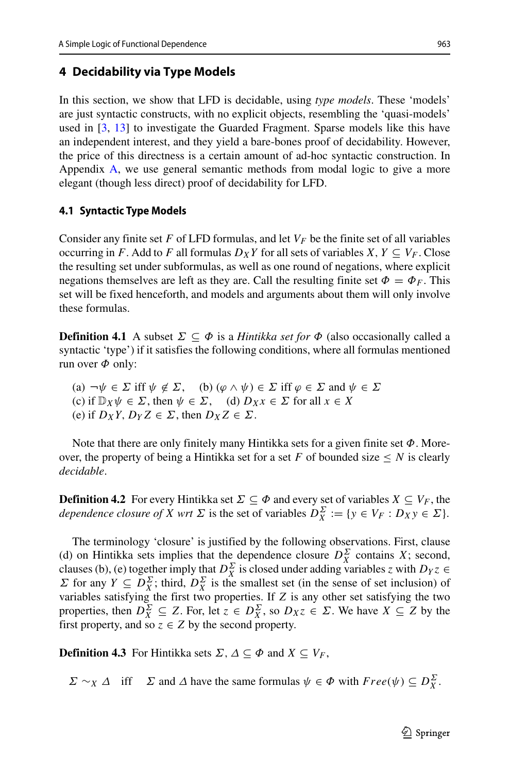# <span id="page-24-0"></span>**4 Decidability via Type Models**

In this section, we show that LFD is decidable, using *type models*. These 'models' are just syntactic constructs, with no explicit objects, resembling the 'quasi-models' used in [\[3,](#page-63-0) [13\]](#page-64-1) to investigate the Guarded Fragment. Sparse models like this have an independent interest, and they yield a bare-bones proof of decidability. However, the price of this directness is a certain amount of ad-hoc syntactic construction. In Appendix [A,](#page-58-0) we use general semantic methods from modal logic to give a more elegant (though less direct) proof of decidability for LFD.

## <span id="page-24-1"></span>**4.1 Syntactic Type Models**

Consider any finite set F of LFD formulas, and let  $V_F$  be the finite set of all variables occurring in *F*. Add to *F* all formulas  $D_XY$  for all sets of variables *X*,  $Y \subseteq V_F$ . Close the resulting set under subformulas, as well as one round of negations, where explicit negations themselves are left as they are. Call the resulting finite set  $\Phi = \Phi_F$ . This set will be fixed henceforth, and models and arguments about them will only involve these formulas.

**Definition 4.1** A subset  $\Sigma \subseteq \Phi$  is a *Hintikka set for*  $\Phi$  (also occasionally called a syntactic 'type') if it satisfies the following conditions, where all formulas mentioned run over *Φ* only:

(a)  $\neg \psi \in \Sigma$  iff  $\psi \notin \Sigma$ , (b)  $(\varphi \wedge \psi) \in \Sigma$  iff  $\varphi \in \Sigma$  and  $\psi \in \Sigma$ (c) if  $\mathbb{D}_X \psi \in \Sigma$ , then  $\psi \in \Sigma$ , (d)  $D_X x \in \Sigma$  for all  $x \in X$ (e) if  $D_XY$ ,  $D_YZ \in \Sigma$ , then  $D_XZ \in \Sigma$ .

Note that there are only finitely many Hintikka sets for a given finite set *Φ*. Moreover, the property of being a Hintikka set for a set  $F$  of bounded size  $\leq N$  is clearly *decidable*.

**Definition 4.2** For every Hintikka set  $\Sigma \subseteq \Phi$  and every set of variables  $X \subseteq V_F$ , the *dependence closure of X wrt*  $\Sigma$  is the set of variables  $D_X^{\Sigma} := \{y \in V_F : D_X y \in \Sigma\}.$ 

The terminology 'closure' is justified by the following observations. First, clause (d) on Hintikka sets implies that the dependence closure  $D_X^{\Sigma}$  contains *X*; second, clauses (b), (e) together imply that  $D_X^{\Sigma}$  is closed under adding variables *z* with  $D_Y z \in$ *Σ* for any *Y*  $\subseteq$  *D*<sup> $\Sigma$ </sup><sub>*X*</sub> ; third, *D*<sup> $\Sigma$ </sup><sub>*X*</sub> is the smallest set (in the sense of set inclusion) of variables satisfying the first two properties. If *Z* is any other set satisfying the two properties, then  $D_X^{\Sigma} \subseteq Z$ . For, let  $z \in D_X^{\Sigma}$ , so  $D_X z \in \Sigma$ . We have  $X \subseteq Z$  by the first property, and so  $z \in Z$  by the second property.

**Definition 4.3** For Hintikka sets  $\Sigma$ ,  $\Delta \subseteq \Phi$  and  $X \subseteq V_F$ ,

*Σ* ∼*X Δ* iff *Σ* and *Δ* have the same formulas  $\psi \in \Phi$  with  $Free(\psi) \subseteq D_X^{\Sigma}$ .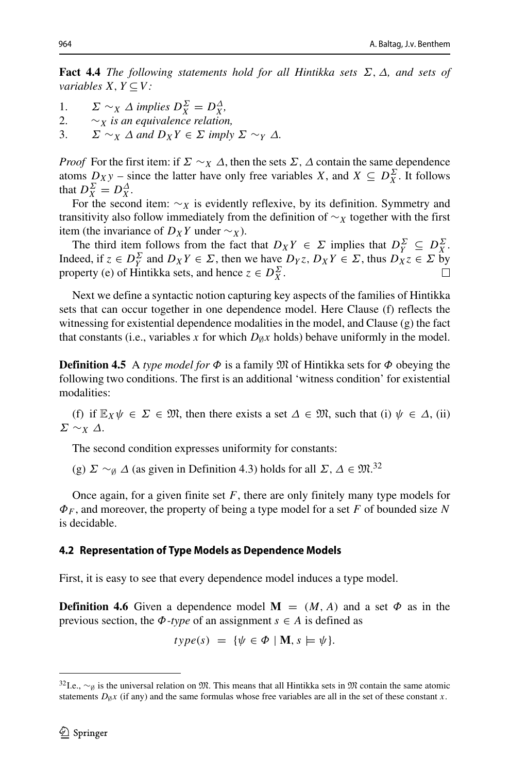**Fact 4.4** *The following statements hold for all Hintikka sets Σ,Δ, and sets of variables*  $X, Y \subseteq V$ *:* 

- 1.  $\Sigma \sim_X \Delta$  *implies*  $D_X^{\Sigma} = D_X^{\Delta}$ ,
- 2.  $\sim_X$  *is an equivalence relation,*<br>3.  $\Sigma \sim_X A$  *and*  $D_Y Y \in \Sigma$  *imply*
- $\Sigma \sim_X \Delta$  and  $D_XY \in \Sigma$  *imply*  $\Sigma \sim_Y \Delta$ .

*Proof* For the first item: if  $\Sigma \sim_X \Delta$ , then the sets  $\Sigma$ ,  $\Delta$  contain the same dependence atoms  $D_Xy$  – since the latter have only free variables *X*, and  $X \subseteq D_X^{\Sigma}$ . It follows that  $D_X^{\Sigma} = D_X^{\Delta}$ .

For the second item:  $\sim_X$  is evidently reflexive, by its definition. Symmetry and transitivity also follow immediately from the definition of ∼*<sup>X</sup>* together with the first item (the invariance of  $D_XY$  under  $∼_X$ ).

The third item follows from the fact that  $D_XY \in \Sigma$  implies that  $D_Y^{\Sigma} \subseteq D_X^{\Sigma}$ . Indeed, if  $z \in D_Y^{\Sigma}$  and  $D_X Y \in \Sigma$ , then we have  $D_Y z$ ,  $D_X Y \in \Sigma$ , thus  $D_X z \in \Sigma$  by property (e) of Hintikka sets, and hence  $z \in D_X^{\Sigma}$ .

Next we define a syntactic notion capturing key aspects of the families of Hintikka sets that can occur together in one dependence model. Here Clause (f) reflects the witnessing for existential dependence modalities in the model, and Clause  $(g)$  the fact that constants (i.e., variables *x* for which  $D_{\emptyset}x$  holds) behave uniformly in the model.

**Definition 4.5** A *type model for*  $\Phi$  is a family  $\mathfrak{M}$  of Hintikka sets for  $\Phi$  obeying the following two conditions. The first is an additional 'witness condition' for existential modalities:

(f) if  $\mathbb{E}_X \psi \in \Sigma \in \mathfrak{M}$ , then there exists a set  $\Delta \in \mathfrak{M}$ , such that (i)  $\psi \in \Delta$ , (ii) *Σ* ∼*<sup>X</sup> Δ*.

The second condition expresses uniformity for constants:

(g)  $\Sigma \sim_{\emptyset} \Delta$  (as given in Definition 4.3) holds for all  $\Sigma$ ,  $\Delta \in \mathfrak{M}^{32}$  $\Delta \in \mathfrak{M}^{32}$  $\Delta \in \mathfrak{M}^{32}$ 

Once again, for a given finite set *F*, there are only finitely many type models for *ΦF* , and moreover, the property of being a type model for a set *F* of bounded size *N* is decidable.

#### **4.2 Representation of Type Models as Dependence Models**

First, it is easy to see that every dependence model induces a type model.

**Definition 4.6** Given a dependence model  $M = (M, A)$  and a set  $\Phi$  as in the previous section, the  $\Phi$ *-type* of an assignment  $s \in A$  is defined as

$$
type(s) = \{ \psi \in \Phi \mid \mathbf{M}, s \models \psi \}.
$$

<span id="page-25-0"></span><sup>&</sup>lt;sup>32</sup>I.e.,  $\sim$ <sub>Ø</sub> is the universal relation on M. This means that all Hintikka sets in M contain the same atomic statements  $D_{\emptyset}x$  (if any) and the same formulas whose free variables are all in the set of these constant *x*.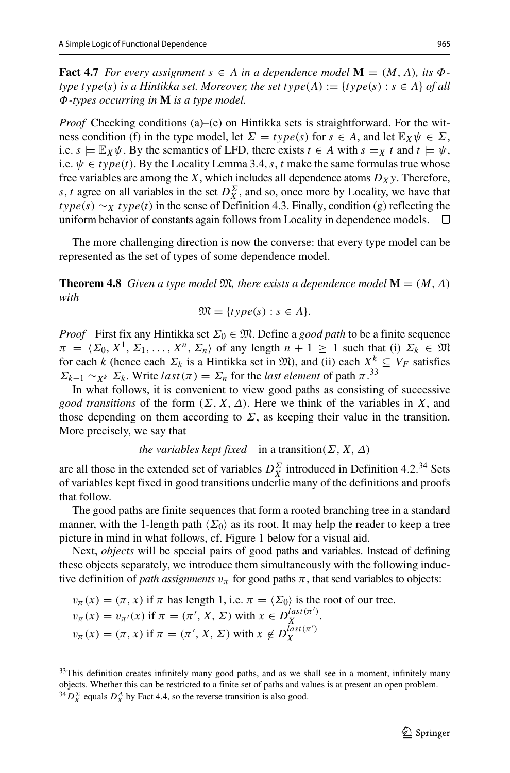**Fact 4.7** For every assignment  $s \in A$  in a dependence model  $\mathbf{M} = (M, A)$ , its  $\Phi$ *type type*(*s*) *is a Hintikka set. Moreover, the set*  $type(A) := \{type(s) : s \in A\}$  *of all Φ-types occurring in* **M** *is a type model.*

*Proof* Checking conditions (a)–(e) on Hintikka sets is straightforward. For the witness condition (f) in the type model, let  $\Sigma = type(s)$  for  $s \in A$ , and let  $\mathbb{E}_X \psi \in \Sigma$ , i.e.  $s \models \mathbb{E}_X \psi$ . By the semantics of LFD, there exists  $t \in A$  with  $s = x$  *t* and  $t \models \psi$ , i.e.  $\psi \in type(t)$ . By the Locality Lemma 3.4, *s*, *t* make the same formulas true whose free variables are among the *X*, which includes all dependence atoms  $D_X y$ . Therefore, *s*, *t* agree on all variables in the set  $D_X^{\Sigma}$ , and so, once more by Locality, we have that *type(s)* ∼*X type(t)* in the sense of Definition 4.3. Finally, condition (g) reflecting the uniform behavior of constants again follows from Locality in dependence models.  $\Box$ uniform behavior of constants again follows from Locality in dependence models.

The more challenging direction is now the converse: that every type model can be represented as the set of types of some dependence model.

**Theorem 4.8** *Given a type model*  $\mathfrak{M}$ *, there exists a dependence model*  $\mathbf{M} = (M, A)$ *with*

$$
\mathfrak{M} = \{ type(s) : s \in A \}.
$$

*Proof* First fix any Hintikka set  $\Sigma_0 \in \mathfrak{M}$ . Define a *good path* to be a finite sequence  $\pi = \langle \Sigma_0, X^1, \Sigma_1, \ldots, X^n, \Sigma_n \rangle$  of any length  $n + 1 \geq 1$  such that (i)  $\Sigma_k \in \mathfrak{M}$ for each *k* (hence each  $\Sigma_k$  is a Hintikka set in  $\mathfrak{M}$ ), and (ii) each  $X^k \subseteq V_F$  satisfies *Σk*<sub>−1</sub> ∼*χk Σk*. Write *last*( $π$ ) = *Σ<sub>n</sub>* for the *last element* of path  $π$ <sup>[33](#page-26-0)</sup>

In what follows, it is convenient to view good paths as consisting of successive *good transitions* of the form  $(\Sigma, X, \Delta)$ . Here we think of the variables in X, and those depending on them according to  $\Sigma$ , as keeping their value in the transition. More precisely, we say that

```
the variables kept fixed in a transition(\Sigma, X, \Delta)
```
are all those in the extended set of variables  $D_X^{\Sigma}$  introduced in Definition 4.2.<sup>[34](#page-26-1)</sup> Sets of variables kept fixed in good transitions underlie many of the definitions and proofs that follow.

The good paths are finite sequences that form a rooted branching tree in a standard manner, with the 1-length path  $\langle \Sigma_0 \rangle$  as its root. It may help the reader to keep a tree picture in mind in what follows, cf. Figure 1 below for a visual aid.

Next, *objects* will be special pairs of good paths and variables. Instead of defining these objects separately, we introduce them simultaneously with the following inductive definition of *path assignments*  $v_\pi$  for good paths  $\pi$ , that send variables to objects:

 $v_\pi(x) = (\pi, x)$  if  $\pi$  has length 1, i.e.  $\pi = \langle \Sigma_0 \rangle$  is the root of our tree.  $v_{\pi}(x) = v_{\pi}(x)$  if  $\pi = (\pi', X, \Sigma)$  with  $x \in D_X^{last(\pi')}$ .  $v_{\pi}(x) = (\pi, x)$  if  $\pi = (\pi', X, \Sigma)$  with  $x \notin D_X^{last(\pi')}$ *X*

<span id="page-26-1"></span> $^{34}D_X^{\Sigma}$  equals  $D_X^{\Delta}$  by Fact 4.4, so the reverse transition is also good.

<span id="page-26-0"></span> $33$ This definition creates infinitely many good paths, and as we shall see in a moment, infinitely many objects. Whether this can be restricted to a finite set of paths and values is at present an open problem.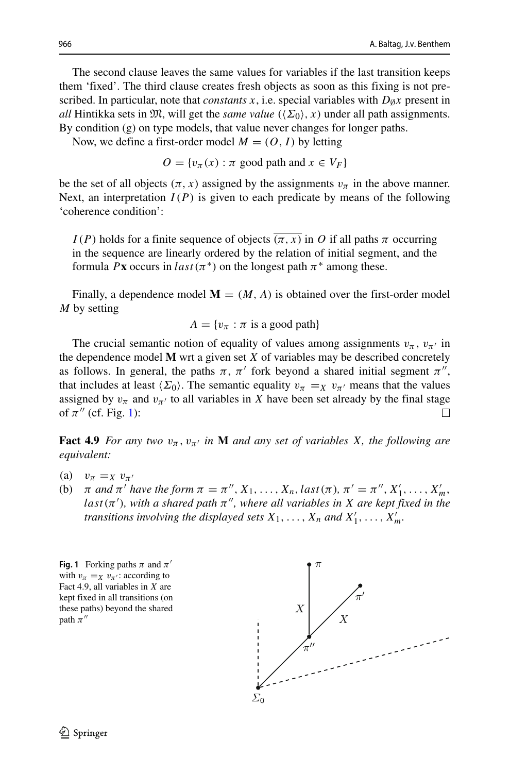The second clause leaves the same values for variables if the last transition keeps them 'fixed'. The third clause creates fresh objects as soon as this fixing is not prescribed. In particular, note that *constants*  $x$ , i.e. special variables with  $D_{\emptyset}x$  present in *all* Hintikka sets in  $\mathfrak{M}$ , will get the *same value*  $(\langle \Sigma_0 \rangle, x)$  under all path assignments. By condition (g) on type models, that value never changes for longer paths.

Now, we define a first-order model  $M = (O, I)$  by letting

 $O = \{v_\tau(x) : \pi \text{ good path and } x \in V_F\}$ 

be the set of all objects  $(\pi, x)$  assigned by the assignments  $v_{\pi}$  in the above manner. Next, an interpretation  $I(P)$  is given to each predicate by means of the following 'coherence condition':

*I(P)* holds for a finite sequence of objects  $(\pi, x)$  in *O* if all paths  $\pi$  occurring in the sequence are linearly ordered by the relation of initial segment, and the formula *P***x** occurs in *last* ( $\pi$ <sup>\*</sup>) on the longest path  $\pi$ <sup>\*</sup> among these.

Finally, a dependence model  $M = (M, A)$  is obtained over the first-order model *M* by setting

$$
A = \{v_{\pi} : \pi \text{ is a good path}\}\
$$

The crucial semantic notion of equality of values among assignments  $v_\pi$ ,  $v_{\pi'}$  in the dependence model **M** wrt a given set *X* of variables may be described concretely as follows. In general, the paths  $\pi$ ,  $\pi'$  fork beyond a shared initial segment  $\pi''$ , that includes at least  $\langle \Sigma_0 \rangle$ . The semantic equality  $v_\pi = \chi v_{\pi'}$  means that the values assigned by  $v_{\pi}$  and  $v_{\pi'}$  to all variables in *X* have been set already by the final stage of  $\pi''$  (cf. Fig. [1\)](#page-27-0):  $\Box$ 

**Fact 4.9** *For any two*  $v_{\pi}$ ,  $v_{\pi'}$  *in* **M** *and any set of variables X, the following are equivalent:*

- 
- (a)  $v_{\pi} =_{X} v_{\pi'}$ <br>(b)  $\pi$  and  $\pi'$  h (b)  $\pi$  *and*  $\pi'$  *have the form*  $\pi = \pi''$ ,  $X_1, \ldots, X_n$ , *last* ( $\pi$ ),  $\pi' = \pi''$ ,  $X'_1, \ldots, X'_m$ , *last (π ), with a shared path π, where all variables in X are kept fixed in the transitions involving the displayed sets*  $X_1, \ldots, X_n$  *and*  $X'_1, \ldots, X'_m$ .

<span id="page-27-0"></span>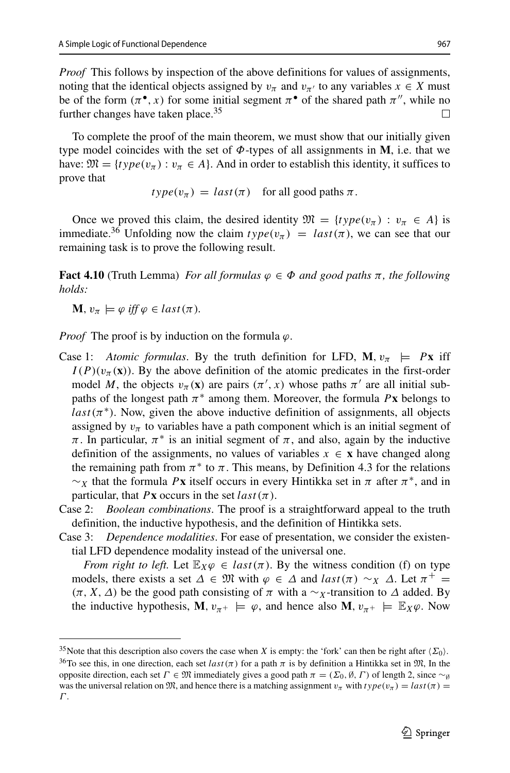*Proof* This follows by inspection of the above definitions for values of assignments, noting that the identical objects assigned by  $v_\pi$  and  $v_{\pi}$  to any variables  $x \in X$  must be of the form  $(\pi^{\bullet}, x)$  for some initial segment  $\pi^{\bullet}$  of the shared path  $\pi''$ , while no further changes have taken place. $35$ 

To complete the proof of the main theorem, we must show that our initially given type model coincides with the set of *Φ*-types of all assignments in **M**, i.e. that we have:  $\mathfrak{M} = \{ type(v_\pi) : v_\pi \in A \}$ . And in order to establish this identity, it suffices to prove that

$$
type(v_{\pi}) = last(\pi) \text{ for all good paths } \pi.
$$

Once we proved this claim, the desired identity  $\mathfrak{M} = \{type(v_\pi) : v_\pi \in A\}$  is immediate.<sup>[36](#page-28-1)</sup> Unfolding now the claim  $type(v_\pi) = last(\pi)$ , we can see that our remaining task is to prove the following result.

**Fact 4.10** (Truth Lemma) *For all formulas*  $\varphi \in \Phi$  *and good paths*  $\pi$ *, the following holds:*

 $\mathbf{M}, v_{\pi} \models \varphi \text{ iff } \varphi \in last(\pi).$ 

*Proof* The proof is by induction on the formula *ϕ*.

- Case 1: *Atomic formulas*. By the truth definition for LFD,  $\mathbf{M}, v_{\pi} \models Px$  iff  $I(P)(v_\pi(\mathbf{x}))$ . By the above definition of the atomic predicates in the first-order model *M*, the objects  $v_\pi(\mathbf{x})$  are pairs  $(\pi', x)$  whose paths  $\pi'$  are all initial subpaths of the longest path  $\pi^*$  among them. Moreover, the formula P**x** belongs to  $last(\pi^*)$ . Now, given the above inductive definition of assignments, all objects assigned by  $v_\pi$  to variables have a path component which is an initial segment of *π*. In particular,  $π$ <sup>\*</sup> is an initial segment of  $π$ , and also, again by the inductive definition of the assignments, no values of variables  $x \in \mathbf{x}$  have changed along the remaining path from  $\pi$ <sup>\*</sup> to  $\pi$ . This means, by Definition 4.3 for the relations  $~\sim$ *χ* that the formula *P***x** itself occurs in every Hintikka set in *π* after  $π$ <sup>\*</sup>, and in particular, that  $P$ **x** occurs in the set  $last(\pi)$ .
- Case 2: *Boolean combinations*. The proof is a straightforward appeal to the truth definition, the inductive hypothesis, and the definition of Hintikka sets.
- Case 3: *Dependence modalities*. For ease of presentation, we consider the existential LFD dependence modality instead of the universal one.

*From right to left.* Let  $\mathbb{E}_X \varphi \in last(\pi)$ . By the witness condition (f) on type models, there exists a set  $\Delta \in \mathfrak{M}$  with  $\varphi \in \Delta$  and  $last(\pi) \sim_X \Delta$ . Let  $\pi^+ =$ *(π, X, Δ)* be the good path consisting of  $π$  with a ∼*x*-transition to *Δ* added. By the inductive hypothesis, **M***,*  $v_{\pi^+} \models \varphi$ *,* and hence also **M***,*  $v_{\pi^+} \models \mathbb{E}_X \varphi$ . Now

<sup>&</sup>lt;sup>35</sup>Note that this description also covers the case when X is empty: the 'fork' can then be right after  $\langle \Sigma_0 \rangle$ .<br><sup>36</sup>To see this, in one direction, each set *last* ( $\pi$ ) for a path  $\pi$  is by definition a Hintikka set

<span id="page-28-1"></span><span id="page-28-0"></span>opposite direction, each set *Γ* ∈  $\mathfrak{M}$  immediately gives a good path  $\pi = (\Sigma_0, \emptyset, \Gamma)$  of length 2, since ∼*⊗* was the universal relation on  $\mathfrak{M}$ , and hence there is a matching assignment  $v_\pi$  with  $type(v_\pi) = last(\pi)$ *Γ* .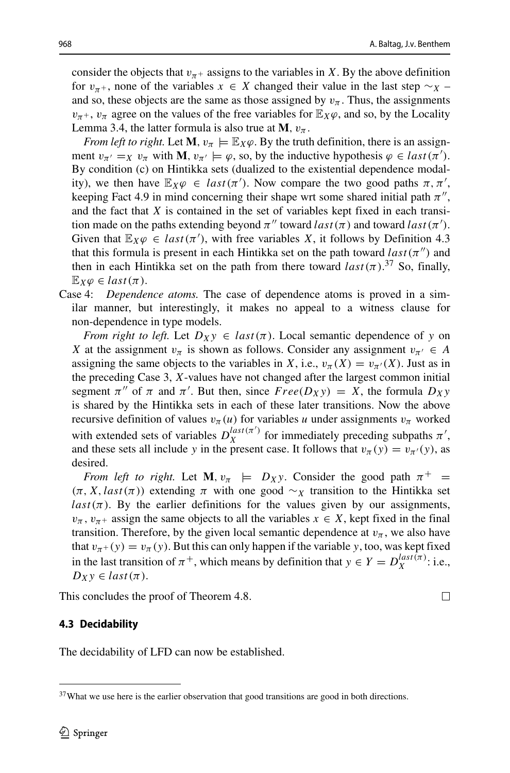consider the objects that  $v_{\pi}$ + assigns to the variables in *X*. By the above definition for  $v_{\pi+}$ , none of the variables  $x \in X$  changed their value in the last step  $\sim_X$  – and so, these objects are the same as those assigned by  $v_\pi$ . Thus, the assignments  $v_{\pi}$ +,  $v_{\pi}$  agree on the values of the free variables for  $\mathbb{E}_X\varphi$ , and so, by the Locality Lemma 3.4, the latter formula is also true at **M***,*  $v_\pi$ .

*From left to right.* Let **M***,*  $v_\pi \models \mathbb{E}_X \varphi$ . By the truth definition, there is an assignment  $v_{\pi'} = x$   $v_{\pi}$  with **M***,*  $v_{\pi'} \models \varphi$ *,* so, by the inductive hypothesis  $\varphi \in last(\pi')$ . By condition (c) on Hintikka sets (dualized to the existential dependence modality), we then have  $\mathbb{E}_X \varphi \in last(\pi')$ . Now compare the two good paths  $\pi, \pi'$ , keeping Fact 4.9 in mind concerning their shape wrt some shared initial path  $\pi''$ , and the fact that *X* is contained in the set of variables kept fixed in each transition made on the paths extending beyond  $\pi''$  toward *last* ( $\pi$ ) and toward *last* ( $\pi'$ ). Given that  $\mathbb{E}_X \varphi \in last(\pi')$ , with free variables *X*, it follows by Definition 4.3 that this formula is present in each Hintikka set on the path toward  $last(\pi'')$  and then in each Hintikka set on the path from there toward  $last(\pi)$ .<sup>[37](#page-29-0)</sup> So, finally,  $\mathbb{E}_X \varphi \in last(\pi)$ .

Case 4: *Dependence atoms.* The case of dependence atoms is proved in a similar manner, but interestingly, it makes no appeal to a witness clause for non-dependence in type models.

*From right to left.* Let  $D_Xy \in last(\pi)$ . Local semantic dependence of y on *X* at the assignment  $v_\pi$  is shown as follows. Consider any assignment  $v_{\pi'} \in A$ assigning the same objects to the variables in *X*, i.e.,  $v_\pi(X) = v_{\pi'}(X)$ . Just as in the preceding Case 3, *X*-values have not changed after the largest common initial segment  $\pi''$  of  $\pi$  and  $\pi'$ . But then, since  $Free(D_Xy) = X$ , the formula  $D_Xy$ is shared by the Hintikka sets in each of these later transitions. Now the above recursive definition of values  $v_\pi(u)$  for variables *u* under assignments  $v_\pi$  worked with extended sets of variables  $D_X^{last(\pi')}$  for immediately preceding subpaths  $\pi'$ , and these sets all include *y* in the present case. It follows that  $v_\pi(y) = v_{\pi}(y)$ , as desired.

*From left to right.* Let **M***,*  $v_\pi$   $\models$   $D_Xy$ . Consider the good path  $\pi^+$  =  $(π, X, last(π))$  extending  $π$  with one good ∼*x* transition to the Hintikka set  $last(\pi)$ . By the earlier definitions for the values given by our assignments,  $v_{\pi}$ ,  $v_{\pi+}$  assign the same objects to all the variables  $x \in X$ , kept fixed in the final transition. Therefore, by the given local semantic dependence at  $v_\pi$ , we also have that  $v_{\pi+}(y) = v_{\pi}(y)$ . But this can only happen if the variable *y*, too, was kept fixed in the last transition of  $\pi^{+}$ , which means by definition that  $y \in Y = D_X^{last(\pi)}$ : i.e.,  $D_Xy \in last(\pi)$ .

This concludes the proof of Theorem 4.8.

## **4.3 Decidability**

The decidability of LFD can now be established.

 $\Box$ 

<span id="page-29-0"></span><sup>&</sup>lt;sup>37</sup>What we use here is the earlier observation that good transitions are good in both directions.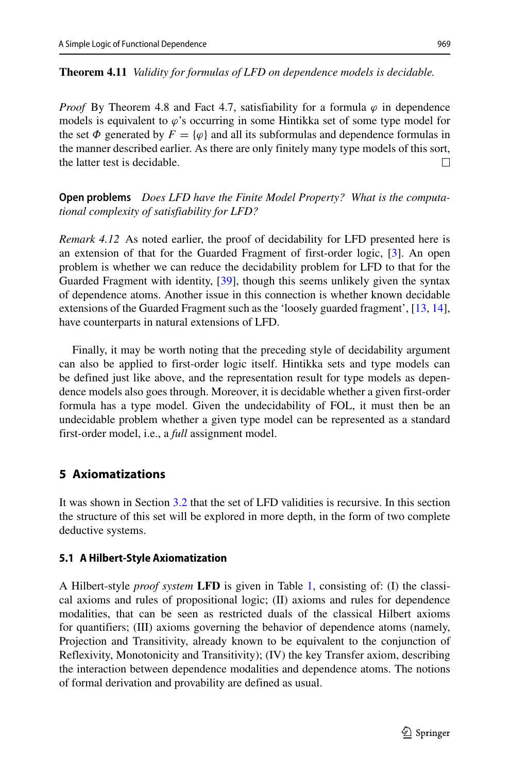#### **Theorem 4.11** *Validity for formulas of LFD on dependence models is decidable.*

*Proof* By Theorem 4.8 and Fact 4.7, satisfiability for a formula  $\varphi$  in dependence models is equivalent to *ϕ*'s occurring in some Hintikka set of some type model for the set  $\Phi$  generated by  $F = {\varphi}$  and all its subformulas and dependence formulas in the manner described earlier. As there are only finitely many type models of this sort, the latter test is decidable.  $\Box$ 

**Open problems** *Does LFD have the Finite Model Property? What is the computational complexity of satisfiability for LFD?*

*Remark 4.12* As noted earlier, the proof of decidability for LFD presented here is an extension of that for the Guarded Fragment of first-order logic, [\[3\]](#page-63-0). An open problem is whether we can reduce the decidability problem for LFD to that for the Guarded Fragment with identity, [\[39\]](#page-65-13), though this seems unlikely given the syntax of dependence atoms. Another issue in this connection is whether known decidable extensions of the Guarded Fragment such as the 'loosely guarded fragment', [\[13,](#page-64-1) [14\]](#page-64-13), have counterparts in natural extensions of LFD.

Finally, it may be worth noting that the preceding style of decidability argument can also be applied to first-order logic itself. Hintikka sets and type models can be defined just like above, and the representation result for type models as dependence models also goes through. Moreover, it is decidable whether a given first-order formula has a type model. Given the undecidability of FOL, it must then be an undecidable problem whether a given type model can be represented as a standard first-order model, i.e., a *full* assignment model.

# <span id="page-30-0"></span>**5 Axiomatizations**

It was shown in Section [3.2](#page-17-0) that the set of LFD validities is recursive. In this section the structure of this set will be explored in more depth, in the form of two complete deductive systems.

## <span id="page-30-1"></span>**5.1 A Hilbert-Style Axiomatization**

A Hilbert-style *proof system* **LFD** is given in Table [1,](#page-31-0) consisting of: (I) the classical axioms and rules of propositional logic; (II) axioms and rules for dependence modalities, that can be seen as restricted duals of the classical Hilbert axioms for quantifiers; (III) axioms governing the behavior of dependence atoms (namely, Projection and Transitivity, already known to be equivalent to the conjunction of Reflexivity, Monotonicity and Transitivity); (IV) the key Transfer axiom, describing the interaction between dependence modalities and dependence atoms. The notions of formal derivation and provability are defined as usual.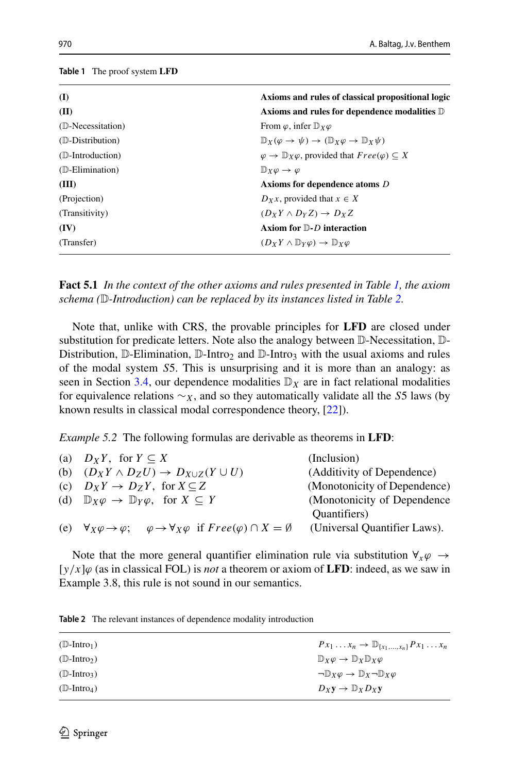#### <span id="page-31-0"></span>**Table 1** The proof system **LFD**

| (I)               | Axioms and rules of classical propositional logic                                 |
|-------------------|-----------------------------------------------------------------------------------|
| (II)              | Axioms and rules for dependence modalities D                                      |
| (D-Necessitation) | From $\varphi$ , infer $\mathbb{D}_X \varphi$                                     |
| (D-Distribution)  | $\mathbb{D}_X(\varphi \to \psi) \to (\mathbb{D}_X \varphi \to \mathbb{D}_X \psi)$ |
| (D-Introduction)  | $\varphi \to \mathbb{D}_X \varphi$ , provided that $Free(\varphi) \subseteq X$    |
| (D-Elimination)   | $\mathbb{D}_Y \varphi \to \varphi$                                                |
| (III)             | Axioms for dependence atoms D                                                     |
| (Projection)      | $D_Xx$ , provided that $x \in X$                                                  |
| (Transitivity)    | $(D_Y Y \wedge D_Y Z) \rightarrow D_Y Z$                                          |
| (IV)              | Axiom for $D$ -D interaction                                                      |
| (Transfer)        | $(D_X Y \wedge \mathbb{D}_Y \varphi) \rightarrow \mathbb{D}_X \varphi$            |

**Fact 5.1** *In the context of the other axioms and rules presented in Table [1,](#page-31-0) the axiom schema (*D*-Introduction) can be replaced by its instances listed in Table [2.](#page-31-1)*

Note that, unlike with CRS, the provable principles for **LFD** are closed under substitution for predicate letters. Note also the analogy between D-Necessitation, D-Distribution,  $\mathbb{D}$ -Elimination,  $\mathbb{D}$ -Intro<sub>2</sub> and  $\mathbb{D}$ -Intro<sub>3</sub> with the usual axioms and rules of the modal system *S*5. This is unsurprising and it is more than an analogy: as seen in Section [3.4,](#page-21-1) our dependence modalities  $\mathbb{D}_X$  are in fact relational modalities for equivalence relations ∼*X*, and so they automatically validate all the *S*5 laws (by known results in classical modal correspondence theory, [\[22\]](#page-64-12)).

*Example 5.2* The following formulas are derivable as theorems in **LFD**:

| (a) $D_XY$ , for $Y \subseteq X$                                                                                            | (Inclusion)                  |
|-----------------------------------------------------------------------------------------------------------------------------|------------------------------|
| (b) $(D_X Y \wedge D_Z U) \rightarrow D_{X \cup Z} (Y \cup U)$                                                              | (Additivity of Dependence)   |
| (c) $D_X Y \to D_Z Y$ , for $X \subseteq Z$                                                                                 | (Monotonicity of Dependence) |
| (d) $\mathbb{D}_X \varphi \to \mathbb{D}_Y \varphi$ , for $X \subseteq Y$                                                   | (Monotonicity of Dependence  |
|                                                                                                                             | Quantifiers)                 |
| (e) $\forall_X \varphi \rightarrow \varphi$ ; $\varphi \rightarrow \forall_X \varphi$ if $Free(\varphi) \cap X = \emptyset$ | (Universal Quantifier Laws). |

Note that the more general quantifier elimination rule via substitution  $\forall_x \varphi \rightarrow$ [*y/x*]*ϕ* (as in classical FOL) is *not* a theorem or axiom of **LFD**: indeed, as we saw in Example 3.8, this rule is not sound in our semantics.

| $(D-Intro_1)$                 | $Px_1 \ldots x_n \to \mathbb{D}_{\{x_1,\ldots,x_n\}} Px_1 \ldots x_n$  |
|-------------------------------|------------------------------------------------------------------------|
| $(\mathbb{D}\text{-Intro}_2)$ | $\mathbb{D}_X \varphi \to \mathbb{D}_X \mathbb{D}_X \varphi$           |
| $(D-Intro_3)$                 | $\neg \mathbb{D}_X \varphi \to \mathbb{D}_X \neg \mathbb{D}_X \varphi$ |
| $(D-Intro_4)$                 | $D_X y \to D_X D_X y$                                                  |
|                               |                                                                        |

<span id="page-31-1"></span>**Table 2** The relevant instances of dependence modality introduction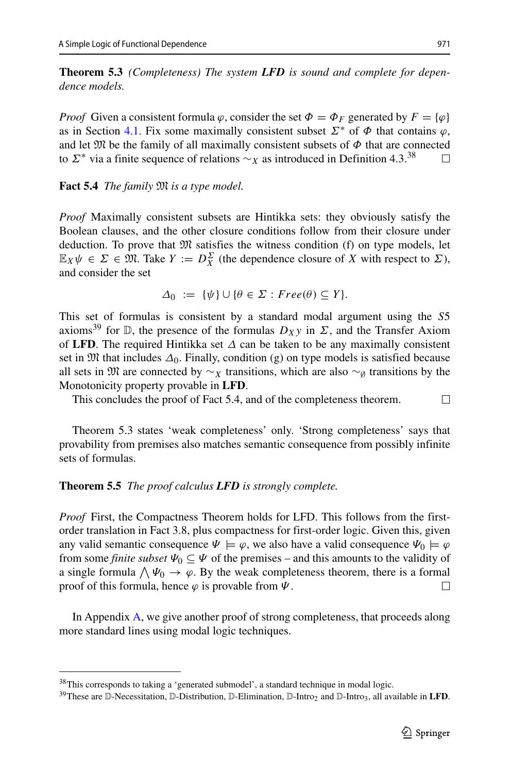**Theorem 5.3** *(Completeness) The system LFD is sound and complete for dependence models.*

*Proof* Given a consistent formula  $\varphi$ , consider the set  $\Phi = \Phi_F$  generated by  $F = {\varphi}$ as in Section [4.1.](#page-24-1) Fix some maximally consistent subset  $\Sigma^*$  of  $\Phi$  that contains  $\varphi$ , and let  $\mathfrak{M}$  be the family of all maximally consistent subsets of  $\Phi$  that are connected to  $\Sigma^*$  via a finite sequence of relations  $\sim_X$  as introduced in Definition 4.3.<sup>[38](#page-32-0)</sup>  $\Box$ 

**Fact 5.4** *The family* M *is a type model.*

*Proof* Maximally consistent subsets are Hintikka sets: they obviously satisfy the Boolean clauses, and the other closure conditions follow from their closure under deduction. To prove that  $\mathfrak{M}$  satisfies the witness condition (f) on type models, let  $\mathbb{E}_X \psi \in \Sigma \in \mathfrak{M}$ . Take  $Y := D_X^{\Sigma}$  (the dependence closure of *X* with respect to  $\Sigma$ ), and consider the set

$$
\Delta_0 := \{ \psi \} \cup \{ \theta \in \Sigma : Free(\theta) \subseteq Y \}.
$$

This set of formulas is consistent by a standard modal argument using the *S*5 axioms<sup>[39](#page-32-1)</sup> for  $D$ , the presence of the formulas  $D_Xy$  in  $\Sigma$ , and the Transfer Axiom of **LFD**. The required Hintikka set *Δ* can be taken to be any maximally consistent set in  $\mathfrak{M}$  that includes  $\Delta_0$ . Finally, condition (g) on type models is satisfied because all sets in  $\mathfrak{M}$  are connected by  $\sim_X$  transitions, which are also  $\sim_{\emptyset}$  transitions by the Monotonicity property provable in **LFD**.

This concludes the proof of Fact 5.4, and of the completeness theorem.  $\Box$ 

Theorem 5.3 states 'weak completeness' only. 'Strong completeness' says that provability from premises also matches semantic consequence from possibly infinite sets of formulas.

#### **Theorem 5.5** *The proof calculus LFD is strongly complete.*

*Proof* First, the Compactness Theorem holds for LFD. This follows from the firstorder translation in Fact 3.8, plus compactness for first-order logic. Given this, given any valid semantic consequence  $\Psi \models \varphi$ , we also have a valid consequence  $\Psi_0 \models \varphi$ from some *finite subset*  $\Psi_0 \subseteq \Psi$  of the premises – and this amounts to the validity of a single formula  $\bigwedge \Psi_0 \to \varphi$ . By the weak completeness theorem, there is a formal proof of this formula, hence  $\varphi$  is provable from  $\Psi$ .  $\perp$ 

In Appendix [A,](#page-58-0) we give another proof of strong completeness, that proceeds along more standard lines using modal logic techniques.

<sup>&</sup>lt;sup>38</sup>This corresponds to taking a 'generated submodel', a standard technique in modal logic.

<span id="page-32-1"></span><span id="page-32-0"></span><sup>&</sup>lt;sup>39</sup>These are D-Necessitation, D-Distribution, D-Elimination, D-Intro<sub>2</sub> and D-Intro<sub>3</sub>, all available in **LFD**.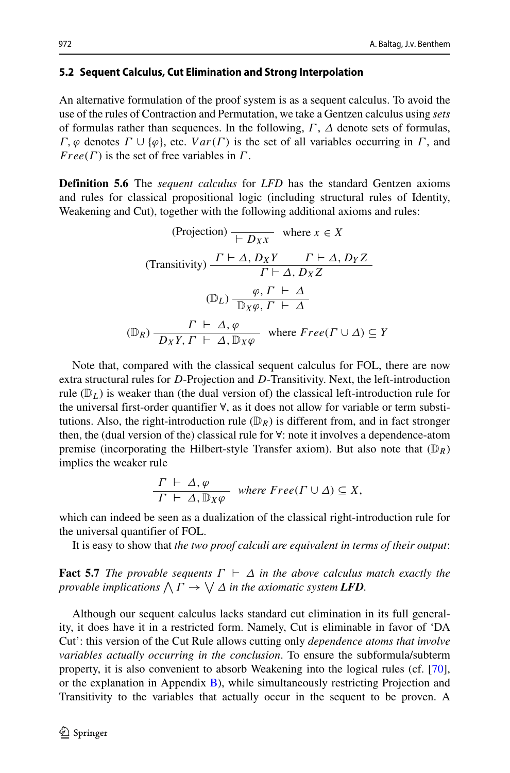#### **5.2 Sequent Calculus, Cut Elimination and Strong Interpolation**

An alternative formulation of the proof system is as a sequent calculus. To avoid the use of the rules of Contraction and Permutation, we take a Gentzen calculus using *sets* of formulas rather than sequences. In the following, *Γ* , *Δ* denote sets of formulas, *Γ,ϕ* denotes *Γ* ∪ {*ϕ*}, etc. *V ar(Γ )* is the set of all variables occurring in *Γ* , and *F ree(Γ )* is the set of free variables in *Γ* .

**Definition 5.6** The *sequent calculus* for *LFD* has the standard Gentzen axioms and rules for classical propositional logic (including structural rules of Identity, Weakening and Cut), together with the following additional axioms and rules:

(Projection) 
$$
\frac{\overline{P} \cap \overline{D_X X}}{\overline{P} \cap \overline{D_X X}}
$$
 where  $x \in X$   
\n(Transitivity)  $\frac{\Gamma \vdash \Delta, D_X Y \quad \Gamma \vdash \Delta, D_Y Z}{\Gamma \vdash \Delta, D_X Z}$   
\n $(\mathbb{D}_L) \frac{\varphi, \Gamma \vdash \Delta}{\mathbb{D}_X \varphi, \Gamma \vdash \Delta}$   
\n $(\mathbb{D}_R) \frac{\Gamma \vdash \Delta, \varphi}{\overline{D}_X Y, \Gamma \vdash \Delta, \mathbb{D}_X \varphi}$  where  $Free(\Gamma \cup \Delta) \subseteq Y$ 

Note that, compared with the classical sequent calculus for FOL, there are now extra structural rules for *D*-Projection and *D*-Transitivity. Next, the left-introduction rule  $(\mathbb{D}_L)$  is weaker than (the dual version of) the classical left-introduction rule for the universal first-order quantifier ∀, as it does not allow for variable or term substitutions. Also, the right-introduction rule  $(\mathbb{D}_R)$  is different from, and in fact stronger then, the (dual version of the) classical rule for ∀: note it involves a dependence-atom premise (incorporating the Hilbert-style Transfer axiom). But also note that  $(\mathbb{D}_R)$ implies the weaker rule

$$
\frac{\Gamma \vdash \Delta, \varphi}{\Gamma \vdash \Delta, \mathbb{D}_X \varphi} \quad \text{where } \text{Free}(\Gamma \cup \Delta) \subseteq X,
$$

which can indeed be seen as a dualization of the classical right-introduction rule for the universal quantifier of FOL.

It is easy to show that *the two proof calculi are equivalent in terms of their output*:

**Fact 5.7** *The provable sequents*  $\Gamma \vdash \Delta$  *in the above calculus match exactly the provable implications*  $\bigwedge \Gamma \to \bigvee \Delta$  *in the axiomatic system LFD.* 

Although our sequent calculus lacks standard cut elimination in its full generality, it does have it in a restricted form. Namely, Cut is eliminable in favor of 'DA Cut': this version of the Cut Rule allows cutting only *dependence atoms that involve variables actually occurring in the conclusion*. To ensure the subformula/subterm property, it is also convenient to absorb Weakening into the logical rules (cf. [\[70\]](#page-66-2), or the explanation in Appendix [B\)](#page-62-0), while simultaneously restricting Projection and Transitivity to the variables that actually occur in the sequent to be proven. A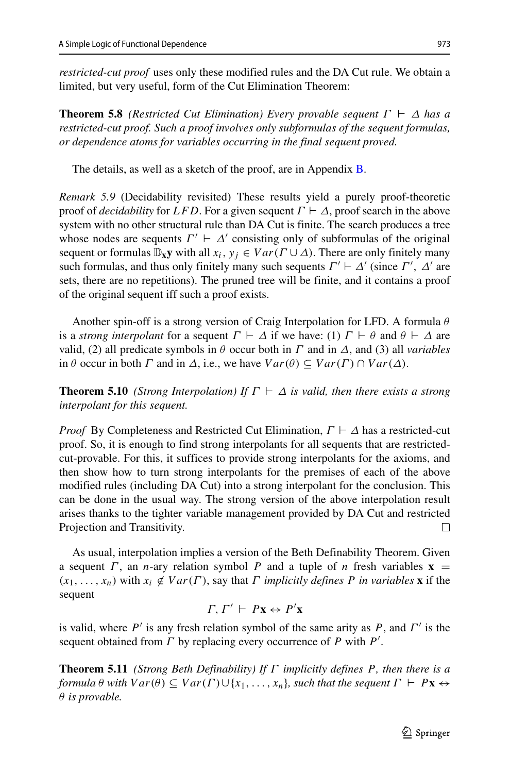*restricted-cut proof* uses only these modified rules and the DA Cut rule. We obtain a limited, but very useful, form of the Cut Elimination Theorem:

**Theorem 5.8** *(Restricted Cut Elimination) Every provable sequent*  $\Gamma \vdash \Delta$  *has a restricted-cut proof. Such a proof involves only subformulas of the sequent formulas, or dependence atoms for variables occurring in the final sequent proved.*

The details, as well as a sketch of the proof, are in Appendix [B.](#page-62-0)

*Remark 5.9* (Decidability revisited) These results yield a purely proof-theoretic proof of *decidability* for *LFD*. For a given sequent  $\Gamma \vdash \Delta$ , proof search in the above system with no other structural rule than DA Cut is finite. The search produces a tree whose nodes are sequents  $\Gamma' \vdash \Delta'$  consisting only of subformulas of the original sequent or formulas  $\mathbb{D}_x y$  with all  $x_i, y_j \in Var(\Gamma \cup \Delta)$ . There are only finitely many such formulas, and thus only finitely many such sequents  $\Gamma' \vdash \Delta'$  (since  $\Gamma'$ ,  $\Delta'$  are sets, there are no repetitions). The pruned tree will be finite, and it contains a proof of the original sequent iff such a proof exists.

Another spin-off is a strong version of Craig Interpolation for LFD. A formula *θ* is a *strong interpolant* for a sequent  $\Gamma \vdash \Delta$  if we have: (1)  $\Gamma \vdash \theta$  and  $\theta \vdash \Delta$  are valid, (2) all predicate symbols in  $\theta$  occur both in *Γ* and in  $\Delta$ , and (3) all *variables* in  $\theta$  occur in both  $\Gamma$  and in  $\Delta$ , i.e., we have  $Var(\theta) \subseteq Var(\Gamma) \cap Var(\Delta)$ .

**Theorem 5.10** *(Strong Interpolation) If*  $\Gamma \vdash \Delta$  *is valid, then there exists a strong interpolant for this sequent.*

*Proof* By Completeness and Restricted Cut Elimination, *Γ*  $\vdash$  Δ has a restricted-cut proof. So, it is enough to find strong interpolants for all sequents that are restrictedcut-provable. For this, it suffices to provide strong interpolants for the axioms, and then show how to turn strong interpolants for the premises of each of the above modified rules (including DA Cut) into a strong interpolant for the conclusion. This can be done in the usual way. The strong version of the above interpolation result arises thanks to the tighter variable management provided by DA Cut and restricted Projection and Transitivity.  $\Box$ 

As usual, interpolation implies a version of the Beth Definability Theorem. Given a sequent *Γ*, an *n*-ary relation symbol *P* and a tuple of *n* fresh variables  $\bf{x}$  =  $(x_1, \ldots, x_n)$  with  $x_i \notin Var(\Gamma)$ , say that *Γ implicitly defines P in variables* **x** if the sequent

*Γ, Γ'*  $\vdash P$ **x**  $\leftrightarrow$  *P'***x** 

is valid, where *P* is any fresh relation symbol of the same arity as *P*, and *Γ* is the sequent obtained from *Γ* by replacing every occurrence of *P* with *P* .

**Theorem 5.11** *(Strong Beth Definability) If Γ implicitly defines P, then there is a formula*  $\theta$  *with*  $Var(\theta) \subseteq Var(\Gamma) \cup \{x_1, \ldots, x_n\}$ *, such that the sequent*  $\Gamma \vdash P\mathbf{x} \leftrightarrow$ *θ is provable.*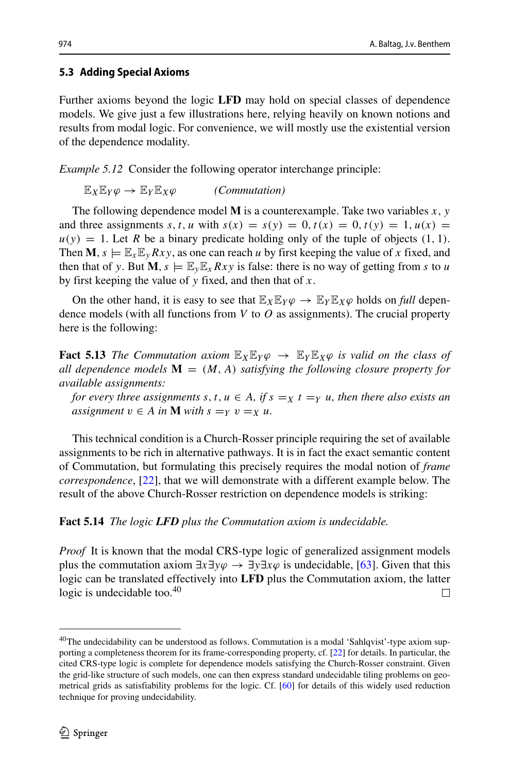# <span id="page-35-1"></span>**5.3 Adding Special Axioms**

Further axioms beyond the logic **LFD** may hold on special classes of dependence models. We give just a few illustrations here, relying heavily on known notions and results from modal logic. For convenience, we will mostly use the existential version of the dependence modality.

*Example 5.12* Consider the following operator interchange principle:

 $\mathbb{E}_X \mathbb{E}_Y \varphi \to \mathbb{E}_Y \mathbb{E}_X \varphi$  *(Commutation)* 

The following dependence model **M** is a counterexample. Take two variables *x, y* and three assignments *s*, *t*, *u* with  $s(x) = s(y) = 0$ ,  $t(x) = 0$ ,  $t(y) = 1$ ,  $u(x) = 0$  $u(y) = 1$ . Let *R* be a binary predicate holding only of the tuple of objects (1, 1). Then **M**,  $s \models \mathbb{E}_x \mathbb{E}_y Rxy$ , as one can reach *u* by first keeping the value of *x* fixed, and then that of *y*. But  $\mathbf{M}$ ,  $s \models \mathbb{E}_y \mathbb{E}_x Rxy$  is false: there is no way of getting from *s* to *u* by first keeping the value of *y* fixed, and then that of *x*.

On the other hand, it is easy to see that  $\mathbb{E}_X \mathbb{E}_Y \varphi \to \mathbb{E}_Y \mathbb{E}_X \varphi$  holds on *full* dependence models (with all functions from *V* to *O* as assignments). The crucial property here is the following:

**Fact 5.13** *The Commutation axiom*  $\mathbb{E}_X \mathbb{E}_Y \varphi \to \mathbb{E}_Y \mathbb{E}_X \varphi$  *is valid on the class of all dependence models*  $M = (M, A)$  *satisfying the following closure property for available assignments:*

*for every three assignments*  $s, t, u \in A$ *, if*  $s = x$   $t = y$  *u, then there also exists an assignment*  $v \in A$  *in* **M** *with*  $s = Y$   $v = X$  *u.* 

This technical condition is a Church-Rosser principle requiring the set of available assignments to be rich in alternative pathways. It is in fact the exact semantic content of Commutation, but formulating this precisely requires the modal notion of *frame correspondence*, [\[22\]](#page-64-12), that we will demonstrate with a different example below. The result of the above Church-Rosser restriction on dependence models is striking:

# **Fact 5.14** *The logic LFD plus the Commutation axiom is undecidable.*

*Proof* It is known that the modal CRS-type logic of generalized assignment models plus the commutation axiom ∃*x*∃*yϕ* → ∃*y*∃*xϕ* is undecidable, [\[63\]](#page-65-5). Given that this logic can be translated effectively into **LFD** plus the Commutation axiom, the latter logic is undecidable too.<sup>40</sup>  $\Box$ 

<span id="page-35-0"></span><sup>&</sup>lt;sup>40</sup>The undecidability can be understood as follows. Commutation is a modal 'Sahlqvist'-type axiom supporting a completeness theorem for its frame-corresponding property, cf. [\[22\]](#page-64-12) for details. In particular, the cited CRS-type logic is complete for dependence models satisfying the Church-Rosser constraint. Given the grid-like structure of such models, one can then express standard undecidable tiling problems on geometrical grids as satisfiability problems for the logic. Cf. [\[60\]](#page-65-14) for details of this widely used reduction technique for proving undecidability.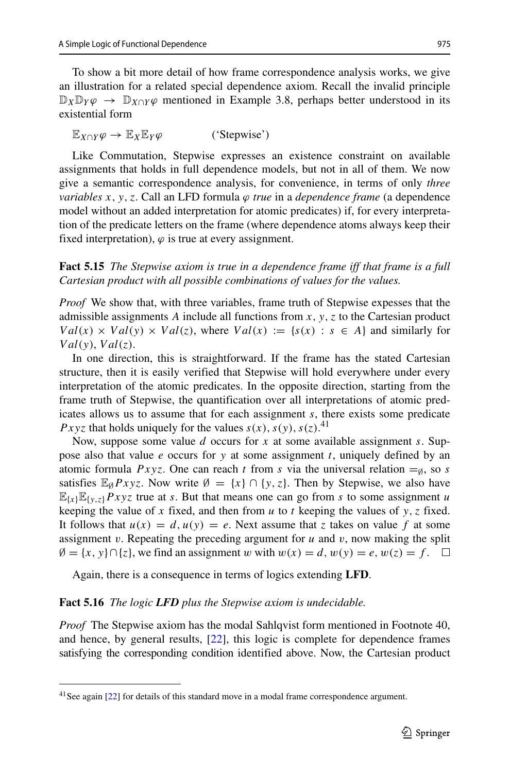To show a bit more detail of how frame correspondence analysis works, we give an illustration for a related special dependence axiom. Recall the invalid principle  $\mathbb{D}_X \mathbb{D}_Y \varphi \to \mathbb{D}_{X \cap Y} \varphi$  mentioned in Example 3.8, perhaps better understood in its existential form

 $\mathbb{E}_{X \cap Y} \varphi \to \mathbb{E}_{X} \mathbb{E}_{Y} \varphi$  ('Stepwise')

Like Commutation, Stepwise expresses an existence constraint on available assignments that holds in full dependence models, but not in all of them. We now give a semantic correspondence analysis, for convenience, in terms of only *three variables x, y,z*. Call an LFD formula *ϕ true* in a *dependence frame* (a dependence model without an added interpretation for atomic predicates) if, for every interpretation of the predicate letters on the frame (where dependence atoms always keep their fixed interpretation),  $\varphi$  is true at every assignment.

**Fact 5.15** *The Stepwise axiom is true in a dependence frame iff that frame is a full Cartesian product with all possible combinations of values for the values.*

*Proof* We show that, with three variables, frame truth of Stepwise expesses that the admissible assignments *A* include all functions from *x, y,z* to the Cartesian product  $Val(x) \times Val(y) \times Val(z)$ , where  $Val(x) := \{s(x) : s \in A\}$  and similarly for *V al(y)*, *V al(z)*.

In one direction, this is straightforward. If the frame has the stated Cartesian structure, then it is easily verified that Stepwise will hold everywhere under every interpretation of the atomic predicates. In the opposite direction, starting from the frame truth of Stepwise, the quantification over all interpretations of atomic predicates allows us to assume that for each assignment *s*, there exists some predicate *Pxyz* that holds uniquely for the values  $s(x)$ ,  $s(y)$ ,  $s(z)$ .<sup>[41](#page-36-0)</sup>

Now, suppose some value *d* occurs for *x* at some available assignment *s*. Suppose also that value *e* occurs for *y* at some assignment *t*, uniquely defined by an atomic formula  $Pxyz$ . One can reach *t* from *s* via the universal relation  $=_{\emptyset}$ , so *s* satisfies  $\mathbb{E}_{\emptyset} Pxyz$ . Now write  $\emptyset = \{x\} \cap \{y, z\}$ . Then by Stepwise, we also have  $\mathbb{E}_{\{x\}}\mathbb{E}_{\{y,z\}}Pxyz$  true at *s*. But that means one can go from *s* to some assignment *u* keeping the value of x fixed, and then from  $u$  to  $t$  keeping the values of  $y$ ,  $z$  fixed. It follows that  $u(x) = d$ ,  $u(y) = e$ . Next assume that *z* takes on value f at some assignment  $v$ . Repeating the preceding argument for  $u$  and  $v$ , now making the split  $\emptyset = \{x, y\} ∩ \{z\}$ , we find an assignment *w* with  $w(x) = d$ ,  $w(y) = e$ ,  $w(z) = f$ . □

Again, there is a consequence in terms of logics extending **LFD**.

#### **Fact 5.16** *The logic LFD plus the Stepwise axiom is undecidable.*

*Proof* The Stepwise axiom has the modal Sahlqvist form mentioned in Footnote 40, and hence, by general results, [\[22\]](#page-64-12), this logic is complete for dependence frames satisfying the corresponding condition identified above. Now, the Cartesian product

<span id="page-36-0"></span><sup>&</sup>lt;sup>41</sup> See again [\[22\]](#page-64-12) for details of this standard move in a modal frame correspondence argument.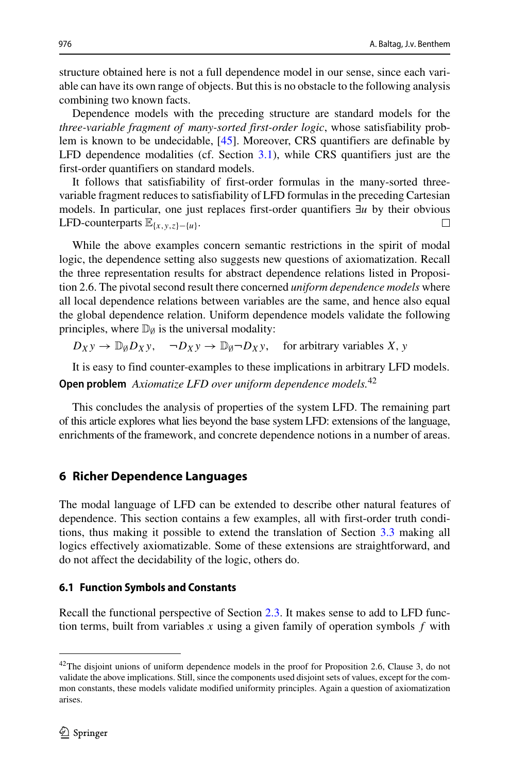structure obtained here is not a full dependence model in our sense, since each variable can have its own range of objects. But this is no obstacle to the following analysis combining two known facts.

Dependence models with the preceding structure are standard models for the *three-variable fragment of many-sorted first-order logic*, whose satisfiability problem is known to be undecidable, [\[45\]](#page-65-15). Moreover, CRS quantifiers are definable by LFD dependence modalities (cf. Section [3.1\)](#page-13-3), while CRS quantifiers just are the first-order quantifiers on standard models.

It follows that satisfiability of first-order formulas in the many-sorted threevariable fragment reduces to satisfiability of LFD formulas in the preceding Cartesian models. In particular, one just replaces first-order quantifiers ∃*u* by their obvious LFD-counterparts  $\mathbb{E}(\mu, \mu, \lambda, \mu)$ LFD-counterparts  $\mathbb{E}_{\{x,y,z\}-\{u\}}$ .

While the above examples concern semantic restrictions in the spirit of modal logic, the dependence setting also suggests new questions of axiomatization. Recall the three representation results for abstract dependence relations listed in Proposition 2.6. The pivotal second result there concerned *uniform dependence models* where all local dependence relations between variables are the same, and hence also equal the global dependence relation. Uniform dependence models validate the following principles, where  $\mathbb{D}_{\emptyset}$  is the universal modality:

 $D_Xy \to D_{\emptyset}D_Xy$ ,  $\neg D_Xy \to D_{\emptyset}D_Xy$ , for arbitrary variables *X*, *y* 

It is easy to find counter-examples to these implications in arbitrary LFD models.

**Open problem** *Axiomatize LFD over uniform dependence models.*[42](#page-37-1)

This concludes the analysis of properties of the system LFD. The remaining part of this article explores what lies beyond the base system LFD: extensions of the language, enrichments of the framework, and concrete dependence notions in a number of areas.

# <span id="page-37-0"></span>**6 Richer Dependence Languages**

The modal language of LFD can be extended to describe other natural features of dependence. This section contains a few examples, all with first-order truth conditions, thus making it possible to extend the translation of Section [3.3](#page-19-2) making all logics effectively axiomatizable. Some of these extensions are straightforward, and do not affect the decidability of the logic, others do.

## <span id="page-37-2"></span>**6.1 Function Symbols and Constants**

Recall the functional perspective of Section [2.3.](#page-12-1) It makes sense to add to LFD function terms, built from variables  $x$  using a given family of operation symbols  $f$  with

<span id="page-37-1"></span><sup>&</sup>lt;sup>42</sup>The disjoint unions of uniform dependence models in the proof for Proposition 2.6, Clause 3, do not validate the above implications. Still, since the components used disjoint sets of values, except for the common constants, these models validate modified uniformity principles. Again a question of axiomatization arises.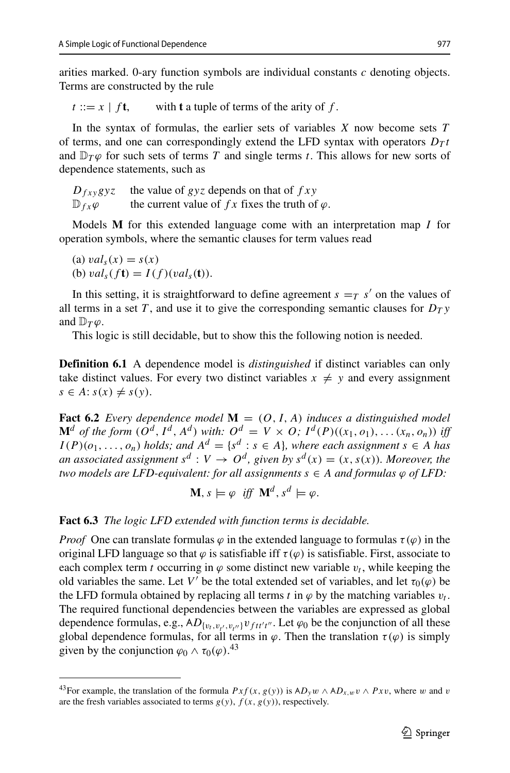arities marked. 0-ary function symbols are individual constants *c* denoting objects. Terms are constructed by the rule

 $t := x \mid f$ **t**, with **t** a tuple of terms of the arity of *f*.

In the syntax of formulas, the earlier sets of variables *X* now become sets *T* of terms, and one can correspondingly extend the LFD syntax with operators  $D_T t$ and  $\mathbb{D}_T\varphi$  for such sets of terms *T* and single terms *t*. This allows for new sorts of dependence statements, such as

| $D_{fxy}gyz$             | the value of $gyz$ depends on that of $fxy$              |
|--------------------------|----------------------------------------------------------|
| $\mathbb{D}_{fx}\varphi$ | the current value of $fx$ fixes the truth of $\varphi$ . |

Models **M** for this extended language come with an interpretation map *I* for operation symbols, where the semantic clauses for term values read

(a)  $val_s(x) = s(x)$ (b)  $val_s(f\mathbf{t}) = I(f)(val_s(\mathbf{t}))$ .

In this setting, it is straightforward to define agreement  $s = T s'$  on the values of all terms in a set *T*, and use it to give the corresponding semantic clauses for  $D_T y$ and  $\mathbb{D}_T \varphi$ .

This logic is still decidable, but to show this the following notion is needed.

**Definition 6.1** A dependence model is *distinguished* if distinct variables can only take distinct values. For every two distinct variables  $x \neq y$  and every assignment  $s \in A$ :  $s(x) \neq s(y)$ .

**Fact 6.2** *Every dependence model*  $M = (O, I, A)$  *induces a distinguished model*  $\mathbf{M}^{d}$  of the form  $(O^{d}, I^{d}, A^{d})$  with:  $O^{d} = V \times O$ ;  $I^{d}(P)((x_1, o_1), \ldots (x_n, o_n))$  iff  $I(P)(o_1, \ldots, o_n)$  *holds; and*  $A^d = \{s^d : s \in A\}$ *, where each assignment*  $s \in A$  *has an associated assignment*  $s^d : V \to O^d$ , given by  $s^d(x) = (x, s(x))$ *. Moreover, the two models are LFD-equivalent: for all assignments*  $s \in A$  *and formulas*  $\varphi$  *of LFD:* 

$$
\mathbf{M}, s \models \varphi \text{ iff } \mathbf{M}^d, s^d \models \varphi.
$$

#### **Fact 6.3** *The logic LFD extended with function terms is decidable.*

*Proof* One can translate formulas  $\varphi$  in the extended language to formulas  $\tau(\varphi)$  in the original LFD language so that  $\varphi$  is satisfiable iff  $\tau(\varphi)$  is satisfiable. First, associate to each complex term *t* occurring in  $\varphi$  some distinct new variable  $v_t$ , while keeping the old variables the same. Let *V'* be the total extended set of variables, and let  $\tau_0(\varphi)$  be the LFD formula obtained by replacing all terms *t* in  $\varphi$  by the matching variables  $v_t$ . The required functional dependencies between the variables are expressed as global dependence formulas, e.g.,  $AD_{\{v_t, v_{t'}, v_{t''}\}} v_{ftt't''}$ . Let  $\varphi_0$  be the conjunction of all these global dependence formulas, for all terms in  $\varphi$ . Then the translation  $\tau(\varphi)$  is simply given by the conjunction  $\varphi_0 \wedge \tau_0(\varphi)$ .<sup>[43](#page-38-0)</sup>

<span id="page-38-0"></span><sup>&</sup>lt;sup>43</sup> For example, the translation of the formula  $Pxf(x, g(y))$  is  $AD_yw \wedge AD_{x,w}v \wedge Pxv$ , where *w* and *v* are the fresh variables associated to terms  $g(y)$ ,  $f(x, g(y))$ , respectively.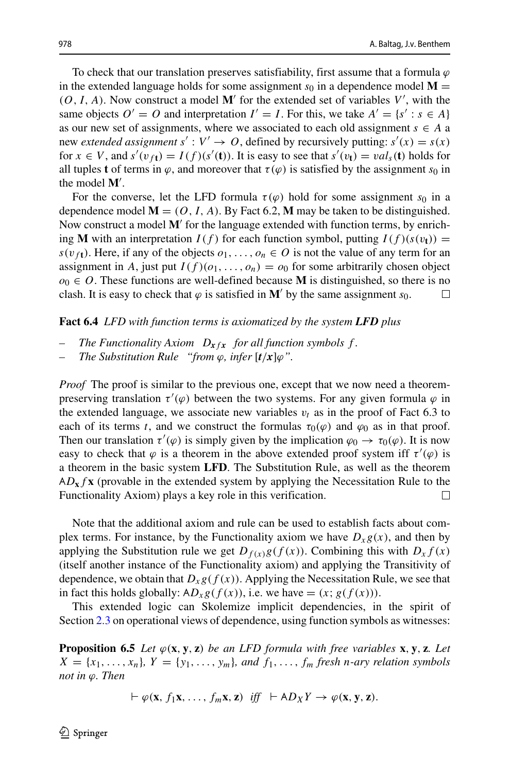To check that our translation preserves satisfiability, first assume that a formula *ϕ* in the extended language holds for some assignment  $s_0$  in a dependence model  $M =$  $(O, I, A)$ . Now construct a model M' for the extended set of variables  $V'$ , with the same objects  $O' = O$  and interpretation  $I' = I$ . For this, we take  $A' = \{s' : s \in A\}$ as our new set of assignments, where we associated to each old assignment  $s \in A$  a new *extended assignment*  $s' : V' \to O$ , defined by recursively putting:  $s'(x) = s(x)$ for  $x \in V$ , and  $s'(v_{f**t**}) = I(f)(s'(**t**))$ . It is easy to see that  $s'(v_{**t**}) = val_{s}(**t**)$  holds for all tuples **t** of terms in  $\varphi$ , and moreover that  $\tau(\varphi)$  is satisfied by the assignment  $s_0$  in the model **M** .

For the converse, let the LFD formula  $\tau(\varphi)$  hold for some assignment  $s_0$  in a dependence model  $M = (O, I, A)$ . By Fact 6.2, M may be taken to be distinguished. Now construct a model **M**' for the language extended with function terms, by enriching **M** with an interpretation  $I(f)$  for each function symbol, putting  $I(f)(s(v_t)) =$  $s(v_f)$ . Here, if any of the objects  $o_1, \ldots, o_n \in O$  is not the value of any term for an assignment in *A*, just put  $I(f)(o_1, \ldots, o_n) = o_0$  for some arbitrarily chosen object  $o_0$  ∈ *O*. These functions are well-defined because **M** is distinguished, so there is no clash. It is easy to check that  $\varphi$  is satisfied in **M**' by the same assignment s<sub>0</sub>. clash. It is easy to check that  $\varphi$  is satisfied in M' by the same assignment  $s_0$ .

#### **Fact 6.4** *LFD with function terms is axiomatized by the system LFD plus*

- *The Functionality Axiom*  $D_{x} f_x$  *for all function symbols f.*
- *The Substitution Rule "from*  $\varphi$ *, infer*  $\left[\frac{t}{x}\right]\varphi$ ".

*Proof* The proof is similar to the previous one, except that we now need a theorempreserving translation *τ (ϕ)* between the two systems. For any given formula *ϕ* in the extended language, we associate new variables  $v_t$  as in the proof of Fact 6.3 to each of its terms *t*, and we construct the formulas  $\tau_0(\varphi)$  and  $\varphi_0$  as in that proof. Then our translation  $\tau'(\varphi)$  is simply given by the implication  $\varphi_0 \to \tau_0(\varphi)$ . It is now easy to check that  $\varphi$  is a theorem in the above extended proof system iff  $\tau'(\varphi)$  is a theorem in the basic system **LFD**. The Substitution Rule, as well as the theorem ∀ *D***x***f* **x** (provable in the extended system by applying the Necessitation Rule to the Functionality Axiom) plays a key role in this verification.  $\Box$ 

Note that the additional axiom and rule can be used to establish facts about complex terms. For instance, by the Functionality axiom we have  $D_x g(x)$ , and then by applying the Substitution rule we get  $D_{f(x)}g(f(x))$ . Combining this with  $D_x f(x)$ (itself another instance of the Functionality axiom) and applying the Transitivity of dependence, we obtain that  $D_x g(f(x))$ . Applying the Necessitation Rule, we see that in fact this holds globally:  $AD_xg(f(x))$ , i.e. we have =  $(x; g(f(x)))$ .

This extended logic can Skolemize implicit dependencies, in the spirit of Section [2.3](#page-12-1) on operational views of dependence, using function symbols as witnesses:

**Proposition 6.5** *Let*  $\varphi(\mathbf{x}, \mathbf{y}, \mathbf{z})$  *be an LFD formula with free variables* **x**, **y***,* **z***. Let*  $X = \{x_1, \ldots, x_n\}$ ,  $Y = \{y_1, \ldots, y_m\}$ , and  $f_1, \ldots, f_m$  *fresh n-ary relation symbols not in ϕ. Then*

 $\vdash \varphi(\mathbf{x}, f_1\mathbf{x}, \dots, f_m\mathbf{x}, \mathbf{z}) \text{ iff } \vdash AD_XY \to \varphi(\mathbf{x}, \mathbf{y}, \mathbf{z}).$ 

 $\textcircled{2}$  Springer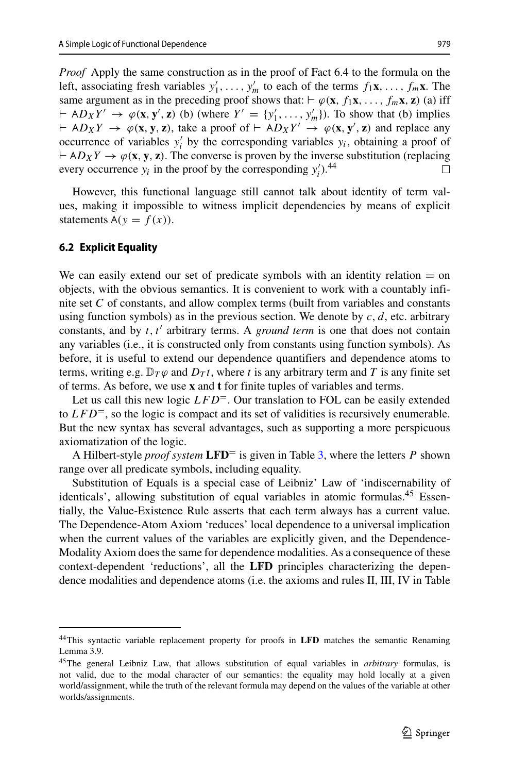*Proof* Apply the same construction as in the proof of Fact 6.4 to the formula on the left, associating fresh variables  $y'_1, \ldots, y'_m$  to each of the terms  $f_1 \mathbf{x}, \ldots, f_m \mathbf{x}$ . The same argument as in the preceding proof shows that:  $\varphi(\mathbf{x}, f_1\mathbf{x}, \dots, f_m\mathbf{x}, \mathbf{z})$  (a) iff  $\vdash AD_XY' \rightarrow \varphi(\mathbf{x}, \mathbf{y}', \mathbf{z})$  (b) (where  $Y' = \{y'_1, \ldots, y'_m\}$ ). To show that (b) implies  $H \rightarrow \varphi(\mathbf{x}, \mathbf{y}, \mathbf{z})$ , take a proof of  $H \rightarrow \varphi(\mathbf{x}, \mathbf{y}', \mathbf{z})$  and replace any occurrence of variables  $y_i$  by the corresponding variables  $y_i$ , obtaining a proof of  $\theta \vdash AD_XY \to \varphi(\mathbf{x}, \mathbf{y}, \mathbf{z})$ . The converse is proven by the inverse substitution (replacing every occurrence  $y_i$  in the proof by the corresponding  $y'_i$ .<sup>[44](#page-40-1)</sup>

However, this functional language still cannot talk about identity of term values, making it impossible to witness implicit dependencies by means of explicit statements  $A(y = f(x))$ .

#### <span id="page-40-0"></span>**6.2 Explicit Equality**

We can easily extend our set of predicate symbols with an identity relation  $=$  on objects, with the obvious semantics. It is convenient to work with a countably infinite set *C* of constants, and allow complex terms (built from variables and constants using function symbols) as in the previous section. We denote by *c, d*, etc. arbitrary constants, and by *t*, *t'* arbitrary terms. A *ground term* is one that does not contain any variables (i.e., it is constructed only from constants using function symbols). As before, it is useful to extend our dependence quantifiers and dependence atoms to terms, writing e.g.  $\mathbb{D}_T\varphi$  and  $D_Tt$ , where *t* is any arbitrary term and *T* is any finite set of terms. As before, we use **x** and **t** for finite tuples of variables and terms.

Let us call this new logic *LFD*<sup>=</sup>. Our translation to FOL can be easily extended to  $LFD^=$ , so the logic is compact and its set of validities is recursively enumerable. But the new syntax has several advantages, such as supporting a more perspicuous axiomatization of the logic.

A Hilbert-style *proof system* **LFD**= is given in Table [3,](#page-41-0) where the letters *P* shown range over all predicate symbols, including equality.

Substitution of Equals is a special case of Leibniz' Law of 'indiscernability of identicals', allowing substitution of equal variables in atomic formulas.<sup>45</sup> Essentially, the Value-Existence Rule asserts that each term always has a current value. The Dependence-Atom Axiom 'reduces' local dependence to a universal implication when the current values of the variables are explicitly given, and the Dependence-Modality Axiom does the same for dependence modalities. As a consequence of these context-dependent 'reductions', all the **LFD** principles characterizing the dependence modalities and dependence atoms (i.e. the axioms and rules II, III, IV in Table

<span id="page-40-1"></span><sup>44</sup>This syntactic variable replacement property for proofs in **LFD** matches the semantic Renaming Lemma 3.9.

<span id="page-40-2"></span><sup>45</sup>The general Leibniz Law, that allows substitution of equal variables in *arbitrary* formulas, is not valid, due to the modal character of our semantics: the equality may hold locally at a given world/assignment, while the truth of the relevant formula may depend on the values of the variable at other worlds/assignments.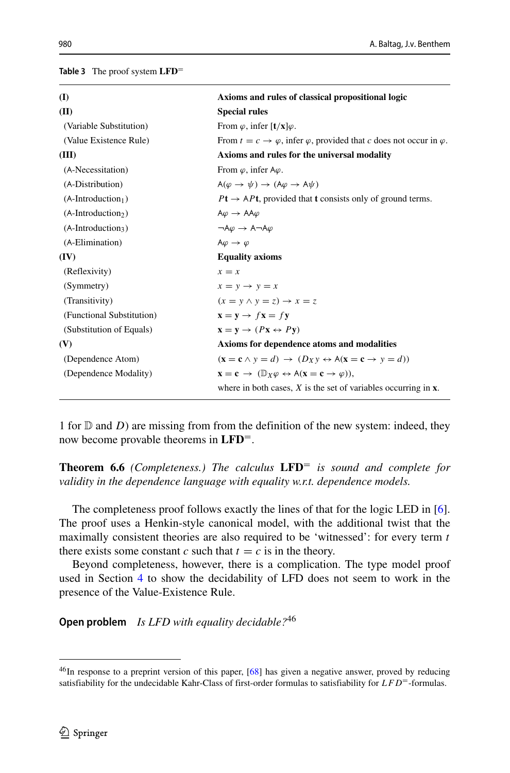<span id="page-41-0"></span>**Table 3** The proof system **LFD**=

| (I)                            | Axioms and rules of classical propositional logic                                                                         |
|--------------------------------|---------------------------------------------------------------------------------------------------------------------------|
| (II)                           | <b>Special rules</b>                                                                                                      |
| (Variable Substitution)        | From $\varphi$ , infer $\left[\mathbf{t}/\mathbf{x}\right]\varphi$ .                                                      |
| (Value Existence Rule)         | From $t = c \rightarrow \varphi$ , infer $\varphi$ , provided that c does not occur in $\varphi$ .                        |
| (III)                          | Axioms and rules for the universal modality                                                                               |
| (A-Necessitation)              | From $\varphi$ , infer A $\varphi$ .                                                                                      |
| (A-Distribution)               | $A(\varphi \to \psi) \to (A\varphi \to A\psi)$                                                                            |
| $(A\text{-}Introduction1)$     | $Pt \rightarrow APt$ , provided that t consists only of ground terms.                                                     |
| (A-Introduction <sub>2</sub> ) | $A\varphi \rightarrow AA\varphi$                                                                                          |
| $(A-Introduction3)$            | $\neg A\varphi \rightarrow A\neg A\varphi$                                                                                |
| (A-Elimination)                | $A\varphi \rightarrow \varphi$                                                                                            |
| (IV)                           | <b>Equality axioms</b>                                                                                                    |
| (Reflexivity)                  | $x = x$                                                                                                                   |
| (Symmetry)                     | $x = y \rightarrow y = x$                                                                                                 |
| (Transitivity)                 | $(x = y \land y = z) \rightarrow x = z$                                                                                   |
| (Functional Substitution)      | $\mathbf{x} = \mathbf{v} \rightarrow f\mathbf{x} = f\mathbf{v}$                                                           |
| (Substitution of Equals)       | $\mathbf{x} = \mathbf{v} \rightarrow (P\mathbf{x} \leftrightarrow P\mathbf{v})$                                           |
| (V)                            | Axioms for dependence atoms and modalities                                                                                |
| (Dependence Atom)              | $(\mathbf{x} = \mathbf{c} \wedge y = d) \rightarrow (D_X y \leftrightarrow A(\mathbf{x} = \mathbf{c} \rightarrow y = d))$ |
| (Dependence Modality)          | $x = c \rightarrow (\mathbb{D}_X \varphi \leftrightarrow A(x = c \rightarrow \varphi)).$                                  |
|                                | where in both cases, $X$ is the set of variables occurring in $x$ .                                                       |

1 for  $D$  and *D*) are missing from from the definition of the new system: indeed, they now become provable theorems in **LFD**=.

**Theorem 6.6** *(Completeness.) The calculus* **LFD**= *is sound and complete for validity in the dependence language with equality w.r.t. dependence models.*

The completeness proof follows exactly the lines of that for the logic LED in [\[6\]](#page-64-2). The proof uses a Henkin-style canonical model, with the additional twist that the maximally consistent theories are also required to be 'witnessed': for every term *t* there exists some constant  $c$  such that  $t = c$  is in the theory.

Beyond completeness, however, there is a complication. The type model proof used in Section [4](#page-24-0) to show the decidability of LFD does not seem to work in the presence of the Value-Existence Rule.

**Open problem** *Is LFD with equality decidable?*[46](#page-41-1)

<span id="page-41-1"></span><sup>&</sup>lt;sup>46</sup>In response to a preprint version of this paper, [\[68\]](#page-65-12) has given a negative answer, proved by reducing satisfiability for the undecidable Kahr-Class of first-order formulas to satisfiability for *LFD*=-formulas.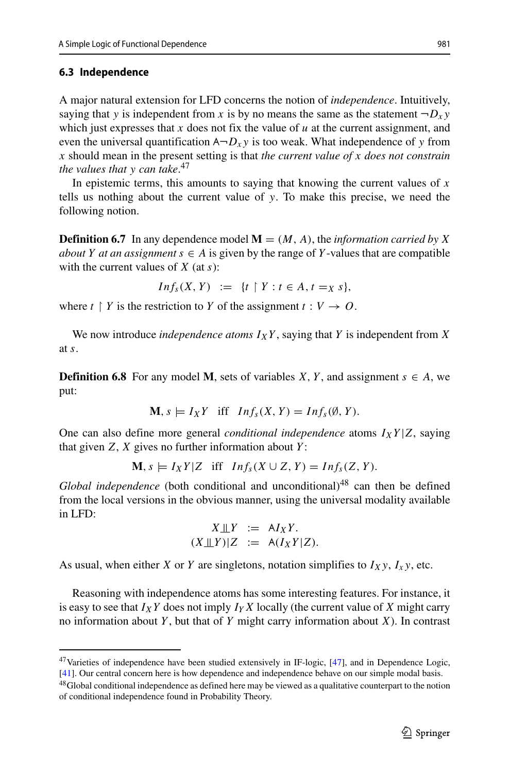#### <span id="page-42-2"></span>**6.3 Independence**

A major natural extension for LFD concerns the notion of *independence*. Intuitively, saying that *y* is independent from *x* is by no means the same as the statement  $\neg D_x y$ which just expresses that  $x$  does not fix the value of  $u$  at the current assignment, and even the universal quantification  $A \neg D_x y$  is too weak. What independence of *y* from *x* should mean in the present setting is that *the current value of x does not constrain the values that y can take*. [47](#page-42-0)

In epistemic terms, this amounts to saying that knowing the current values of  $x$ tells us nothing about the current value of *y*. To make this precise, we need the following notion.

**Definition 6.7** In any dependence model  $M = (M, A)$ , the *information carried by* X *about Y at an assignment*  $s \in A$  is given by the range of *Y*-values that are compatible with the current values of *X* (at *s*):

$$
Inf_s(X, Y) := \{t \mid Y : t \in A, t =_X s\},\
$$

where  $t \restriction Y$  is the restriction to  $Y$  of the assignment  $t : V \to O$ .

We now introduce *independence atoms*  $I_XY$ , saying that *Y* is independent from *X* at *s*.

**Definition 6.8** For any model **M**, sets of variables *X*, *Y*, and assignment  $s \in A$ , we put:

$$
\mathbf{M}, s \models I_X Y \quad \text{iff} \quad Inf_s(X, Y) = Inf_s(\emptyset, Y).
$$

One can also define more general *conditional independence* atoms  $I_X Y | Z$ , saying that given *Z*, *X* gives no further information about *Y* :

$$
\mathbf{M}, s \models I_X Y | Z \quad \text{iff} \quad Inf_s(X \cup Z, Y) = Inf_s(Z, Y).
$$

*Global independence* (both conditional and unconditional)<sup>[48](#page-42-1)</sup> can then be defined from the local versions in the obvious manner, using the universal modality available in LFD:

$$
X \perp \perp Y := A I_X Y.
$$
  

$$
(X \perp \perp Y) | Z := A (I_X Y | Z).
$$

As usual, when either *X* or *Y* are singletons, notation simplifies to  $I_Xy$ ,  $I_Xy$ , etc.

Reasoning with independence atoms has some interesting features. For instance, it is easy to see that  $I_XY$  does not imply  $I_YX$  locally (the current value of  $X$  might carry no information about *Y* , but that of *Y* might carry information about *X*). In contrast

<sup>&</sup>lt;sup>47</sup> Varieties of independence have been studied extensively in IF-logic, [\[47\]](#page-65-0), and in Dependence Logic, [\[41\]](#page-65-16). Our central concern here is how dependence and independence behave on our simple modal basis.

<span id="page-42-1"></span><span id="page-42-0"></span><sup>48</sup>Global conditional independence as defined here may be viewed as a qualitative counterpart to the notion of conditional independence found in Probability Theory.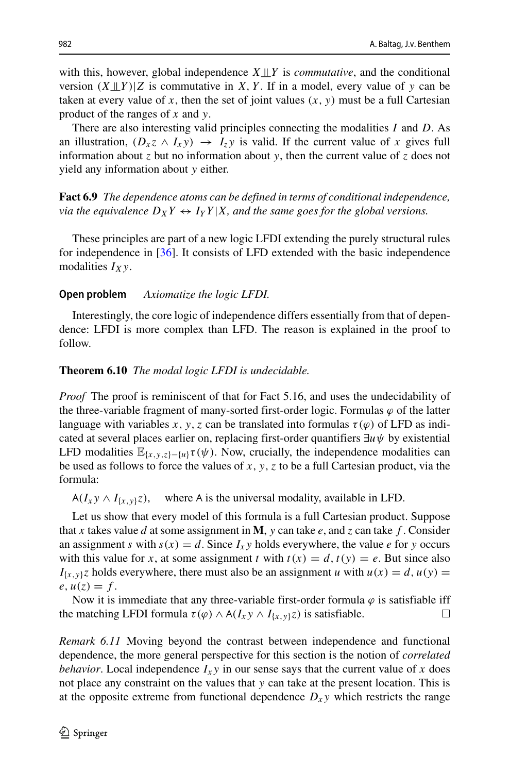with this, however, global independence  $X \perp Y$  is *commutative*, and the conditional version  $(X \perp\!\!\!\perp Y)$  *Z* is commutative in *X*, *Y*. If in a model, every value of *y* can be taken at every value of x, then the set of joint values  $(x, y)$  must be a full Cartesian product of the ranges of *x* and *y*.

There are also interesting valid principles connecting the modalities *I* and *D*. As an illustration,  $(D_x z \wedge I_x y) \rightarrow I_z y$  is valid. If the current value of x gives full information about *z* but no information about *y*, then the current value of *z* does not yield any information about *y* either.

**Fact 6.9** *The dependence atoms can be defined in terms of conditional independence, via the equivalence*  $D_X Y \leftrightarrow I_Y Y | X$ *, and the same goes for the global versions.* 

These principles are part of a new logic LFDI extending the purely structural rules for independence in [\[36\]](#page-64-15). It consists of LFD extended with the basic independence modalities *IXy*.

#### **Open problem** *Axiomatize the logic LFDI.*

Interestingly, the core logic of independence differs essentially from that of dependence: LFDI is more complex than LFD. The reason is explained in the proof to follow.

#### **Theorem 6.10** *The modal logic LFDI is undecidable.*

*Proof* The proof is reminiscent of that for Fact 5.16, and uses the undecidability of the three-variable fragment of many-sorted first-order logic. Formulas  $\varphi$  of the latter language with variables x, y, z can be translated into formulas  $\tau(\varphi)$  of LFD as indicated at several places earlier on, replacing first-order quantifiers ∃*uψ* by existential LFD modalities  $\mathbb{E}_{\{x,y,z\}-\{u\}}\tau(\psi)$ . Now, crucially, the independence modalities can be used as follows to force the values of  $x, y, z$  to be a full Cartesian product, via the formula:

 $A(I_x y \wedge I_{\{x,y\}} z)$ , where A where A is the universal modality, available in LFD.

Let us show that every model of this formula is a full Cartesian product. Suppose that *x* takes value *d* at some assignment in **M**, *y* can take *e*, and *z* can take *f* . Consider an assignment *s* with  $s(x) = d$ . Since  $I_x$  *y* holds everywhere, the value *e* for *y* occurs with this value for *x*, at some assignment *t* with  $t(x) = d$ ,  $t(y) = e$ . But since also  $I_{\{x,y\}}$ *z* holds everywhere, there must also be an assignment *u* with  $u(x) = d$ ,  $u(y) = d$  $e, u(z) = f.$ 

Now it is immediate that any three-variable first-order formula  $\varphi$  is satisfiable iff the matching LFDI formula  $\tau(\varphi) \wedge A(I_x y \wedge I_{\{x,y\}} z)$  is satisfiable.  $\Box$ 

*Remark 6.11* Moving beyond the contrast between independence and functional dependence, the more general perspective for this section is the notion of *correlated behavior*. Local independence  $I_x y$  in our sense says that the current value of x does not place any constraint on the values that *y* can take at the present location. This is at the opposite extreme from functional dependence  $D_{xy}$  which restricts the range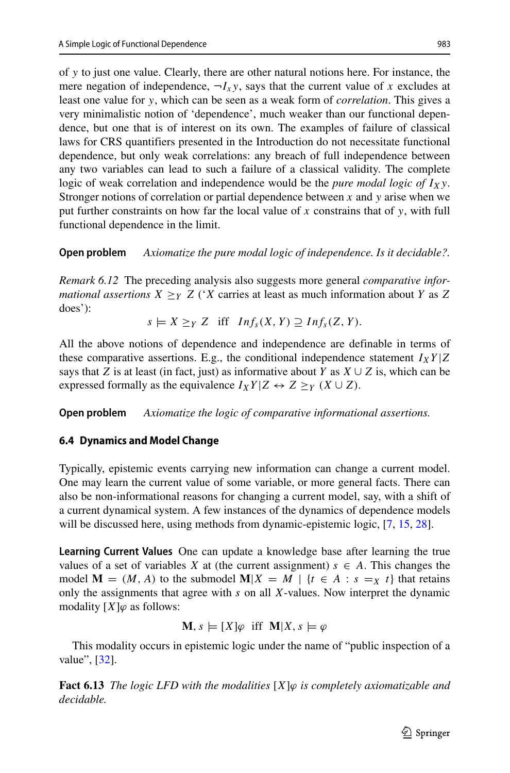of *y* to just one value. Clearly, there are other natural notions here. For instance, the mere negation of independence,  $\neg I_x$ *y*, says that the current value of *x* excludes at least one value for *y*, which can be seen as a weak form of *correlation*. This gives a very minimalistic notion of 'dependence', much weaker than our functional dependence, but one that is of interest on its own. The examples of failure of classical laws for CRS quantifiers presented in the Introduction do not necessitate functional dependence, but only weak correlations: any breach of full independence between any two variables can lead to such a failure of a classical validity. The complete logic of weak correlation and independence would be the *pure modal logic of*  $I_X$ y. Stronger notions of correlation or partial dependence between *x* and *y* arise when we put further constraints on how far the local value of *x* constrains that of *y*, with full functional dependence in the limit.

**Open problem** *Axiomatize the pure modal logic of independence. Is it decidable?.*

*Remark 6.12* The preceding analysis also suggests more general *comparative informational assertions*  $X \geq_Y Z$  (*'X* carries at least as much information about *Y* as *Z* does'):

 $s \models X \geq Y \, Z$  iff  $Inf_s(X, Y) \supseteq Inf_s(Z, Y)$ .

All the above notions of dependence and independence are definable in terms of these comparative assertions. E.g., the conditional independence statement  $I_XY|Z$ says that *Z* is at least (in fact, just) as informative about *Y* as  $X \cup Z$  is, which can be expressed formally as the equivalence  $I_XY|Z \leftrightarrow Z \geq_Y (X \cup Z)$ .

**Open problem** *Axiomatize the logic of comparative informational assertions.*

# <span id="page-44-0"></span>**6.4 Dynamics and Model Change**

Typically, epistemic events carrying new information can change a current model. One may learn the current value of some variable, or more general facts. There can also be non-informational reasons for changing a current model, say, with a shift of a current dynamical system. A few instances of the dynamics of dependence models will be discussed here, using methods from dynamic-epistemic logic, [\[7,](#page-64-16) [15,](#page-64-10) [28\]](#page-64-17).

**Learning Current Values** One can update a knowledge base after learning the true values of a set of variables *X* at (the current assignment)  $s \in A$ . This changes the model  $\mathbf{M} = (M, A)$  to the submodel  $\mathbf{M}|X = M |$  {*t*  $\in A : s = X$  *t*} that retains only the assignments that agree with *s* on all *X*-values. Now interpret the dynamic modality  $[X]\varphi$  as follows:

$$
\mathbf{M}, s \models [X]\varphi \text{ iff } \mathbf{M}|X, s \models \varphi
$$

This modality occurs in epistemic logic under the name of "public inspection of a value", [\[32\]](#page-64-3).

**Fact 6.13** *The logic LFD with the modalities* [*X*]*ϕ is completely axiomatizable and decidable.*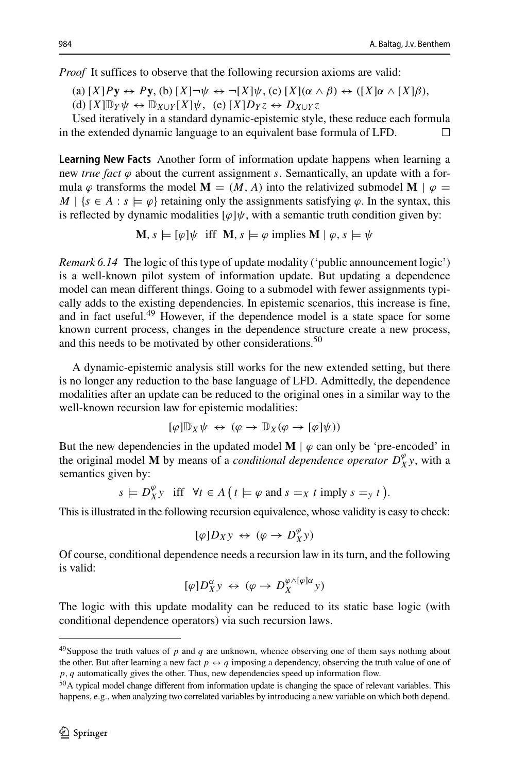*Proof* It suffices to observe that the following recursion axioms are valid:

 $(A) [X]Py \leftrightarrow Py, (b) [X] \rightarrow \psi \leftrightarrow \neg[X]\psi, (c) [X](\alpha \wedge \beta) \leftrightarrow ([X]\alpha \wedge [X]\beta),$  $(d)$   $[X]\mathbb{D}_Y\psi \leftrightarrow \mathbb{D}_{X\cup Y}[X]\psi$ ,  $(e)$   $[X]D_Yz \leftrightarrow D_{X\cup Y}z$ 

Used iteratively in a standard dynamic-epistemic style, these reduce each formula in the extended dynamic language to an equivalent base formula of LFD.  $\Box$ 

**Learning New Facts** Another form of information update happens when learning a new *true fact*  $\varphi$  about the current assignment *s*. Semantically, an update with a formula  $\varphi$  transforms the model **M** =  $(M, A)$  into the relativized submodel **M** |  $\varphi$  =  $M \mid \{s \in A : s \models \varphi\}$  retaining only the assignments satisfying  $\varphi$ . In the syntax, this is reflected by dynamic modalities  $[\varphi]\psi$ , with a semantic truth condition given by:

 $\mathbf{M}, s \models [\varphi] \psi \text{ iff } \mathbf{M}, s \models \varphi \text{ implies } \mathbf{M} \mid \varphi, s \models \psi$ 

*Remark 6.14* The logic of this type of update modality ('public announcement logic') is a well-known pilot system of information update. But updating a dependence model can mean different things. Going to a submodel with fewer assignments typically adds to the existing dependencies. In epistemic scenarios, this increase is fine, and in fact useful.[49](#page-45-0) However, if the dependence model is a state space for some known current process, changes in the dependence structure create a new process, and this needs to be motivated by other considerations.<sup>[50](#page-45-1)</sup>

A dynamic-epistemic analysis still works for the new extended setting, but there is no longer any reduction to the base language of LFD. Admittedly, the dependence modalities after an update can be reduced to the original ones in a similar way to the well-known recursion law for epistemic modalities:

$$
[\varphi]\mathbb{D}_X \psi \; \leftrightarrow \; (\varphi \to \mathbb{D}_X (\varphi \to [\varphi]\psi))
$$

But the new dependencies in the updated model  $M \mid \varphi$  can only be 'pre-encoded' in the original model **M** by means of a *conditional dependence operator*  $D_X^{\varphi}$ , with a semantics given by:

$$
s \models D_X^{\varphi} y \text{ iff } \forall t \in A \ (t \models \varphi \text{ and } s =_X t \text{ imply } s =_y t \).
$$

This is illustrated in the following recursion equivalence, whose validity is easy to check:

$$
[\varphi]D_Xy\,\leftrightarrow\,(\varphi\rightarrow D_X^{\varphi}y)
$$

Of course, conditional dependence needs a recursion law in its turn, and the following is valid:

$$
[\varphi]D^{\alpha}_{X}y \leftrightarrow (\varphi \to D^{\varphi \wedge [\varphi] \alpha}_{X}y)
$$

The logic with this update modality can be reduced to its static base logic (with conditional dependence operators) via such recursion laws.

<span id="page-45-0"></span> $49$ Suppose the truth values of  $p$  and  $q$  are unknown, whence observing one of them says nothing about the other. But after learning a new fact  $p \leftrightarrow q$  imposing a dependency, observing the truth value of one of *p, q* automatically gives the other. Thus, new dependencies speed up information flow.

<span id="page-45-1"></span><sup>&</sup>lt;sup>50</sup>A typical model change different from information update is changing the space of relevant variables. This happens, e.g., when analyzing two correlated variables by introducing a new variable on which both depend.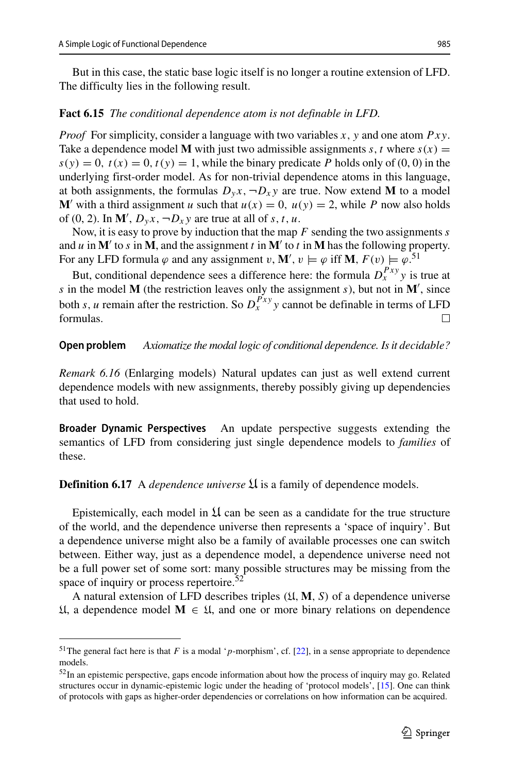But in this case, the static base logic itself is no longer a routine extension of LFD. The difficulty lies in the following result.

# **Fact 6.15** *The conditional dependence atom is not definable in LFD.*

*Proof* For simplicity, consider a language with two variables *x*, *y* and one atom *Pxy*. Take a dependence model **M** with just two admissible assignments *s*, *t* where  $s(x) =$  $s(y) = 0$ ,  $t(x) = 0$ ,  $t(y) = 1$ , while the binary predicate *P* holds only of (0, 0) in the underlying first-order model. As for non-trivial dependence atoms in this language, at both assignments, the formulas  $D_y x$ ,  $\neg D_x y$  are true. Now extend **M** to a model **M'** with a third assignment *u* such that  $u(x) = 0$ ,  $u(y) = 2$ , while *P* now also holds of (0, 2). In  $\mathbf{M}'$ ,  $D_y x$ ,  $\neg D_x y$  are true at all of *s*, *t*, *u*.

Now, it is easy to prove by induction that the map *F* sending the two assignments *s* and *u* in  $M'$  to *s* in  $M$ , and the assignment *t* in  $M'$  to *t* in  $M$  has the following property. For any LFD formula  $\varphi$  and any assignment  $v, \mathbf{M}', v \models \varphi$  iff **M***, F*(*v*)  $\models \varphi$ .<sup>[51](#page-46-0)</sup>

But, conditional dependence sees a difference here: the formula  $D_x^{Pxy}$  *y* is true at *s* in the model **M** (the restriction leaves only the assignment *s*), but not in **M** , since both *s*, *u* remain after the restriction. So  $D_x^{Pxy}$  *y* cannot be definable in terms of LFD formulas.

#### **Open problem** *Axiomatize the modal logic of conditional dependence. Is it decidable?*

*Remark 6.16* (Enlarging models) Natural updates can just as well extend current dependence models with new assignments, thereby possibly giving up dependencies that used to hold.

**Broader Dynamic Perspectives** An update perspective suggests extending the semantics of LFD from considering just single dependence models to *families* of these.

### **Definition 6.17** A *dependence universe*  $\mathfrak{U}$  is a family of dependence models.

Epistemically, each model in  $\mathfrak U$  can be seen as a candidate for the true structure of the world, and the dependence universe then represents a 'space of inquiry'. But a dependence universe might also be a family of available processes one can switch between. Either way, just as a dependence model, a dependence universe need not be a full power set of some sort: many possible structures may be missing from the space of inquiry or process repertoire.<sup>52</sup>

A natural extension of LFD describes triples *(*U*,* **M***,S)* of a dependence universe U, a dependence model **M** ∈ U, and one or more binary relations on dependence

<span id="page-46-0"></span><sup>51</sup>The general fact here is that *F* is a modal '*p*-morphism', cf. [\[22\]](#page-64-12), in a sense appropriate to dependence models.

<span id="page-46-1"></span> $52$ In an epistemic perspective, gaps encode information about how the process of inquiry may go. Related structures occur in dynamic-epistemic logic under the heading of 'protocol models', [\[15\]](#page-64-10). One can think of protocols with gaps as higher-order dependencies or correlations on how information can be acquired.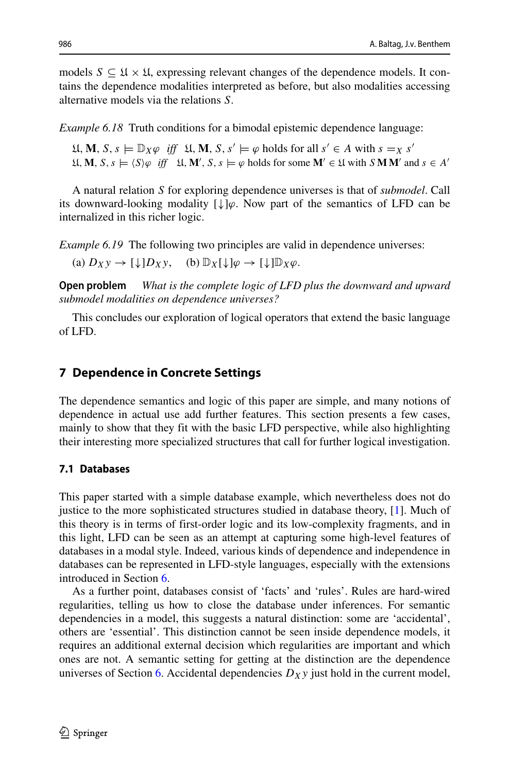models  $S \subseteq \mathfrak{U} \times \mathfrak{U}$ , expressing relevant changes of the dependence models. It contains the dependence modalities interpreted as before, but also modalities accessing alternative models via the relations *S*.

*Example 6.18* Truth conditions for a bimodal epistemic dependence language:

 $U, M, S, s \models \mathbb{D}_X \varphi \text{ iff } U, M, S, s' \models \varphi \text{ holds for all } s' \in A \text{ with } s = x s'$  $\mathfrak{U}, \mathbf{M}, S, s \models \langle S \rangle \varphi$  *iff*  $\mathfrak{U}, \mathbf{M}', S, s \models \varphi$  holds for some  $\mathbf{M}' \in \mathfrak{U}$  with  $S \mathbf{M} \mathbf{M}'$  and  $s \in A'$ 

A natural relation *S* for exploring dependence universes is that of *submodel*. Call its downward-looking modality [↓]*ϕ*. Now part of the semantics of LFD can be internalized in this richer logic.

*Example 6.19* The following two principles are valid in dependence universes:

(a)  $D_X y \to [\downarrow] D_X y$ , (b)  $\mathbb{D}_X[\downarrow] \varphi \to [\downarrow] \mathbb{D}_X \varphi$ .

**Open problem** *What is the complete logic of LFD plus the downward and upward submodel modalities on dependence universes?*

This concludes our exploration of logical operators that extend the basic language of LFD.

# <span id="page-47-0"></span>**7 Dependence in Concrete Settings**

The dependence semantics and logic of this paper are simple, and many notions of dependence in actual use add further features. This section presents a few cases, mainly to show that they fit with the basic LFD perspective, while also highlighting their interesting more specialized structures that call for further logical investigation.

## **7.1 Databases**

This paper started with a simple database example, which nevertheless does not do justice to the more sophisticated structures studied in database theory, [\[1\]](#page-63-1). Much of this theory is in terms of first-order logic and its low-complexity fragments, and in this light, LFD can be seen as an attempt at capturing some high-level features of databases in a modal style. Indeed, various kinds of dependence and independence in databases can be represented in LFD-style languages, especially with the extensions introduced in Section [6.](#page-37-0)

As a further point, databases consist of 'facts' and 'rules'. Rules are hard-wired regularities, telling us how to close the database under inferences. For semantic dependencies in a model, this suggests a natural distinction: some are 'accidental', others are 'essential'. This distinction cannot be seen inside dependence models, it requires an additional external decision which regularities are important and which ones are not. A semantic setting for getting at the distinction are the dependence universes of Section [6.](#page-37-0) Accidental dependencies  $D_X y$  just hold in the current model,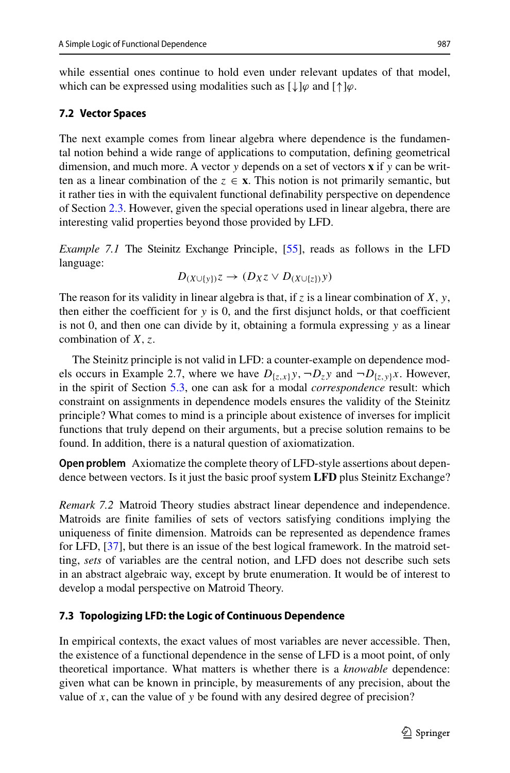while essential ones continue to hold even under relevant updates of that model, which can be expressed using modalities such as  $[\downarrow] \varphi$  and  $[\uparrow] \varphi$ .

# <span id="page-48-0"></span>**7.2 Vector Spaces**

The next example comes from linear algebra where dependence is the fundamental notion behind a wide range of applications to computation, defining geometrical dimension, and much more. A vector *y* depends on a set of vectors **x** if *y* can be written as a linear combination of the  $z \in \mathbf{x}$ . This notion is not primarily semantic, but it rather ties in with the equivalent functional definability perspective on dependence of Section [2.3.](#page-12-1) However, given the special operations used in linear algebra, there are interesting valid properties beyond those provided by LFD.

*Example 7.1* The Steinitz Exchange Principle, [\[55\]](#page-65-1), reads as follows in the LFD language:

$$
D_{(X\cup\{y\})}\mathbf{Z}\to(D_X\mathbf{Z}\vee D_{(X\cup\{z\})}\mathbf{y})
$$

The reason for its validity in linear algebra is that, if *z* is a linear combination of *X, y*, then either the coefficient for *y* is 0, and the first disjunct holds, or that coefficient is not 0, and then one can divide by it, obtaining a formula expressing *y* as a linear combination of *X, z*.

The Steinitz principle is not valid in LFD: a counter-example on dependence models occurs in Example 2.7, where we have  $D_{\{z,x\}}y$ ,  $\neg D_zy$  and  $\neg D_{\{z,y\}}x$ . However, in the spirit of Section [5.3,](#page-35-1) one can ask for a modal *correspondence* result: which constraint on assignments in dependence models ensures the validity of the Steinitz principle? What comes to mind is a principle about existence of inverses for implicit functions that truly depend on their arguments, but a precise solution remains to be found. In addition, there is a natural question of axiomatization.

**Open problem** Axiomatize the complete theory of LFD-style assertions about dependence between vectors. Is it just the basic proof system **LFD** plus Steinitz Exchange?

*Remark 7.2* Matroid Theory studies abstract linear dependence and independence. Matroids are finite families of sets of vectors satisfying conditions implying the uniqueness of finite dimension. Matroids can be represented as dependence frames for LFD, [\[37\]](#page-65-17), but there is an issue of the best logical framework. In the matroid setting, *sets* of variables are the central notion, and LFD does not describe such sets in an abstract algebraic way, except by brute enumeration. It would be of interest to develop a modal perspective on Matroid Theory.

## **7.3 Topologizing LFD: the Logic of Continuous Dependence**

In empirical contexts, the exact values of most variables are never accessible. Then, the existence of a functional dependence in the sense of LFD is a moot point, of only theoretical importance. What matters is whether there is a *knowable* dependence: given what can be known in principle, by measurements of any precision, about the value of *x*, can the value of *y* be found with any desired degree of precision?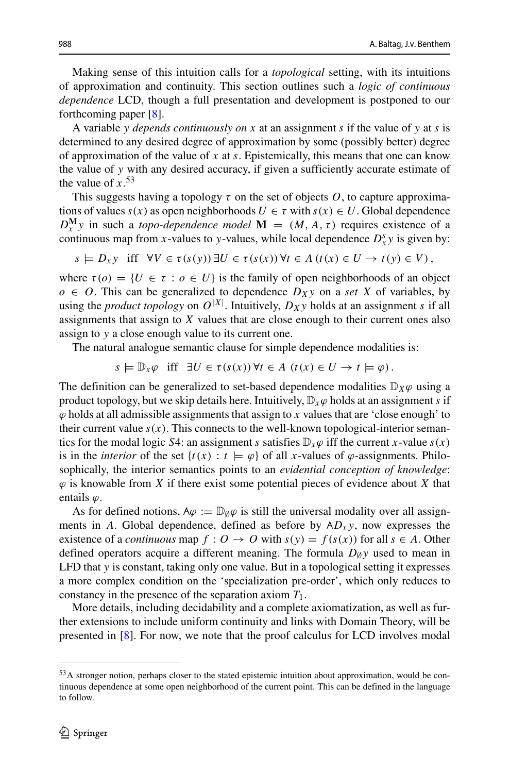Making sense of this intuition calls for a *topological* setting, with its intuitions of approximation and continuity. This section outlines such a *logic of continuous dependence* LCD, though a full presentation and development is postponed to our forthcoming paper [\[8\]](#page-64-18).

A variable *y depends continuously on x* at an assignment *s* if the value of *y* at *s* is determined to any desired degree of approximation by some (possibly better) degree of approximation of the value of *x* at *s*. Epistemically, this means that one can know the value of *y* with any desired accuracy, if given a sufficiently accurate estimate of the value of  $x$ <sup>[53](#page-49-0)</sup>

This suggests having a topology  $\tau$  on the set of objects  $O$ , to capture approximations of values  $s(x)$  as open neighborhoods  $U \in \tau$  with  $s(x) \in U$ . Global dependence  $D_x^{\mathbf{M}}$  *y* in such a *topo-dependence model*  $\mathbf{M} = (M, A, \tau)$  requires existence of a continuous map from *x*-values to *y*-values, while local dependence  $D_x^s y$  is given by:

$$
s \models D_x y \text{ iff } \forall V \in \tau(s(y)) \exists U \in \tau(s(x)) \forall t \in A \ (t(x) \in U \rightarrow t(y) \in V),
$$

where  $\tau(o) = \{U \in \tau : o \in U\}$  is the family of open neighborhoods of an object  $o \in O$ . This can be generalized to dependence  $D_X y$  on a *set X* of variables, by using the *product topology* on  $O^{|X|}$ . Intuitively,  $D_X y$  holds at an assignment *s* if all assignments that assign to *X* values that are close enough to their current ones also assign to *y* a close enough value to its current one.

The natural analogue semantic clause for simple dependence modalities is:

 $s \models \mathbb{D}_x \varphi$  iff  $\exists U \in \tau(s(x)) \forall t \in A \ (t(x) \in U \rightarrow t \models \varphi).$ 

The definition can be generalized to set-based dependence modalities  $\mathbb{D}_X\varphi$  using a product topology, but we skip details here. Intuitively,  $\mathbb{D}_{x} \varphi$  holds at an assignment *s* if  $\varphi$  holds at all admissible assignments that assign to *x* values that are 'close enough' to their current value  $s(x)$ . This connects to the well-known topological-interior semantics for the modal logic *S*4: an assignment *s* satisfies  $D_x\varphi$  iff the current *x*-value *s*(*x*) is in the *interior* of the set  $\{t(x): t \models \varphi\}$  of all *x*-values of  $\varphi$ -assignments. Philosophically, the interior semantics points to an *evidential conception of knowledge*:  $\varphi$  is knowable from *X* if there exist some potential pieces of evidence about *X* that entails *ϕ*.

As for defined notions,  $A\varphi := \mathbb{D}_{\emptyset}\varphi$  is still the universal modality over all assignments in *A*. Global dependence, defined as before by  $AD<sub>x</sub>y$ , now expresses the existence of a *continuous* map  $f: O \to O$  with  $s(y) = f(s(x))$  for all  $s \in A$ . Other defined operators acquire a different meaning. The formula  $D_{\emptyset}$ *y* used to mean in LFD that *y* is constant, taking only one value. But in a topological setting it expresses a more complex condition on the 'specialization pre-order', which only reduces to constancy in the presence of the separation axiom *T*1.

More details, including decidability and a complete axiomatization, as well as further extensions to include uniform continuity and links with Domain Theory, will be presented in [\[8\]](#page-64-18). For now, we note that the proof calculus for LCD involves modal

<span id="page-49-0"></span><sup>53</sup>A stronger notion, perhaps closer to the stated epistemic intuition about approximation, would be continuous dependence at some open neighborhood of the current point. This can be defined in the language to follow.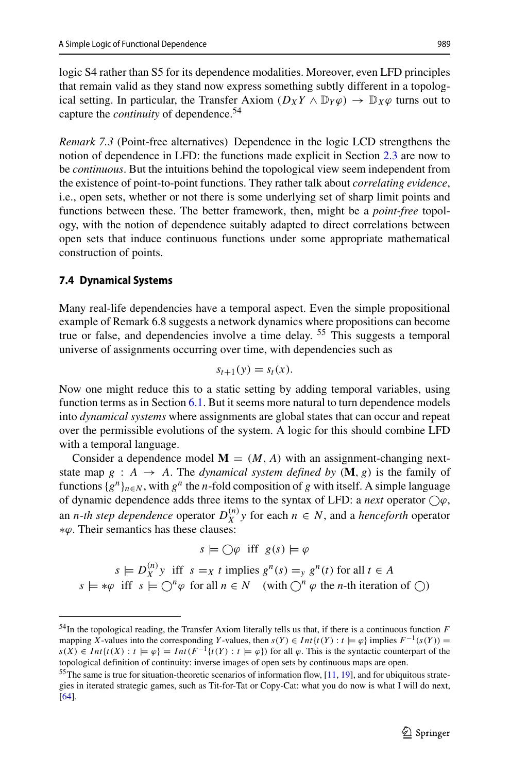logic S4 rather than S5 for its dependence modalities. Moreover, even LFD principles that remain valid as they stand now express something subtly different in a topological setting. In particular, the Transfer Axiom  $(D_X Y \wedge \mathbb{D}_Y \varphi) \rightarrow \mathbb{D}_X \varphi$  turns out to capture the *continuity* of dependence.[54](#page-50-0)

*Remark 7.3* (Point-free alternatives) Dependence in the logic LCD strengthens the notion of dependence in LFD: the functions made explicit in Section [2.3](#page-12-1) are now to be *continuous*. But the intuitions behind the topological view seem independent from the existence of point-to-point functions. They rather talk about *correlating evidence*, i.e., open sets, whether or not there is some underlying set of sharp limit points and functions between these. The better framework, then, might be a *point-free* topology, with the notion of dependence suitably adapted to direct correlations between open sets that induce continuous functions under some appropriate mathematical construction of points.

#### **7.4 Dynamical Systems**

Many real-life dependencies have a temporal aspect. Even the simple propositional example of Remark 6.8 suggests a network dynamics where propositions can become true or false, and dependencies involve a time delay. <sup>[55](#page-50-1)</sup> This suggests a temporal universe of assignments occurring over time, with dependencies such as

$$
s_{t+1}(y) = s_t(x).
$$

Now one might reduce this to a static setting by adding temporal variables, using function terms as in Section [6.1.](#page-37-2) But it seems more natural to turn dependence models into *dynamical systems* where assignments are global states that can occur and repeat over the permissible evolutions of the system. A logic for this should combine LFD with a temporal language.

Consider a dependence model  $M = (M, A)$  with an assignment-changing nextstate map  $g : A \rightarrow A$ . The *dynamical system defined by*  $(M, g)$  is the family of functions  $\{g^n\}_{n \in \mathbb{N}}$ , with  $g^n$  the *n*-fold composition of *g* with itself. A simple language of dynamic dependence adds three items to the syntax of LFD: a *next* operator  $\bigcirc \varphi$ , an *n*-th step dependence operator  $D_X^{(n)}$  *y* for each  $n \in N$ , and a *henceforth* operator ∗*ϕ*. Their semantics has these clauses:

$$
s \models \bigcirc \varphi \text{ iff } g(s) \models \varphi
$$

 $s \models D_X^{(n)}$  *y* iff  $s =_X t$  implies  $g^n(s) =_Y g^n(t)$  for all  $t \in A$  $s \models * \varphi$  iff  $s \models \bigcirc^n \varphi$  for all  $n \in N$  (with  $\bigcirc^n \varphi$  the *n*-th iteration of  $\bigcirc$ )

<span id="page-50-0"></span><sup>54</sup>In the topological reading, the Transfer Axiom literally tells us that, if there is a continuous function *F* mapping *X*-values into the corresponding *Y*-values, then  $s(Y) \in Int\{t(Y) : t \models \varphi\}$  implies  $F^{-1}(s(Y)) =$ *s*(*X*) ∈ *Int*{*t*(*X*) : *t*  $\models \varphi$ } = *Int*(*F*<sup>-1</sup>{*t*(*Y*) : *t*  $\models \varphi$ }) for all  $\varphi$ . This is the syntactic counterpart of the topological definition of continuity: inverse images of open sets by continuous maps are open.

<span id="page-50-1"></span><sup>&</sup>lt;sup>55</sup>The same is true for situation-theoretic scenarios of information flow, [\[11,](#page-64-9) [19\]](#page-64-8), and for ubiquitous strategies in iterated strategic games, such as Tit-for-Tat or Copy-Cat: what you do now is what I will do next, [\[64\]](#page-65-18).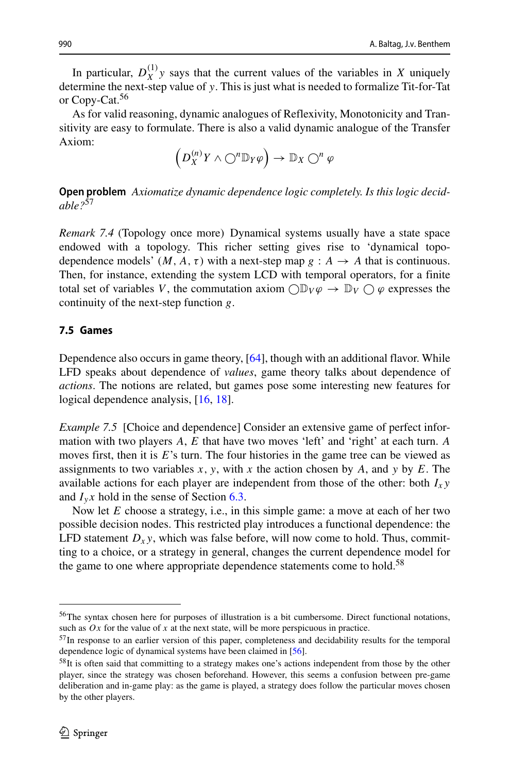In particular,  $D_X^{(1)}$  *y* says that the current values of the variables in *X* uniquely determine the next-step value of *y*. This is just what is needed to formalize Tit-for-Tat or Copy-Cat.<sup>[56](#page-51-0)</sup>

As for valid reasoning, dynamic analogues of Reflexivity, Monotonicity and Transitivity are easy to formulate. There is also a valid dynamic analogue of the Transfer Axiom:

$$
\left(D_X^{(n)}\,Y\wedge\bigcirc^n\mathbb{D}_Y\varphi\right)\to\mathbb{D}_X\bigcirc^n\varphi
$$

**Open problem** *Axiomatize dynamic dependence logic completely. Is this logic decidable?*[57](#page-51-1)

*Remark 7.4* (Topology once more) Dynamical systems usually have a state space endowed with a topology. This richer setting gives rise to 'dynamical topodependence models'  $(M, A, \tau)$  with a next-step map  $g : A \rightarrow A$  that is continuous. Then, for instance, extending the system LCD with temporal operators, for a finite total set of variables *V*, the commutation axiom  $\bigcirc \mathbb{D}_V \varphi \to \mathbb{D}_V \bigcirc \varphi$  expresses the continuity of the next-step function *g*.

# <span id="page-51-3"></span>**7.5 Games**

Dependence also occurs in game theory, [\[64\]](#page-65-18), though with an additional flavor. While LFD speaks about dependence of *values*, game theory talks about dependence of *actions*. The notions are related, but games pose some interesting new features for logical dependence analysis, [\[16,](#page-64-19) [18\]](#page-64-20).

*Example 7.5* [Choice and dependence] Consider an extensive game of perfect information with two players *A*, *E* that have two moves 'left' and 'right' at each turn. *A* moves first, then it is E's turn. The four histories in the game tree can be viewed as assignments to two variables *x, y*, with *x* the action chosen by *A*, and *y* by *E*. The available actions for each player are independent from those of the other: both  $I_x$ *y* and  $I_y x$  hold in the sense of Section [6.3.](#page-42-2)

Now let *E* choose a strategy, i.e., in this simple game: a move at each of her two possible decision nodes. This restricted play introduces a functional dependence: the LFD statement  $D_x y$ , which was false before, will now come to hold. Thus, committing to a choice, or a strategy in general, changes the current dependence model for the game to one where appropriate dependence statements come to hold.<sup>58</sup>

<span id="page-51-0"></span><sup>56</sup>The syntax chosen here for purposes of illustration is a bit cumbersome. Direct functional notations, such as  $Ox$  for the value of  $x$  at the next state, will be more perspicuous in practice.

<span id="page-51-1"></span><sup>&</sup>lt;sup>57</sup>In response to an earlier version of this paper, completeness and decidability results for the temporal dependence logic of dynamical systems have been claimed in [\[56\]](#page-65-19).

<span id="page-51-2"></span><sup>58</sup>It is often said that committing to a strategy makes one's actions independent from those by the other player, since the strategy was chosen beforehand. However, this seems a confusion between pre-game deliberation and in-game play: as the game is played, a strategy does follow the particular moves chosen by the other players.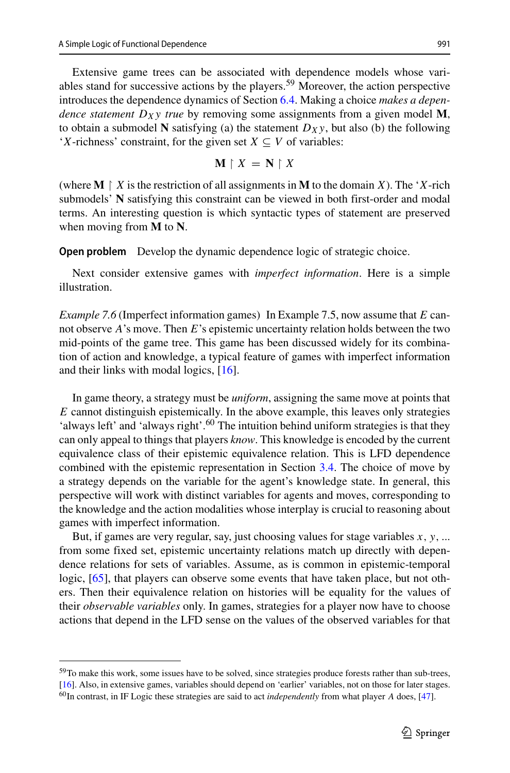Extensive game trees can be associated with dependence models whose vari-ables stand for successive actions by the players.<sup>[59](#page-52-0)</sup> Moreover, the action perspective introduces the dependence dynamics of Section [6.4.](#page-44-0) Making a choice *makes a dependence statement*  $D_X$ *y true* by removing some assignments from a given model M, to obtain a submodel **N** satisfying (a) the statement  $D_X$ y, but also (b) the following '*X*-richness' constraint, for the given set  $X \subseteq V$  of variables:

$$
\mathbf{M} \upharpoonright X = \mathbf{N} \upharpoonright X
$$

(where  $M \upharpoonright X$  is the restriction of all assignments in  $M$  to the domain *X*). The '*X*-rich submodels' **N** satisfying this constraint can be viewed in both first-order and modal terms. An interesting question is which syntactic types of statement are preserved when moving from **M** to **N**.

**Open problem** Develop the dynamic dependence logic of strategic choice.

Next consider extensive games with *imperfect information*. Here is a simple illustration.

*Example 7.6* (Imperfect information games) In Example 7.5, now assume that *E* cannot observe *A*'s move. Then *E*'s epistemic uncertainty relation holds between the two mid-points of the game tree. This game has been discussed widely for its combination of action and knowledge, a typical feature of games with imperfect information and their links with modal logics, [\[16\]](#page-64-19).

In game theory, a strategy must be *uniform*, assigning the same move at points that *E* cannot distinguish epistemically. In the above example, this leaves only strategies 'always left' and 'always right'.<sup>[60](#page-52-1)</sup> The intuition behind uniform strategies is that they can only appeal to things that players *know*. This knowledge is encoded by the current equivalence class of their epistemic equivalence relation. This is LFD dependence combined with the epistemic representation in Section [3.4.](#page-21-1) The choice of move by a strategy depends on the variable for the agent's knowledge state. In general, this perspective will work with distinct variables for agents and moves, corresponding to the knowledge and the action modalities whose interplay is crucial to reasoning about games with imperfect information.

But, if games are very regular, say, just choosing values for stage variables *x, y,* ... from some fixed set, epistemic uncertainty relations match up directly with dependence relations for sets of variables. Assume, as is common in epistemic-temporal logic, [\[65\]](#page-65-8), that players can observe some events that have taken place, but not others. Then their equivalence relation on histories will be equality for the values of their *observable variables* only. In games, strategies for a player now have to choose actions that depend in the LFD sense on the values of the observed variables for that

<sup>&</sup>lt;sup>59</sup>To make this work, some issues have to be solved, since strategies produce forests rather than sub-trees,

<span id="page-52-0"></span>[<sup>\[16\]</sup>](#page-64-19). Also, in extensive games, variables should depend on 'earlier' variables, not on those for later stages.

<span id="page-52-1"></span><sup>60</sup>In contrast, in IF Logic these strategies are said to act *independently* from what player *A* does, [\[47\]](#page-65-0).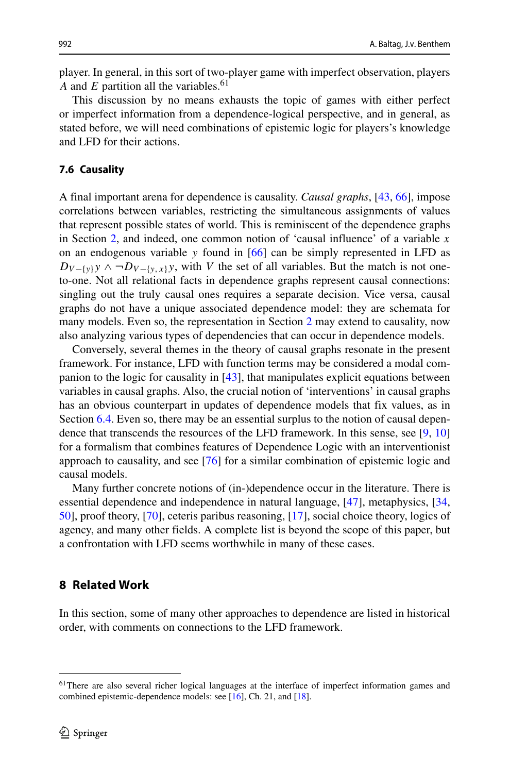player. In general, in this sort of two-player game with imperfect observation, players *A* and *E* partition all the variables.<sup>61</sup>

This discussion by no means exhausts the topic of games with either perfect or imperfect information from a dependence-logical perspective, and in general, as stated before, we will need combinations of epistemic logic for players's knowledge and LFD for their actions.

#### **7.6 Causality**

A final important arena for dependence is causality. *Causal graphs*, [\[43,](#page-65-20) [66\]](#page-65-21), impose correlations between variables, restricting the simultaneous assignments of values that represent possible states of world. This is reminiscent of the dependence graphs in Section [2,](#page-6-0) and indeed, one common notion of 'causal influence' of a variable *x* on an endogenous variable *y* found in [\[66\]](#page-65-21) can be simply represented in LFD as  $D_{V-\{y\}}y \wedge \neg D_{V-\{y,x\}}y$ , with *V* the set of all variables. But the match is not oneto-one. Not all relational facts in dependence graphs represent causal connections: singling out the truly causal ones requires a separate decision. Vice versa, causal graphs do not have a unique associated dependence model: they are schemata for many models. Even so, the representation in Section [2](#page-6-0) may extend to causality, now also analyzing various types of dependencies that can occur in dependence models.

Conversely, several themes in the theory of causal graphs resonate in the present framework. For instance, LFD with function terms may be considered a modal companion to the logic for causality in [\[43\]](#page-65-20), that manipulates explicit equations between variables in causal graphs. Also, the crucial notion of 'interventions' in causal graphs has an obvious counterpart in updates of dependence models that fix values, as in Section [6.4.](#page-44-0) Even so, there may be an essential surplus to the notion of causal dependence that transcends the resources of the LFD framework. In this sense, see [\[9,](#page-64-21) [10\]](#page-64-22) for a formalism that combines features of Dependence Logic with an interventionist approach to causality, and see [\[76\]](#page-66-3) for a similar combination of epistemic logic and causal models.

Many further concrete notions of (in-)dependence occur in the literature. There is essential dependence and independence in natural language, [\[47\]](#page-65-0), metaphysics, [\[34,](#page-64-23) [50\]](#page-65-3), proof theory, [\[70\]](#page-66-2), ceteris paribus reasoning, [\[17\]](#page-64-24), social choice theory, logics of agency, and many other fields. A complete list is beyond the scope of this paper, but a confrontation with LFD seems worthwhile in many of these cases.

# <span id="page-53-0"></span>**8 Related Work**

In this section, some of many other approaches to dependence are listed in historical order, with comments on connections to the LFD framework.

<span id="page-53-1"></span><sup>61</sup>There are also several richer logical languages at the interface of imperfect information games and combined epistemic-dependence models: see [\[16\]](#page-64-19), Ch. 21, and [\[18\]](#page-64-20).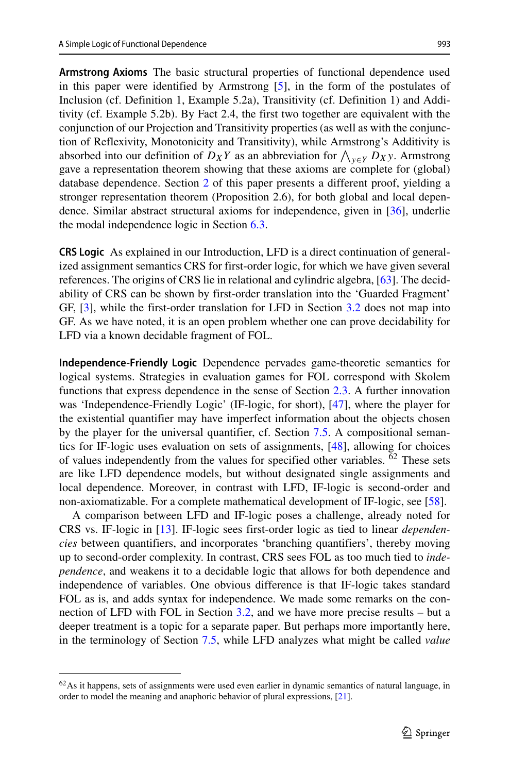**Armstrong Axioms** The basic structural properties of functional dependence used in this paper were identified by Armstrong [\[5\]](#page-64-0), in the form of the postulates of Inclusion (cf. Definition 1, Example 5.2a), Transitivity (cf. Definition 1) and Additivity (cf. Example 5.2b). By Fact 2.4, the first two together are equivalent with the conjunction of our Projection and Transitivity properties (as well as with the conjunction of Reflexivity, Monotonicity and Transitivity), while Armstrong's Additivity is absorbed into our definition of  $D_X Y$  as an abbreviation for  $\bigwedge_{y \in Y} D_{X} y$ . Armstrong gave a representation theorem showing that these axioms are complete for (global) database dependence. Section [2](#page-6-0) of this paper presents a different proof, yielding a stronger representation theorem (Proposition 2.6), for both global and local dependence. Similar abstract structural axioms for independence, given in [\[36\]](#page-64-15), underlie the modal independence logic in Section [6.3.](#page-42-2)

**CRS Logic** As explained in our Introduction, LFD is a direct continuation of generalized assignment semantics CRS for first-order logic, for which we have given several references. The origins of CRS lie in relational and cylindric algebra, [\[63\]](#page-65-5). The decidability of CRS can be shown by first-order translation into the 'Guarded Fragment' GF, [\[3\]](#page-63-0), while the first-order translation for LFD in Section [3.2](#page-17-0) does not map into GF. As we have noted, it is an open problem whether one can prove decidability for LFD via a known decidable fragment of FOL.

**Independence-Friendly Logic** Dependence pervades game-theoretic semantics for logical systems. Strategies in evaluation games for FOL correspond with Skolem functions that express dependence in the sense of Section [2.3.](#page-12-1) A further innovation was 'Independence-Friendly Logic' (IF-logic, for short), [\[47\]](#page-65-0), where the player for the existential quantifier may have imperfect information about the objects chosen by the player for the universal quantifier, cf. Section [7.5.](#page-51-3) A compositional semantics for IF-logic uses evaluation on sets of assignments, [\[48\]](#page-65-22), allowing for choices of values independently from the values for specified other variables. <sup>[62](#page-54-0)</sup> These sets are like LFD dependence models, but without designated single assignments and local dependence. Moreover, in contrast with LFD, IF-logic is second-order and non-axiomatizable. For a complete mathematical development of IF-logic, see [\[58\]](#page-65-23).

A comparison between LFD and IF-logic poses a challenge, already noted for CRS vs. IF-logic in [\[13\]](#page-64-1). IF-logic sees first-order logic as tied to linear *dependencies* between quantifiers, and incorporates 'branching quantifiers', thereby moving up to second-order complexity. In contrast, CRS sees FOL as too much tied to *independence*, and weakens it to a decidable logic that allows for both dependence and independence of variables. One obvious difference is that IF-logic takes standard FOL as is, and adds syntax for independence. We made some remarks on the connection of LFD with FOL in Section [3.2,](#page-17-0) and we have more precise results – but a deeper treatment is a topic for a separate paper. But perhaps more importantly here, in the terminology of Section [7.5,](#page-51-3) while LFD analyzes what might be called *value*

<span id="page-54-0"></span><sup>&</sup>lt;sup>62</sup>As it happens, sets of assignments were used even earlier in dynamic semantics of natural language, in order to model the meaning and anaphoric behavior of plural expressions, [\[21\]](#page-64-25).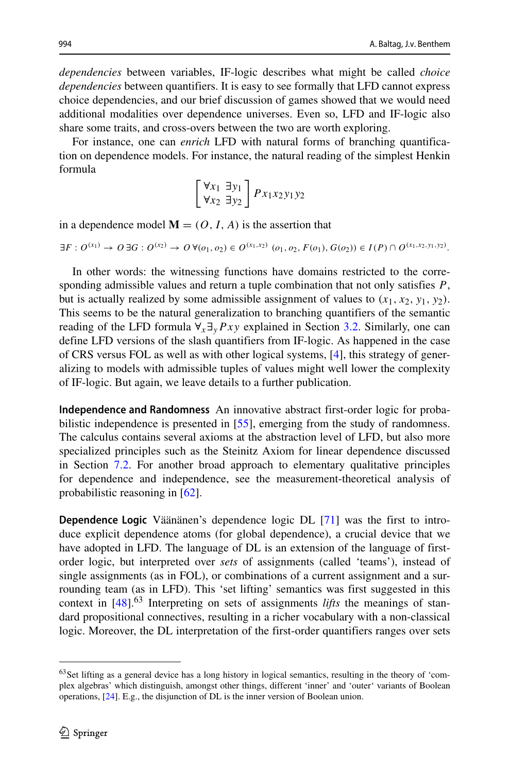*dependencies* between variables, IF-logic describes what might be called *choice dependencies* between quantifiers. It is easy to see formally that LFD cannot express choice dependencies, and our brief discussion of games showed that we would need additional modalities over dependence universes. Even so, LFD and IF-logic also share some traits, and cross-overs between the two are worth exploring.

For instance, one can *enrich* LFD with natural forms of branching quantification on dependence models. For instance, the natural reading of the simplest Henkin formula

$$
\begin{bmatrix} \forall x_1 \ \exists y_1 \\ \forall x_2 \ \exists y_2 \end{bmatrix} P x_1 x_2 y_1 y_2
$$

in a dependence model  $M = (O, I, A)$  is the assertion that

$$
\exists F: O^{(x_1)} \to O \exists G: O^{(x_2)} \to O \ \forall (o_1, o_2) \in O^{(x_1, x_2)} \ (o_1, o_2, F(o_1), G(o_2)) \in I(P) \cap O^{(x_1, x_2, y_1, y_2)}.
$$

In other words: the witnessing functions have domains restricted to the corresponding admissible values and return a tuple combination that not only satisfies *P*, but is actually realized by some admissible assignment of values to  $(x_1, x_2, y_1, y_2)$ . This seems to be the natural generalization to branching quantifiers of the semantic reading of the LFD formula  $\forall$ <sub>x</sub>  $\exists$ <sub>y</sub> $Pxy$  explained in Section [3.2.](#page-17-0) Similarly, one can define LFD versions of the slash quantifiers from IF-logic. As happened in the case of CRS versus FOL as well as with other logical systems, [\[4\]](#page-63-3), this strategy of generalizing to models with admissible tuples of values might well lower the complexity of IF-logic. But again, we leave details to a further publication.

**Independence and Randomness** An innovative abstract first-order logic for probabilistic independence is presented in [\[55\]](#page-65-1), emerging from the study of randomness. The calculus contains several axioms at the abstraction level of LFD, but also more specialized principles such as the Steinitz Axiom for linear dependence discussed in Section [7.2.](#page-48-0) For another broad approach to elementary qualitative principles for dependence and independence, see the measurement-theoretical analysis of probabilistic reasoning in [\[62\]](#page-65-2).

**Dependence Logic** Väänänen's dependence logic DL [[71\]](#page-66-0) was the first to introduce explicit dependence atoms (for global dependence), a crucial device that we have adopted in LFD. The language of DL is an extension of the language of firstorder logic, but interpreted over *sets* of assignments (called 'teams'), instead of single assignments (as in FOL), or combinations of a current assignment and a surrounding team (as in LFD). This 'set lifting' semantics was first suggested in this context in [\[48\]](#page-65-22).[63](#page-55-0) Interpreting on sets of assignments *lifts* the meanings of standard propositional connectives, resulting in a richer vocabulary with a non-classical logic. Moreover, the DL interpretation of the first-order quantifiers ranges over sets

<span id="page-55-0"></span><sup>&</sup>lt;sup>63</sup>Set lifting as a general device has a long history in logical semantics, resulting in the theory of 'complex algebras' which distinguish, amongst other things, different 'inner' and 'outer' variants of Boolean operations, [\[24\]](#page-64-26). E.g., the disjunction of DL is the inner version of Boolean union.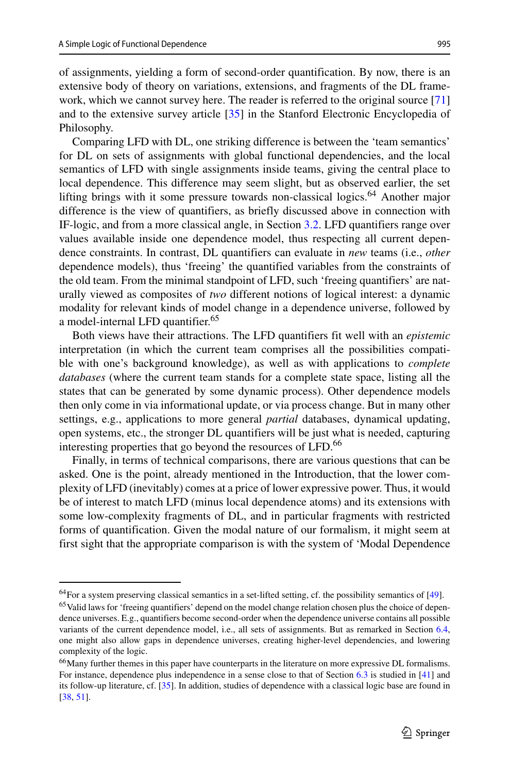of assignments, yielding a form of second-order quantification. By now, there is an extensive body of theory on variations, extensions, and fragments of the DL framework, which we cannot survey here. The reader is referred to the original source [\[71\]](#page-66-0) and to the extensive survey article [\[35\]](#page-64-27) in the Stanford Electronic Encyclopedia of Philosophy.

Comparing LFD with DL, one striking difference is between the 'team semantics' for DL on sets of assignments with global functional dependencies, and the local semantics of LFD with single assignments inside teams, giving the central place to local dependence. This difference may seem slight, but as observed earlier, the set lifting brings with it some pressure towards non-classical logics.<sup>[64](#page-56-0)</sup> Another major difference is the view of quantifiers, as briefly discussed above in connection with IF-logic, and from a more classical angle, in Section [3.2.](#page-17-0) LFD quantifiers range over values available inside one dependence model, thus respecting all current dependence constraints. In contrast, DL quantifiers can evaluate in *new* teams (i.e., *other* dependence models), thus 'freeing' the quantified variables from the constraints of the old team. From the minimal standpoint of LFD, such 'freeing quantifiers' are naturally viewed as composites of *two* different notions of logical interest: a dynamic modality for relevant kinds of model change in a dependence universe, followed by a model-internal LFD quantifier.<sup>65</sup>

Both views have their attractions. The LFD quantifiers fit well with an *epistemic* interpretation (in which the current team comprises all the possibilities compatible with one's background knowledge), as well as with applications to *complete databases* (where the current team stands for a complete state space, listing all the states that can be generated by some dynamic process). Other dependence models then only come in via informational update, or via process change. But in many other settings, e.g., applications to more general *partial* databases, dynamical updating, open systems, etc., the stronger DL quantifiers will be just what is needed, capturing interesting properties that go beyond the resources of LFD.<sup>[66](#page-56-2)</sup>

Finally, in terms of technical comparisons, there are various questions that can be asked. One is the point, already mentioned in the Introduction, that the lower complexity of LFD (inevitably) comes at a price of lower expressive power. Thus, it would be of interest to match LFD (minus local dependence atoms) and its extensions with some low-complexity fragments of DL, and in particular fragments with restricted forms of quantification. Given the modal nature of our formalism, it might seem at first sight that the appropriate comparison is with the system of 'Modal Dependence

 $64$  For a system preserving classical semantics in a set-lifted setting, cf. the possibility semantics of  $[49]$ .

<span id="page-56-1"></span><span id="page-56-0"></span><sup>&</sup>lt;sup>65</sup> Valid laws for 'freeing quantifiers' depend on the model change relation chosen plus the choice of dependence universes. E.g., quantifiers become second-order when the dependence universe contains all possible variants of the current dependence model, i.e., all sets of assignments. But as remarked in Section [6.4,](#page-44-0) one might also allow gaps in dependence universes, creating higher-level dependencies, and lowering complexity of the logic.

<span id="page-56-2"></span><sup>66</sup>Many further themes in this paper have counterparts in the literature on more expressive DL formalisms. For instance, dependence plus independence in a sense close to that of Section [6.3](#page-42-2) is studied in [\[41\]](#page-65-16) and its follow-up literature, cf. [\[35\]](#page-64-27). In addition, studies of dependence with a classical logic base are found in [\[38,](#page-65-25) [51\]](#page-65-26).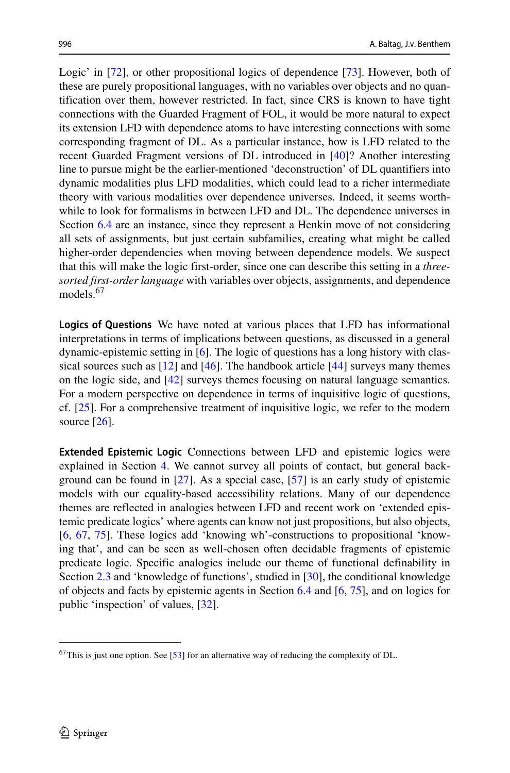Logic' in [\[72\]](#page-66-4), or other propositional logics of dependence [\[73\]](#page-66-5). However, both of these are purely propositional languages, with no variables over objects and no quantification over them, however restricted. In fact, since CRS is known to have tight connections with the Guarded Fragment of FOL, it would be more natural to expect its extension LFD with dependence atoms to have interesting connections with some corresponding fragment of DL. As a particular instance, how is LFD related to the recent Guarded Fragment versions of DL introduced in [\[40\]](#page-65-27)? Another interesting line to pursue might be the earlier-mentioned 'deconstruction' of DL quantifiers into dynamic modalities plus LFD modalities, which could lead to a richer intermediate theory with various modalities over dependence universes. Indeed, it seems worthwhile to look for formalisms in between LFD and DL. The dependence universes in Section [6.4](#page-44-0) are an instance, since they represent a Henkin move of not considering all sets of assignments, but just certain subfamilies, creating what might be called higher-order dependencies when moving between dependence models. We suspect that this will make the logic first-order, since one can describe this setting in a *threesorted first-order language* with variables over objects, assignments, and dependence models.<sup>[67](#page-57-0)</sup>

**Logics of Questions** We have noted at various places that LFD has informational interpretations in terms of implications between questions, as discussed in a general dynamic-epistemic setting in [\[6\]](#page-64-2). The logic of questions has a long history with classical sources such as  $[12]$  and  $[46]$ . The handbook article  $[44]$  surveys many themes on the logic side, and [\[42\]](#page-65-10) surveys themes focusing on natural language semantics. For a modern perspective on dependence in terms of inquisitive logic of questions, cf. [\[25\]](#page-64-6). For a comprehensive treatment of inquisitive logic, we refer to the modern source  $[26]$ .

**Extended Epistemic Logic** Connections between LFD and epistemic logics were explained in Section [4.](#page-24-0) We cannot survey all points of contact, but general background can be found in [\[27\]](#page-64-29). As a special case, [\[57\]](#page-65-30) is an early study of epistemic models with our equality-based accessibility relations. Many of our dependence themes are reflected in analogies between LFD and recent work on 'extended epistemic predicate logics' where agents can know not just propositions, but also objects, [\[6,](#page-64-2) [67,](#page-65-31) [75\]](#page-66-6). These logics add 'knowing wh'-constructions to propositional 'knowing that', and can be seen as well-chosen often decidable fragments of epistemic predicate logic. Specific analogies include our theme of functional definability in Section [2.3](#page-12-1) and 'knowledge of functions', studied in [\[30\]](#page-64-30), the conditional knowledge of objects and facts by epistemic agents in Section [6.4](#page-44-0) and [\[6,](#page-64-2) [75\]](#page-66-6), and on logics for public 'inspection' of values, [\[32\]](#page-64-3).

<span id="page-57-0"></span> $67$ This is just one option. See [\[53\]](#page-65-32) for an alternative way of reducing the complexity of DL.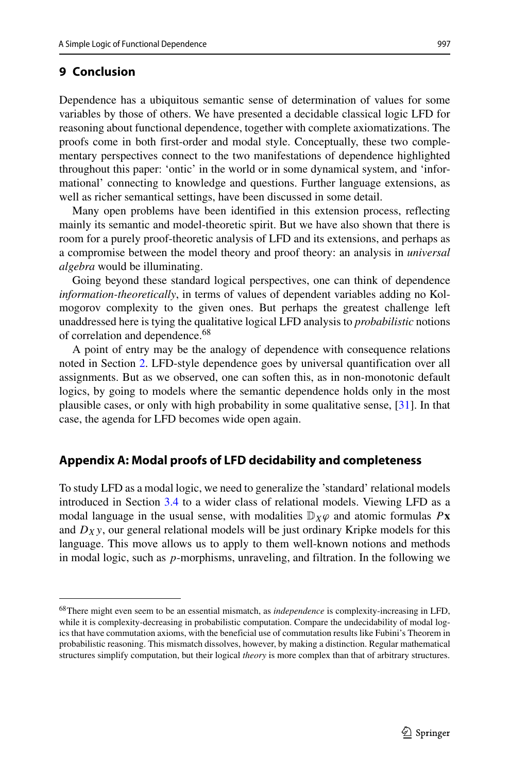# <span id="page-58-1"></span>**9 Conclusion**

Dependence has a ubiquitous semantic sense of determination of values for some variables by those of others. We have presented a decidable classical logic LFD for reasoning about functional dependence, together with complete axiomatizations. The proofs come in both first-order and modal style. Conceptually, these two complementary perspectives connect to the two manifestations of dependence highlighted throughout this paper: 'ontic' in the world or in some dynamical system, and 'informational' connecting to knowledge and questions. Further language extensions, as well as richer semantical settings, have been discussed in some detail.

Many open problems have been identified in this extension process, reflecting mainly its semantic and model-theoretic spirit. But we have also shown that there is room for a purely proof-theoretic analysis of LFD and its extensions, and perhaps as a compromise between the model theory and proof theory: an analysis in *universal algebra* would be illuminating.

Going beyond these standard logical perspectives, one can think of dependence *information-theoretically*, in terms of values of dependent variables adding no Kolmogorov complexity to the given ones. But perhaps the greatest challenge left unaddressed here is tying the qualitative logical LFD analysis to *probabilistic* notions of correlation and dependence.<sup>[68](#page-58-2)</sup>

A point of entry may be the analogy of dependence with consequence relations noted in Section [2.](#page-6-0) LFD-style dependence goes by universal quantification over all assignments. But as we observed, one can soften this, as in non-monotonic default logics, by going to models where the semantic dependence holds only in the most plausible cases, or only with high probability in some qualitative sense, [\[31\]](#page-64-31). In that case, the agenda for LFD becomes wide open again.

# <span id="page-58-0"></span>**Appendix A: Modal proofs of LFD decidability and completeness**

To study LFD as a modal logic, we need to generalize the 'standard' relational models introduced in Section [3.4](#page-21-1) to a wider class of relational models. Viewing LFD as a modal language in the usual sense, with modalities  $\mathbb{D}_X\varphi$  and atomic formulas  $P$ **x** and  $D_X$ y, our general relational models will be just ordinary Kripke models for this language. This move allows us to apply to them well-known notions and methods in modal logic, such as *p*-morphisms, unraveling, and filtration. In the following we

<span id="page-58-2"></span><sup>68</sup>There might even seem to be an essential mismatch, as *independence* is complexity-increasing in LFD, while it is complexity-decreasing in probabilistic computation. Compare the undecidability of modal logics that have commutation axioms, with the beneficial use of commutation results like Fubini's Theorem in probabilistic reasoning. This mismatch dissolves, however, by making a distinction. Regular mathematical structures simplify computation, but their logical *theory* is more complex than that of arbitrary structures.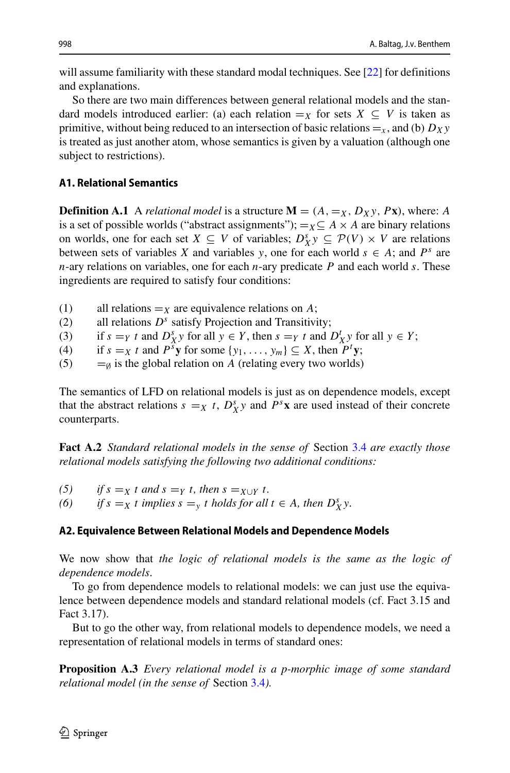will assume familiarity with these standard modal techniques. See [\[22\]](#page-64-12) for definitions and explanations.

So there are two main differences between general relational models and the standard models introduced earlier: (a) each relation  $=_X$  for sets  $X \subseteq V$  is taken as primitive, without being reduced to an intersection of basic relations  $=$ <sub>x</sub>, and (b) *D<sub>X</sub>y* is treated as just another atom, whose semantics is given by a valuation (although one subject to restrictions).

# **A1. Relational Semantics**

**Definition A.1** A *relational model* is a structure  $\mathbf{M} = (A, =_X, D_X, P_X)$ , where: A is a set of possible worlds ("abstract assignments");  $=_X \subseteq A \times A$  are binary relations on worlds, one for each set  $X \subseteq V$  of variables;  $D_X^s y \subseteq \mathcal{P}(V) \times V$  are relations between sets of variables *X* and variables *y*, one for each world  $s \in A$ ; and  $P^s$  are *n*-ary relations on variables, one for each *n*-ary predicate *P* and each world *s*. These ingredients are required to satisfy four conditions:

- (1) all relations  $=x$  are equivalence relations on *A*;<br>(2) all relations  $D<sup>s</sup>$  satisfy Projection and Transitivi
- all relations  $D<sup>s</sup>$  satisfy Projection and Transitivity;
- (3) if  $s = Y$  *t* and  $D_X^s y$  for all  $y \in Y$ , then  $s = Y$  *t* and  $D_X^t y$  for all  $y \in Y$ ;
- (4) if  $s = X$  *t* and  $P^s$ **y** for some  $\{y_1, \ldots, y_m\} \subseteq X$ , then  $P^t$ **y**;
- (5)  $=$ <sub> $\emptyset$ </sub> is the global relation on *A* (relating every two worlds)

The semantics of LFD on relational models is just as on dependence models, except that the abstract relations  $s = X$  *t*,  $D_X^s y$  and  $P^s x$  are used instead of their concrete counterparts.

**Fact A.2** *Standard relational models in the sense of* Section [3.4](#page-21-1) *are exactly those relational models satisfying the following two additional conditions:*

(5) if  $s = x$  *t* and  $s = y$  *t, then*  $s = x \cup y$  *t.* (6) if  $s = x$  *t implies*  $s = y$  *t holds* for all *(6) if*  $s =_X t$  *implies*  $s =_Y t$  *holds for all*  $t \in A$ *, then*  $D_X^s y$ *.* 

## **A2. Equivalence Between Relational Models and Dependence Models**

We now show that *the logic of relational models is the same as the logic of dependence models*.

To go from dependence models to relational models: we can just use the equivalence between dependence models and standard relational models (cf. Fact 3.15 and Fact 3.17).

But to go the other way, from relational models to dependence models, we need a representation of relational models in terms of standard ones:

<span id="page-59-0"></span>**Proposition A.3** *Every relational model is a p-morphic image of some standard relational model (in the sense of* Section [3.4](#page-21-1)*).*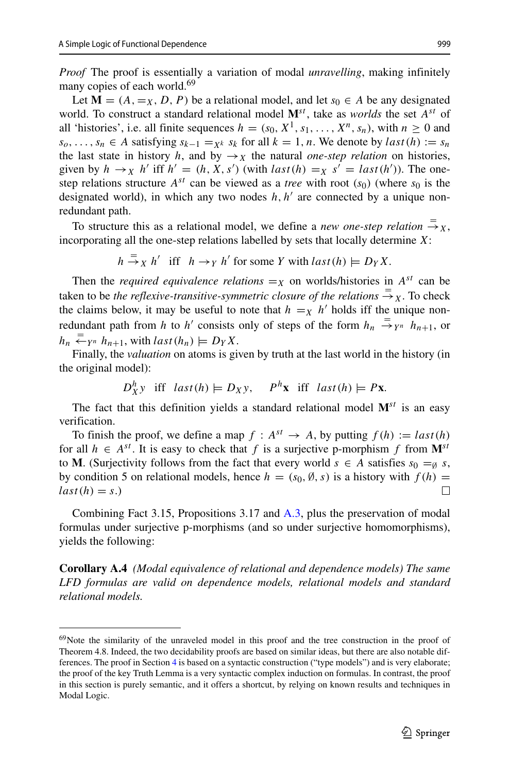*Proof* The proof is essentially a variation of modal *unravelling*, making infinitely many copies of each world.<sup>69</sup>

Let  $M = (A, =_X, D, P)$  be a relational model, and let  $s_0 \in A$  be any designated world. To construct a standard relational model  $\mathbf{M}^{st}$ , take as *worlds* the set  $A^{st}$  of all 'histories', i.e. all finite sequences  $h = (s_0, X^1, s_1, \ldots, X^n, s_n)$ , with  $n \ge 0$  and *s*<sub>0</sub>,..., *s<sub>n</sub>* ∈ *A* satisfying  $s_{k-1} = x_k$  *s<sub>k</sub>* for all  $k = 1, n$ . We denote by *last* (*h*) := *s<sub>n</sub>* the last state in history *h*, and by  $\rightarrow_X$  the natural *one-step relation* on histories, given by  $h \to_X h'$  iff  $h' = (h, X, s')$  (with  $last(h) =_X s' = last(h')$ ). The onestep relations structure  $A^{st}$  can be viewed as a *tree* with root  $(s_0)$  (where  $s_0$  is the designated world), in which any two nodes  $h, h'$  are connected by a unique nonredundant path.

To structure this as a relational model, we define a *new one-step relation*  $\frac{1}{x}$ , incorporating all the one-step relations labelled by sets that locally determine *X*:

 $h \stackrel{=}{\rightarrow} X h'$  iff  $h \rightarrow Y h'$  for some *Y* with  $last(h) \models D_Y X$ .

Then the *required equivalence relations*  $=$ *x* on worlds/histories in  $A^{st}$  can be taken to be *the reflexive-transitive-symmetric closure of the relations*  $\Rightarrow X$ . To check the claims below, it may be useful to note that  $h = X$  *h'* holds iff the unique nonredundant path from *h* to *h'* consists only of steps of the form  $h_n \stackrel{=}{\rightarrow} Y^n$   $h_{n+1}$ , or  $h_n \stackrel{=}{\leftarrow} Y^n \; h_{n+1}$ , with  $last(h_n) \models D_Y X$ .

Finally, the *valuation* on atoms is given by truth at the last world in the history (in the original model):

$$
D_X^h y
$$
 iff  $last(h) \models D_X y$ ,  $P^h x$  iff  $last(h) \models Px$ .

The fact that this definition yields a standard relational model  $\mathbf{M}^{st}$  is an easy verification.

To finish the proof, we define a map  $f : A^{st} \to A$ , by putting  $f(h) := last(h)$ for all  $h \in A^{st}$ . It is easy to check that f is a surjective p-morphism f from  $M^{st}$ to **M**. (Surjectivity follows from the fact that every world  $s \in A$  satisfies  $s_0 = \emptyset$  *s*, by condition 5 on relational models, hence  $h = (s_0, \emptyset, s)$  is a history with  $f(h) = last(h) = s$ .  $last(h) = s$ .)

Combining Fact 3.15, Propositions 3.17 and [A.3,](#page-59-0) plus the preservation of modal formulas under surjective p-morphisms (and so under surjective homomorphisms), yields the following:

**Corollary A.4** *(Modal equivalence of relational and dependence models) The same LFD formulas are valid on dependence models, relational models and standard relational models.*

<span id="page-60-0"></span><sup>69</sup>Note the similarity of the unraveled model in this proof and the tree construction in the proof of Theorem 4.8. Indeed, the two decidability proofs are based on similar ideas, but there are also notable differences. The proof in Section [4](#page-24-0) is based on a syntactic construction ("type models") and is very elaborate; the proof of the key Truth Lemma is a very syntactic complex induction on formulas. In contrast, the proof in this section is purely semantic, and it offers a shortcut, by relying on known results and techniques in Modal Logic.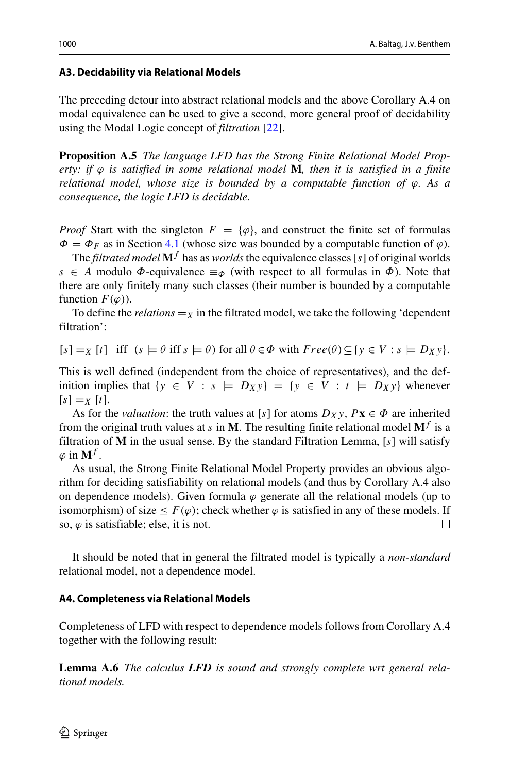# **A3. Decidability via Relational Models**

The preceding detour into abstract relational models and the above Corollary A.4 on modal equivalence can be used to give a second, more general proof of decidability using the Modal Logic concept of *filtration* [\[22\]](#page-64-12).

**Proposition A.5** *The language LFD has the Strong Finite Relational Model Property: if ϕ is satisfied in some relational model* **M***, then it is satisfied in a finite relational model, whose size is bounded by a computable function of ϕ. As a consequence, the logic LFD is decidable.*

*Proof* Start with the singleton  $F = \{\varphi\}$ , and construct the finite set of formulas  $\Phi = \Phi_F$  as in Section [4.1](#page-24-1) (whose size was bounded by a computable function of  $\varphi$ ).

The *filtrated model*  $M<sup>f</sup>$  has as *worlds* the equivalence classes [s] of original worlds *s* ∈ *A* modulo  $\Phi$ -equivalence  $\equiv_{\Phi}$  (with respect to all formulas in  $\Phi$ ). Note that there are only finitely many such classes (their number is bounded by a computable function  $F(\varphi)$ ).

To define the *relations*  $=$ *x* in the filtrated model, we take the following 'dependent filtration':

 $[s] = X[t]$  iff  $(s \models \theta \text{ iff } s \models \theta)$  for all  $\theta \in \Phi$  with  $Free(\theta) \subseteq \{y \in V : s \models D_Xy\}.$ 

This is well defined (independent from the choice of representatives), and the definition implies that  $\{y \in V : s \models D_Xy\} = \{y \in V : t \models D_Xy\}$  whenever  $[s] = x[t].$ 

As for the *valuation*: the truth values at [*s*] for atoms  $D_Xy$ ,  $Px \in \Phi$  are inherited from the original truth values at *s* in **M**. The resulting finite relational model  $M<sup>f</sup>$  is a filtration of **M** in the usual sense. By the standard Filtration Lemma, [*s*] will satisfy  $\varphi$  in  $M^f$ .

As usual, the Strong Finite Relational Model Property provides an obvious algorithm for deciding satisfiability on relational models (and thus by Corollary A.4 also on dependence models). Given formula  $\varphi$  generate all the relational models (up to isomorphism) of size  $\leq F(\varphi)$ ; check whether  $\varphi$  is satisfied in any of these models. If so,  $\varphi$  is satisfiable; else, it is not. so,  $\varphi$  is satisfiable; else, it is not.

It should be noted that in general the filtrated model is typically a *non-standard* relational model, not a dependence model.

# **A4. Completeness via Relational Models**

Completeness of LFD with respect to dependence models follows from Corollary A.4 together with the following result:

**Lemma A.6** *The calculus LFD is sound and strongly complete wrt general relational models.*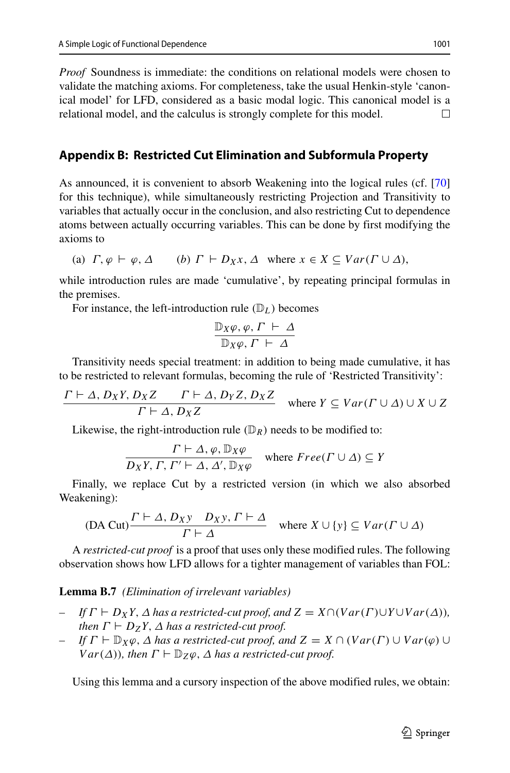*Proof* Soundness is immediate: the conditions on relational models were chosen to validate the matching axioms. For completeness, take the usual Henkin-style 'canonical model' for LFD, considered as a basic modal logic. This canonical model is a relational model, and the calculus is strongly complete for this model. П

# <span id="page-62-0"></span>**Appendix B: Restricted Cut Elimination and Subformula Property**

As announced, it is convenient to absorb Weakening into the logical rules (cf. [\[70\]](#page-66-2) for this technique), while simultaneously restricting Projection and Transitivity to variables that actually occur in the conclusion, and also restricting Cut to dependence atoms between actually occurring variables. This can be done by first modifying the axioms to

(a) 
$$
\Gamma
$$
,  $\varphi \vdash \varphi$ ,  $\Delta$  (b)  $\Gamma \vdash D_X x$ ,  $\Delta$  where  $x \in X \subseteq Var(\Gamma \cup \Delta)$ ,

while introduction rules are made 'cumulative', by repeating principal formulas in the premises.

For instance, the left-introduction rule  $(\mathbb{D}_L)$  becomes

$$
\frac{\mathbb{D}_X \varphi, \varphi, \Gamma \vdash \Delta}{\mathbb{D}_X \varphi, \Gamma \vdash \Delta}
$$

Transitivity needs special treatment: in addition to being made cumulative, it has to be restricted to relevant formulas, becoming the rule of 'Restricted Transitivity':

$$
\frac{\Gamma \vdash \Delta, D_X Y, D_X Z \qquad \Gamma \vdash \Delta, D_Y Z, D_X Z}{\Gamma \vdash \Delta, D_X Z} \quad \text{where } Y \subseteq Var(\Gamma \cup \Delta) \cup X \cup Z
$$

Likewise, the right-introduction rule  $(\mathbb{D}_R)$  needs to be modified to:

$$
\frac{\Gamma \vdash \Delta, \varphi, \mathbb{D}_X \varphi}{D_X Y, \Gamma, \Gamma' \vdash \Delta, \Delta', \mathbb{D}_X \varphi} \quad \text{where } Free(\Gamma \cup \Delta) \subseteq Y
$$

Finally, we replace Cut by a restricted version (in which we also absorbed Weakening):

$$
(DA Cut)\frac{\Gamma \vdash \Delta, D_X y \quad D_X y, \Gamma \vdash \Delta}{\Gamma \vdash \Delta} \quad \text{where } X \cup \{y\} \subseteq Var(\Gamma \cup \Delta)
$$

A *restricted-cut proof* is a proof that uses only these modified rules. The following observation shows how LFD allows for a tighter management of variables than FOL:

#### **Lemma B.7** *(Elimination of irrelevant variables)*

- $\iint \Gamma \vdash D_XY$ ,  $\Delta$  *has a restricted-cut proof, and*  $Z = X \cap (Var(\Gamma) \cup Y \cup Var(\Delta))$ *, then*  $\Gamma \vdash D_ZY$ ,  $\Delta$  *has a restricted-cut proof.*
- *If*  $\Gamma \vdash \mathbb{D}_X \varphi$ ,  $\Delta$  *has a restricted-cut proof, and*  $Z = X \cap (Var(\Gamma) \cup Var(\varphi) \cup$ *Var*( $\Delta$ ))*, then*  $\Gamma \vdash \mathbb{D}_Z \varphi$ *,*  $\Delta$  *has a restricted-cut proof.*

Using this lemma and a cursory inspection of the above modified rules, we obtain: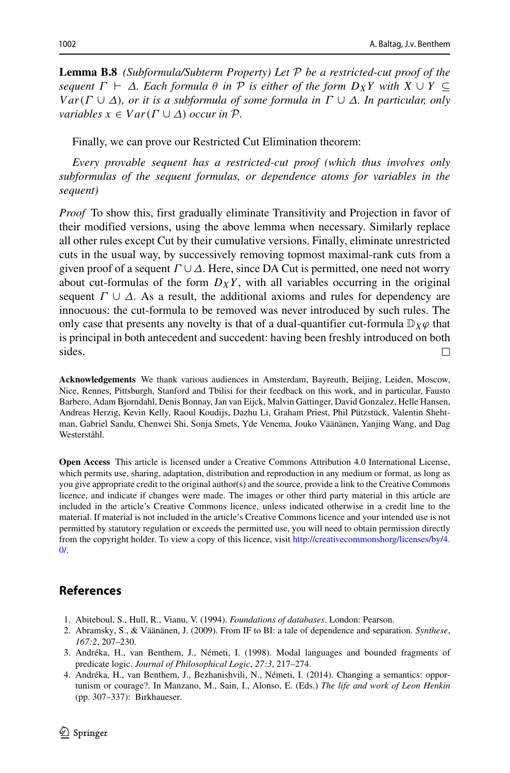**Lemma B.8** *(Subformula/Subterm Property) Let* P *be a restricted-cut proof of the sequent*  $Γ$   $\vdash$   $Δ$ *. Each formula*  $θ$  *in*  $P$  *is either of the form*  $D_XY$  *with*  $X ∪ Y ⊆$ *V ar(Γ* ∪ *Δ), or it is a subformula of some formula in Γ* ∪ *Δ. In particular, only variables*  $x \in Var(\Gamma \cup \Delta)$  *occur in*  $\mathcal{P}$ *.* 

Finally, we can prove our Restricted Cut Elimination theorem:

*Every provable sequent has a restricted-cut proof (which thus involves only subformulas of the sequent formulas, or dependence atoms for variables in the sequent)*

*Proof* To show this, first gradually eliminate Transitivity and Projection in favor of their modified versions, using the above lemma when necessary. Similarly replace all other rules except Cut by their cumulative versions. Finally, eliminate unrestricted cuts in the usual way, by successively removing topmost maximal-rank cuts from a given proof of a sequent  $\Gamma \cup \Delta$ . Here, since DA Cut is permitted, one need not worry about cut-formulas of the form  $D_XY$ , with all variables occurring in the original sequent  $\Gamma \cup \Delta$ . As a result, the additional axioms and rules for dependency are innocuous: the cut-formula to be removed was never introduced by such rules. The only case that presents any novelty is that of a dual-quantifier cut-formula  $\mathbb{D}_X\varphi$  that is principal in both antecedent and succedent: having been freshly introduced on both sides.  $\Box$ 

**Acknowledgements** We thank various audiences in Amsterdam, Bayreuth, Beijing, Leiden, Moscow, Nice, Rennes, Pittsburgh, Stanford and Tbilisi for their feedback on this work, and in particular, Fausto Barbero, Adam Bjorndahl, Denis Bonnay, Jan van Eijck, Malvin Gattinger, David Gonzalez, Helle Hansen, Andreas Herzig, Kevin Kelly, Raoul Koudijs, Dazhu Li, Graham Priest, Phil Pützstück, Valentin Shehtman, Gabriel Sandu, Chenwei Shi, Sonja Smets, Yde Venema, Jouko Väänänen, Yanjing Wang, and Dag Westerståhl.

**Open Access** This article is licensed under a Creative Commons Attribution 4.0 International License, which permits use, sharing, adaptation, distribution and reproduction in any medium or format, as long as you give appropriate credit to the original author(s) and the source, provide a link to the Creative Commons licence, and indicate if changes were made. The images or other third party material in this article are included in the article's Creative Commons licence, unless indicated otherwise in a credit line to the material. If material is not included in the article's Creative Commons licence and your intended use is not permitted by statutory regulation or exceeds the permitted use, you will need to obtain permission directly from the copyright holder. To view a copy of this licence, visit [http://creativecommonshorg/licenses/by/4.](http://creativecommonshorg/licenses/by/4.0/)  $\Omega$ 

## **References**

- <span id="page-63-1"></span>1. Abiteboul, S., Hull, R., Vianu, V. (1994). *Foundations of databases*. London: Pearson.
- <span id="page-63-2"></span>2. Abramsky, S., & Väänänen, J. (2009). From IF to BI: a tale of dependence and separation. Synthese, *167:2*, 207–230.
- <span id="page-63-0"></span>3. Andréka, H., van Benthem, J., Németi, I. (1998). Modal languages and bounded fragments of predicate logic. *Journal of Philosophical Logic*, *27:3*, 217–274.
- <span id="page-63-3"></span>4. Andréka, H., van Benthem, J., Bezhanishvili, N., Németi, I. (2014). Changing a semantics: opportunism or courage?. In Manzano, M., Sain, I., Alonso, E. (Eds.) *The life and work of Leon Henkin* (pp. 307–337): Birkhaueser.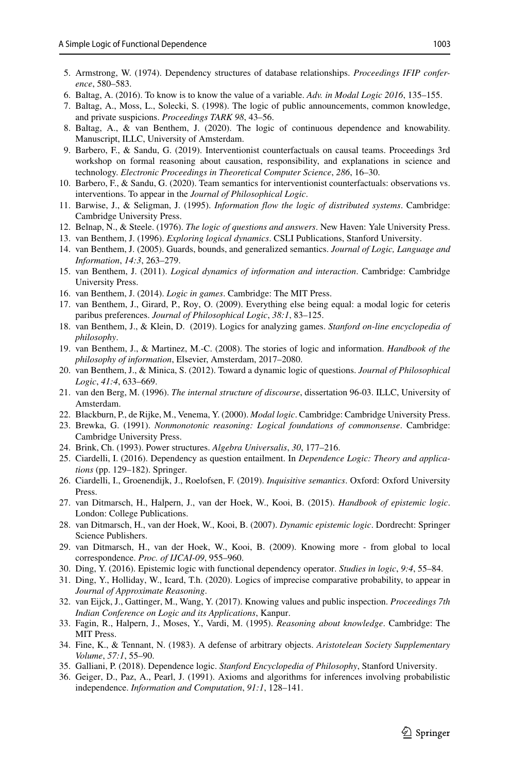- <span id="page-64-0"></span>5. Armstrong, W. (1974). Dependency structures of database relationships. *Proceedings IFIP conference*, 580–583.
- <span id="page-64-2"></span>6. Baltag, A. (2016). To know is to know the value of a variable. *Adv. in Modal Logic 2016*, 135–155.
- <span id="page-64-16"></span>7. Baltag, A., Moss, L., Solecki, S. (1998). The logic of public announcements, common knowledge, and private suspicions. *Proceedings TARK 98*, 43–56.
- <span id="page-64-18"></span>8. Baltag, A., & van Benthem, J. (2020). The logic of continuous dependence and knowability. Manuscript, ILLC, University of Amsterdam.
- <span id="page-64-21"></span>9. Barbero, F., & Sandu, G. (2019). Interventionist counterfactuals on causal teams. Proceedings 3rd workshop on formal reasoning about causation, responsibility, and explanations in science and technology. *Electronic Proceedings in Theoretical Computer Science*, *286*, 16–30.
- <span id="page-64-22"></span>10. Barbero, F., & Sandu, G. (2020). Team semantics for interventionist counterfactuals: observations vs. interventions. To appear in the *Journal of Philosophical Logic*.
- <span id="page-64-9"></span>11. Barwise, J., & Seligman, J. (1995). *Information flow the logic of distributed systems*. Cambridge: Cambridge University Press.
- <span id="page-64-28"></span>12. Belnap, N., & Steele. (1976). *The logic of questions and answers*. New Haven: Yale University Press.
- <span id="page-64-1"></span>13. van Benthem, J. (1996). *Exploring logical dynamics*. CSLI Publications, Stanford University.
- <span id="page-64-13"></span>14. van Benthem, J. (2005). Guards, bounds, and generalized semantics. *Journal of Logic, Language and Information*, *14:3*, 263–279.
- <span id="page-64-10"></span>15. van Benthem, J. (2011). *Logical dynamics of information and interaction*. Cambridge: Cambridge University Press.
- <span id="page-64-19"></span>16. van Benthem, J. (2014). *Logic in games*. Cambridge: The MIT Press.
- <span id="page-64-24"></span>17. van Benthem, J., Girard, P., Roy, O. (2009). Everything else being equal: a modal logic for ceteris paribus preferences. *Journal of Philosophical Logic*, *38:1*, 83–125.
- <span id="page-64-20"></span>18. van Benthem, J., & Klein, D. (2019). Logics for analyzing games. *Stanford on-line encyclopedia of philosophy*.
- <span id="page-64-8"></span>19. van Benthem, J., & Martinez, M.-C. (2008). The stories of logic and information. *Handbook of the philosophy of information*, Elsevier, Amsterdam, 2017–2080.
- <span id="page-64-5"></span>20. van Benthem, J., & Minica, S. (2012). Toward a dynamic logic of questions. *Journal of Philosophical Logic*, *41:4*, 633–669.
- <span id="page-64-25"></span>21. van den Berg, M. (1996). *The internal structure of discourse*, dissertation 96-03. ILLC, University of Amsterdam.
- <span id="page-64-12"></span>22. Blackburn, P., de Rijke, M., Venema, Y. (2000). *Modal logic*. Cambridge: Cambridge University Press.
- <span id="page-64-11"></span>23. Brewka, G. (1991). *Nonmonotonic reasoning: Logical foundations of commonsense*. Cambridge: Cambridge University Press.
- <span id="page-64-26"></span>24. Brink, Ch. (1993). Power structures. *Algebra Universalis*, *30*, 177–216.
- <span id="page-64-6"></span>25. Ciardelli, I. (2016). Dependency as question entailment. In *Dependence Logic: Theory and applications* (pp. 129–182). Springer.
- <span id="page-64-7"></span>26. Ciardelli, I., Groenendijk, J., Roelofsen, F. (2019). *Inquisitive semantics*. Oxford: Oxford University Press.
- <span id="page-64-29"></span>27. van Ditmarsch, H., Halpern, J., van der Hoek, W., Kooi, B. (2015). *Handbook of epistemic logic*. London: College Publications.
- <span id="page-64-17"></span>28. van Ditmarsch, H., van der Hoek, W., Kooi, B. (2007). *Dynamic epistemic logic*. Dordrecht: Springer Science Publishers.
- <span id="page-64-14"></span>29. van Ditmarsch, H., van der Hoek, W., Kooi, B. (2009). Knowing more - from global to local correspondence. *Proc. of IJCAI-09*, 955–960.
- <span id="page-64-30"></span>30. Ding, Y. (2016). Epistemic logic with functional dependency operator. *Studies in logic*, *9:4*, 55–84.
- <span id="page-64-31"></span>31. Ding, Y., Holliday, W., Icard, T.h. (2020). Logics of imprecise comparative probability, to appear in *Journal of Approximate Reasoning*.
- <span id="page-64-3"></span>32. van Eijck, J., Gattinger, M., Wang, Y. (2017). Knowing values and public inspection. *Proceedings 7th Indian Conference on Logic and its Applications*, Kanpur.
- <span id="page-64-4"></span>33. Fagin, R., Halpern, J., Moses, Y., Vardi, M. (1995). *Reasoning about knowledge*. Cambridge: The MIT Press.
- <span id="page-64-23"></span>34. Fine, K., & Tennant, N. (1983). A defense of arbitrary objects. *Aristotelean Society Supplementary Volume*, *57:1*, 55–90.
- <span id="page-64-27"></span>35. Galliani, P. (2018). Dependence logic. *Stanford Encyclopedia of Philosophy*, Stanford University.
- <span id="page-64-15"></span>36. Geiger, D., Paz, A., Pearl, J. (1991). Axioms and algorithms for inferences involving probabilistic independence. *Information and Computation*, *91:1*, 128–141.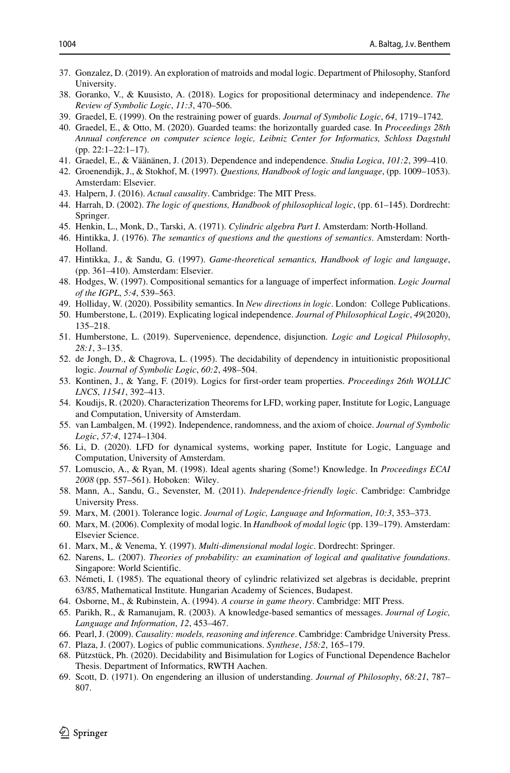- <span id="page-65-17"></span>37. Gonzalez, D. (2019). An exploration of matroids and modal logic. Department of Philosophy, Stanford University.
- <span id="page-65-25"></span>38. Goranko, V., & Kuusisto, A. (2018). Logics for propositional determinacy and independence. *The Review of Symbolic Logic*, *11:3*, 470–506.
- <span id="page-65-13"></span>39. Graedel, E. (1999). On the restraining power of guards. *Journal of Symbolic Logic*, *64*, 1719–1742.
- <span id="page-65-27"></span>40. Graedel, E., & Otto, M. (2020). Guarded teams: the horizontally guarded case. In *Proceedings 28th Annual conference on computer science logic, Leibniz Center for Informatics, Schloss Dagstuhl* (pp. 22:1–22:1–17).
- <span id="page-65-16"></span>41. Graedel, E., & Väänänen, J. (2013). Dependence and independence. *Studia Logica*, 101:2, 399-410.
- <span id="page-65-10"></span>42. Groenendijk, J., & Stokhof, M. (1997). *Questions, Handbook of logic and language*, (pp. 1009–1053). Amsterdam: Elsevier.
- <span id="page-65-20"></span>43. Halpern, J. (2016). *Actual causality*. Cambridge: The MIT Press.
- <span id="page-65-29"></span>44. Harrah, D. (2002). *The logic of questions, Handbook of philosophical logic*, (pp. 61–145). Dordrecht: Springer.
- <span id="page-65-15"></span>45. Henkin, L., Monk, D., Tarski, A. (1971). *Cylindric algebra Part I*. Amsterdam: North-Holland.
- <span id="page-65-28"></span>46. Hintikka, J. (1976). *The semantics of questions and the questions of semantics*. Amsterdam: North-Holland.
- <span id="page-65-0"></span>47. Hintikka, J., & Sandu, G. (1997). *Game-theoretical semantics, Handbook of logic and language*, (pp. 361–410). Amsterdam: Elsevier.
- <span id="page-65-22"></span>48. Hodges, W. (1997). Compositional semantics for a language of imperfect information. *Logic Journal of the IGPL*, *5:4*, 539–563.
- <span id="page-65-24"></span>49. Holliday, W. (2020). Possibility semantics. In *New directions in logic*. London: College Publications.
- <span id="page-65-3"></span>50. Humberstone, L. (2019). Explicating logical independence. *Journal of Philosophical Logic*, *49*(2020), 135–218.
- <span id="page-65-26"></span>51. Humberstone, L. (2019). Supervenience, dependence, disjunction. *Logic and Logical Philosophy*, *28:1*, 3–135.
- <span id="page-65-4"></span>52. de Jongh, D., & Chagrova, L. (1995). The decidability of dependency in intuitionistic propositional logic. *Journal of Symbolic Logic*, *60:2*, 498–504.
- <span id="page-65-32"></span>53. Kontinen, J., & Yang, F. (2019). Logics for first-order team properties. *Proceedings 26th WOLLIC LNCS*, *11541*, 392–413.
- <span id="page-65-11"></span>54. Koudijs, R. (2020). Characterization Theorems for LFD, working paper, Institute for Logic, Language and Computation, University of Amsterdam.
- <span id="page-65-1"></span>55. van Lambalgen, M. (1992). Independence, randomness, and the axiom of choice. *Journal of Symbolic Logic*, *57:4*, 1274–1304.
- <span id="page-65-19"></span>56. Li, D. (2020). LFD for dynamical systems, working paper, Institute for Logic, Language and Computation, University of Amsterdam.
- <span id="page-65-30"></span>57. Lomuscio, A., & Ryan, M. (1998). Ideal agents sharing (Some!) Knowledge. In *Proceedings ECAI 2008* (pp. 557–561). Hoboken: Wiley.
- <span id="page-65-23"></span>58. Mann, A., Sandu, G., Sevenster, M. (2011). *Independence-friendly logic*. Cambridge: Cambridge University Press.
- <span id="page-65-6"></span>59. Marx, M. (2001). Tolerance logic. *Journal of Logic, Language and Information*, *10:3*, 353–373.
- <span id="page-65-14"></span>60. Marx, M. (2006). Complexity of modal logic. In *Handbook of modal logic* (pp. 139–179). Amsterdam: Elsevier Science.
- <span id="page-65-7"></span>61. Marx, M., & Venema, Y. (1997). *Multi-dimensional modal logic*. Dordrecht: Springer.
- <span id="page-65-2"></span>62. Narens, L. (2007). *Theories of probability: an examination of logical and qualitative foundations*. Singapore: World Scientific.
- <span id="page-65-5"></span>63. Nemeti, I. (1985). The equational theory of cylindric relativized set algebras is decidable, preprint ´ 63/85, Mathematical Institute. Hungarian Academy of Sciences, Budapest.
- <span id="page-65-18"></span>64. Osborne, M., & Rubinstein, A. (1994). *A course in game theory*. Cambridge: MIT Press.
- <span id="page-65-8"></span>65. Parikh, R., & Ramanujam, R. (2003). A knowledge-based semantics of messages. *Journal of Logic, Language and Information*, *12*, 453–467.
- <span id="page-65-21"></span>66. Pearl, J. (2009). *Causality: models, reasoning and inference*. Cambridge: Cambridge University Press.
- <span id="page-65-31"></span>67. Plaza, J. (2007). Logics of public communications. *Synthese*, *158:2*, 165–179.
- <span id="page-65-12"></span>68. Pützstück, Ph. (2020). Decidability and Bisimulation for Logics of Functional Dependence Bachelor Thesis. Department of Informatics, RWTH Aachen.
- <span id="page-65-9"></span>69. Scott, D. (1971). On engendering an illusion of understanding. *Journal of Philosophy*, *68:21*, 787– 807.